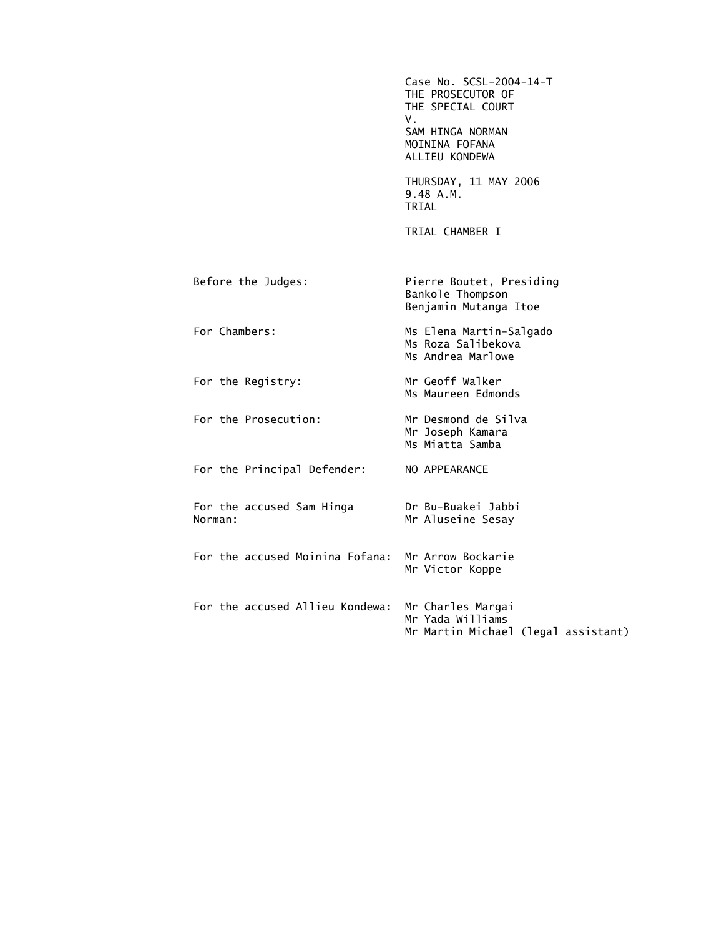Case No. SCSL-2004-14-T THE PROSECUTOR OF THE SPECIAL COURT V. SAM HINGA NORMAN MOININA FOFANA ALLIEU KONDEWA THURSDAY, 11 MAY 2006 9.48 A.M. TRIAL TRIAL CHAMBER I Before the Judges: Pierre Boutet, Presiding Bankole Thompson Benjamin Mutanga Itoe For Chambers: Ms Elena Martin-Salgado Ms Roza Salibekova Ms Andrea Marlowe For the Registry: Mr Geoff Walker Ms Maureen Edmonds For the Prosecution: Mr Desmond de Silva Mr Joseph Kamara Ms Miatta Samba For the Principal Defender: NO APPEARANCE For the accused Sam Hinga Dr Bu-Buakei Jabbi Mr Aluseine Sesay For the accused Moinina Fofana: Mr Arrow Bockarie Mr Victor Koppe For the accused Allieu Kondewa: Mr Charles Margai Mr Yada Williams Mr Martin Michael (legal assistant)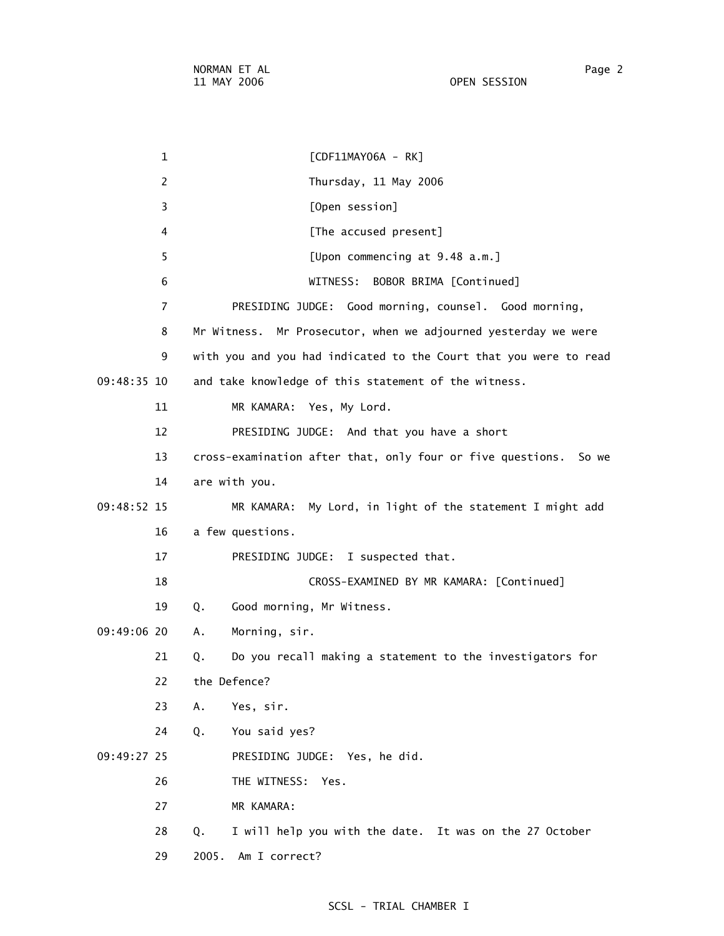1 [CDF11MAY06A - RK] 2 Thursday, 11 May 2006 3 [Open session] 4 **A [The accused present]**  5 [Upon commencing at 9.48 a.m.] 6 WITNESS: BOBOR BRIMA [Continued] 7 PRESIDING JUDGE: Good morning, counsel. Good morning, 8 Mr Witness. Mr Prosecutor, when we adjourned yesterday we were 9 with you and you had indicated to the Court that you were to read 09:48:35 10 and take knowledge of this statement of the witness. 11 MR KAMARA: Yes, My Lord. 12 PRESIDING JUDGE: And that you have a short 13 cross-examination after that, only four or five questions. So we 14 are with you. 09:48:52 15 MR KAMARA: My Lord, in light of the statement I might add 16 a few questions. 17 PRESIDING JUDGE: I suspected that. 18 CROSS-EXAMINED BY MR KAMARA: [Continued] 19 Q. Good morning, Mr Witness. 09:49:06 20 A. Morning, sir. 21 Q. Do you recall making a statement to the investigators for 22 the Defence? 23 A. Yes, sir. 24 Q. You said yes? 09:49:27 25 PRESIDING JUDGE: Yes, he did. 26 THE WITNESS: Yes. 27 MR KAMARA: 28 Q. I will help you with the date. It was on the 27 October

29 2005. Am I correct?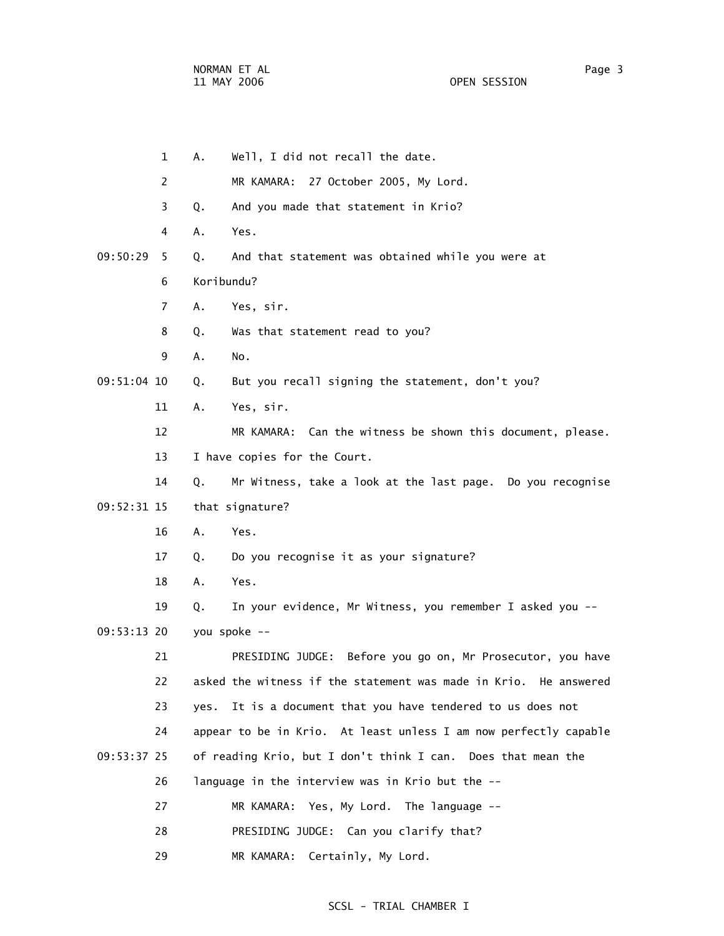1 A. Well, I did not recall the date. 2 MR KAMARA: 27 October 2005, My Lord. 3 Q. And you made that statement in Krio? 4 A. Yes. 09:50:29 5 Q. And that statement was obtained while you were at 6 Koribundu? 7 A. Yes, sir. 8 Q. Was that statement read to you? 9 A. No. 09:51:04 10 Q. But you recall signing the statement, don't you? 11 A. Yes, sir. 12 MR KAMARA: Can the witness be shown this document, please. 13 I have copies for the Court. 14 Q. Mr Witness, take a look at the last page. Do you recognise 09:52:31 15 that signature? 16 A. Yes. 17 Q. Do you recognise it as your signature? 18 A. Yes. 19 Q. In your evidence, Mr Witness, you remember I asked you -- 09:53:13 20 you spoke -- 21 PRESIDING JUDGE: Before you go on, Mr Prosecutor, you have 22 asked the witness if the statement was made in Krio. He answered 23 yes. It is a document that you have tendered to us does not 24 appear to be in Krio. At least unless I am now perfectly capable 09:53:37 25 of reading Krio, but I don't think I can. Does that mean the 26 language in the interview was in Krio but the -- 27 MR KAMARA: Yes, My Lord. The language -- 28 PRESIDING JUDGE: Can you clarify that? 29 MR KAMARA: Certainly, My Lord.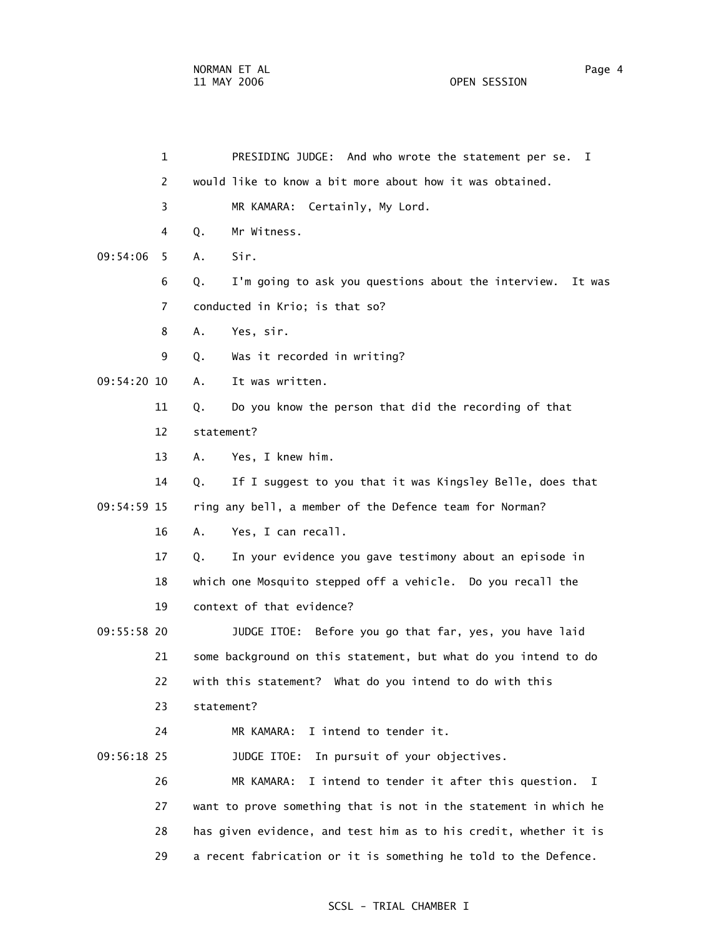| $\mathbf{1}$   | PRESIDING JUDGE: And who wrote the statement per se. I              |
|----------------|---------------------------------------------------------------------|
| $\overline{c}$ | would like to know a bit more about how it was obtained.            |
| 3              | MR KAMARA: Certainly, My Lord.                                      |
| 4              | Mr Witness.<br>Q.                                                   |
| 09:54:06<br>5  | Sir.<br>Α.                                                          |
| 6              | I'm going to ask you questions about the interview.<br>Q.<br>It was |
| $\overline{7}$ | conducted in Krio; is that so?                                      |
| 8              | Yes, sir.<br>Α.                                                     |
| 9              | Was it recorded in writing?<br>Q.                                   |
| 09:54:20 10    | It was written.<br>А.                                               |
| 11             | Do you know the person that did the recording of that<br>Q.         |
| 12             | statement?                                                          |
| 13             | Yes, I knew him.<br>Α.                                              |
| 14             | If I suggest to you that it was Kingsley Belle, does that<br>Q.     |
| 09:54:59 15    | ring any bell, a member of the Defence team for Norman?             |
| 16             | Yes, I can recall.<br>Α.                                            |
| 17             | In your evidence you gave testimony about an episode in<br>Q.       |
| 18             | which one Mosquito stepped off a vehicle. Do you recall the         |
| 19             | context of that evidence?                                           |
| 09:55:58 20    | JUDGE ITOE: Before you go that far, yes, you have laid              |
| 21             | some background on this statement, but what do you intend to do     |
| 22             | with this statement? What do you intend to do with this             |
| 23             | statement?                                                          |
| 24             | I intend to tender it.<br>MR KAMARA:                                |
| 09:56:18 25    | In pursuit of your objectives.<br>JUDGE ITOE:                       |
| 26             | I intend to tender it after this question. I<br>MR KAMARA:          |
| 27             | want to prove something that is not in the statement in which he    |
| 28             | has given evidence, and test him as to his credit, whether it is    |
| 29             | a recent fabrication or it is something he told to the Defence.     |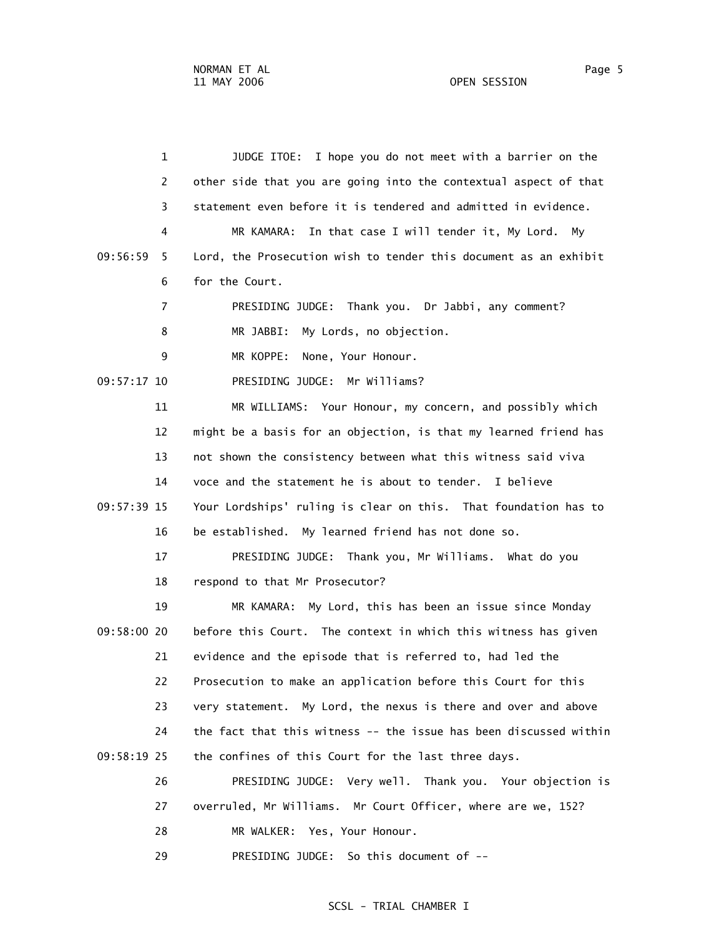| $\mathbf 1$    | JUDGE ITOE: I hope you do not meet with a barrier on the          |
|----------------|-------------------------------------------------------------------|
| 2              | other side that you are going into the contextual aspect of that  |
| 3              | statement even before it is tendered and admitted in evidence.    |
| 4              | MR KAMARA: In that case I will tender it, My Lord. My             |
| 09:56:59<br>5  | Lord, the Prosecution wish to tender this document as an exhibit  |
| 6              | for the Court.                                                    |
| $\overline{7}$ | PRESIDING JUDGE: Thank you. Dr Jabbi, any comment?                |
| 8              | My Lords, no objection.<br>MR JABBI:                              |
| 9              | MR KOPPE:<br>None, Your Honour.                                   |
| 09:57:17 10    | PRESIDING JUDGE: Mr Williams?                                     |
| 11             | MR WILLIAMS: Your Honour, my concern, and possibly which          |
| 12             | might be a basis for an objection, is that my learned friend has  |
| 13             | not shown the consistency between what this witness said viva     |
| 14             | voce and the statement he is about to tender. I believe           |
| 09:57:39 15    | Your Lordships' ruling is clear on this. That foundation has to   |
| 16             | be established. My learned friend has not done so.                |
| 17             | PRESIDING JUDGE: Thank you, Mr Williams. What do you              |
| 18             | respond to that Mr Prosecutor?                                    |
| 19             | MR KAMARA: My Lord, this has been an issue since Monday           |
| 09:58:00 20    | before this Court. The context in which this witness has given    |
| 21             | evidence and the episode that is referred to, had led the         |
| 22             | Prosecution to make an application before this Court for this     |
| 23             | very statement. My Lord, the nexus is there and over and above    |
| 24             | the fact that this witness -- the issue has been discussed within |
| 09:58:19 25    | the confines of this Court for the last three days.               |
| 26             | PRESIDING JUDGE: Very well. Thank you. Your objection is          |
| 27             | overruled, Mr Williams. Mr Court Officer, where are we, 152?      |
| 28             | MR WALKER: Yes, Your Honour.                                      |

29 PRESIDING JUDGE: So this document of --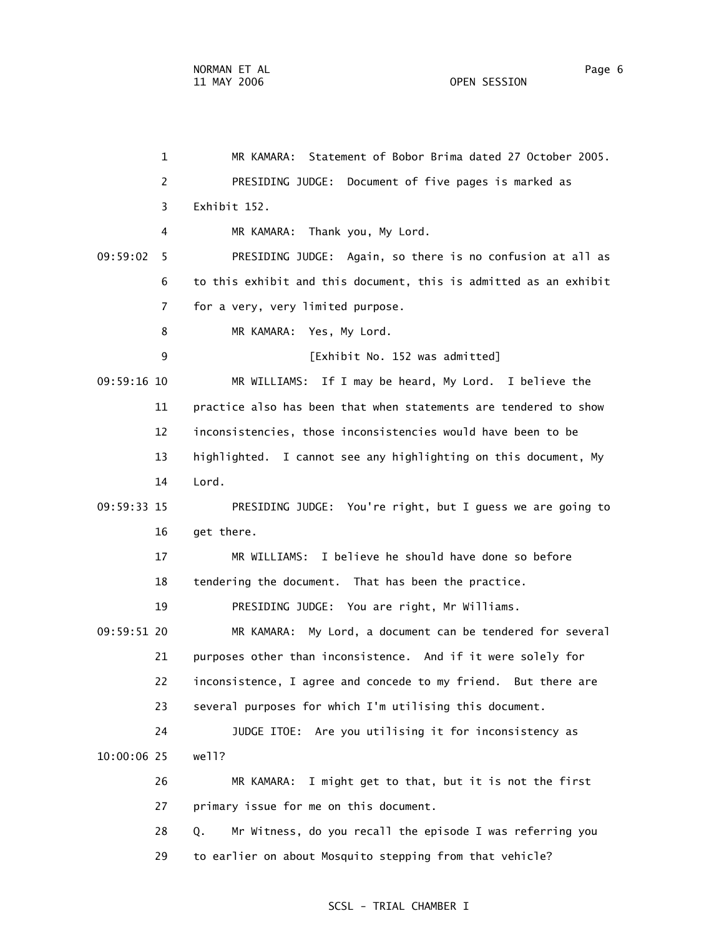1 MR KAMARA: Statement of Bobor Brima dated 27 October 2005. 2 PRESIDING JUDGE: Document of five pages is marked as 3 Exhibit 152. 4 MR KAMARA: Thank you, My Lord. 09:59:02 5 PRESIDING JUDGE: Again, so there is no confusion at all as 6 to this exhibit and this document, this is admitted as an exhibit 7 for a very, very limited purpose. 8 MR KAMARA: Yes, My Lord. 9 [Exhibit No. 152 was admitted] 09:59:16 10 MR WILLIAMS: If I may be heard, My Lord. I believe the 11 practice also has been that when statements are tendered to show 12 inconsistencies, those inconsistencies would have been to be 13 highlighted. I cannot see any highlighting on this document, My 14 Lord. 09:59:33 15 PRESIDING JUDGE: You're right, but I guess we are going to 16 get there. 17 MR WILLIAMS: I believe he should have done so before 18 tendering the document. That has been the practice. 19 PRESIDING JUDGE: You are right, Mr Williams. 09:59:51 20 MR KAMARA: My Lord, a document can be tendered for several 21 purposes other than inconsistence. And if it were solely for 22 inconsistence, I agree and concede to my friend. But there are 23 several purposes for which I'm utilising this document. 24 JUDGE ITOE: Are you utilising it for inconsistency as 10:00:06 25 well? 26 MR KAMARA: I might get to that, but it is not the first 27 primary issue for me on this document. 28 Q. Mr Witness, do you recall the episode I was referring you 29 to earlier on about Mosquito stepping from that vehicle?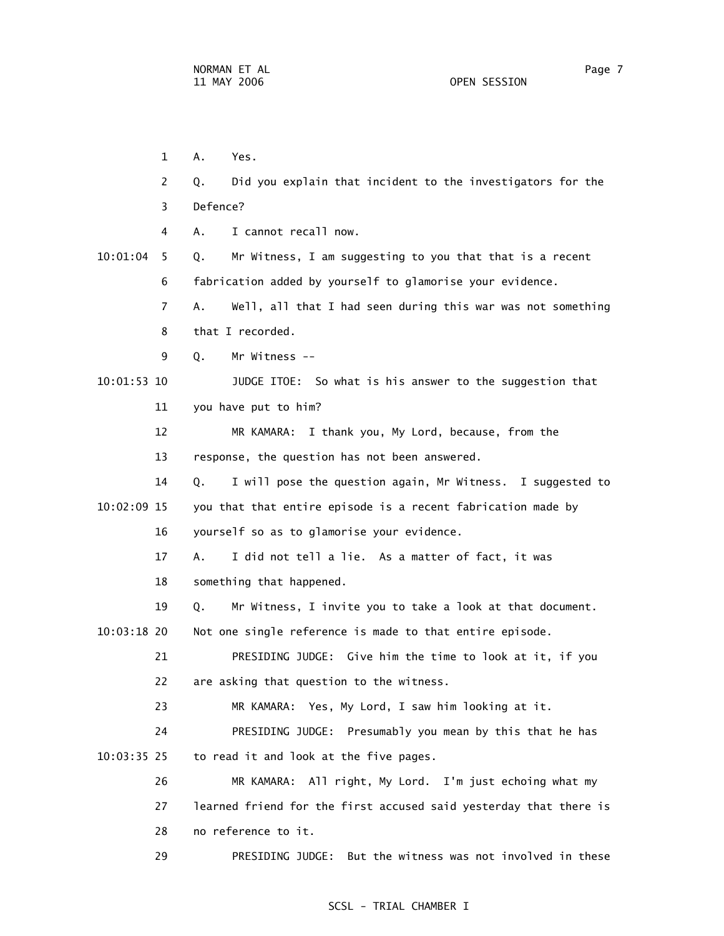1 A. Yes. 2 Q. Did you explain that incident to the investigators for the 3 Defence? 4 A. I cannot recall now. 10:01:04 5 Q. Mr Witness, I am suggesting to you that that is a recent 6 fabrication added by yourself to glamorise your evidence. 7 A. Well, all that I had seen during this war was not something 8 that I recorded. 9 Q. Mr Witness -- 10:01:53 10 JUDGE ITOE: So what is his answer to the suggestion that 11 you have put to him? 12 MR KAMARA: I thank you, My Lord, because, from the 13 response, the question has not been answered. 14 Q. I will pose the question again, Mr Witness. I suggested to 10:02:09 15 you that that entire episode is a recent fabrication made by 16 yourself so as to glamorise your evidence. 17 A. I did not tell a lie. As a matter of fact, it was 18 something that happened. 19 Q. Mr Witness, I invite you to take a look at that document. 10:03:18 20 Not one single reference is made to that entire episode. 21 PRESIDING JUDGE: Give him the time to look at it, if you 22 are asking that question to the witness. 23 MR KAMARA: Yes, My Lord, I saw him looking at it. 24 PRESIDING JUDGE: Presumably you mean by this that he has 10:03:35 25 to read it and look at the five pages. 26 MR KAMARA: All right, My Lord. I'm just echoing what my 27 learned friend for the first accused said yesterday that there is 28 no reference to it. 29 PRESIDING JUDGE: But the witness was not involved in these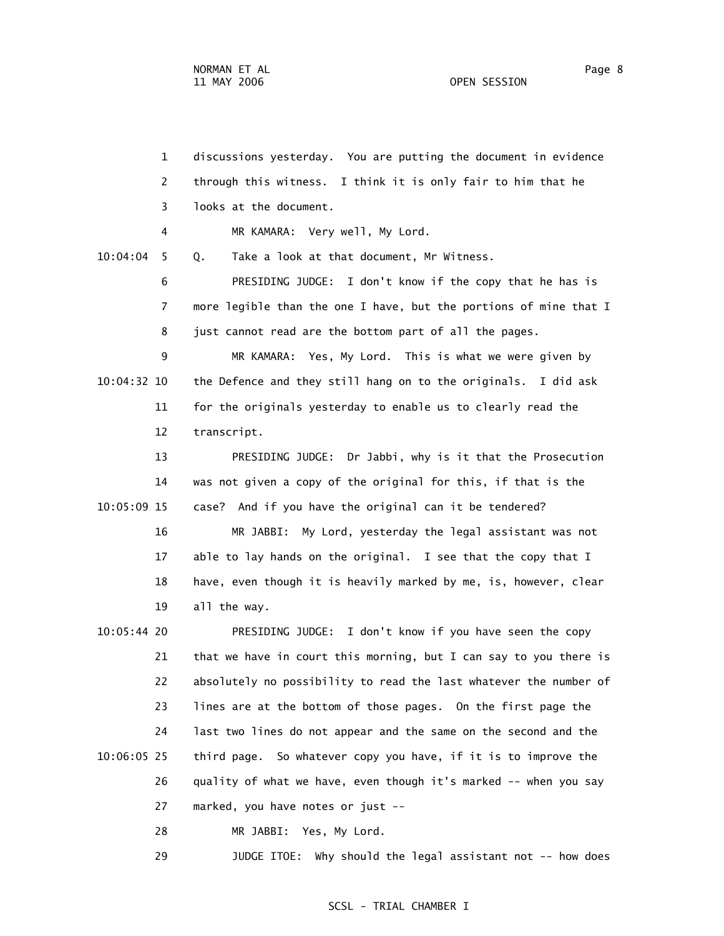1 discussions yesterday. You are putting the document in evidence 2 through this witness. I think it is only fair to him that he 3 looks at the document. 4 MR KAMARA: Very well, My Lord. 10:04:04 5 Q. Take a look at that document, Mr Witness. 6 PRESIDING JUDGE: I don't know if the copy that he has is 7 more legible than the one I have, but the portions of mine that I 8 just cannot read are the bottom part of all the pages. 9 MR KAMARA: Yes, My Lord. This is what we were given by 10:04:32 10 the Defence and they still hang on to the originals. I did ask 11 for the originals yesterday to enable us to clearly read the 12 transcript. 13 PRESIDING JUDGE: Dr Jabbi, why is it that the Prosecution 14 was not given a copy of the original for this, if that is the 10:05:09 15 case? And if you have the original can it be tendered? 16 MR JABBI: My Lord, yesterday the legal assistant was not 17 able to lay hands on the original. I see that the copy that I 18 have, even though it is heavily marked by me, is, however, clear 19 all the way. 10:05:44 20 PRESIDING JUDGE: I don't know if you have seen the copy 21 that we have in court this morning, but I can say to you there is 22 absolutely no possibility to read the last whatever the number of 23 lines are at the bottom of those pages. On the first page the 24 last two lines do not appear and the same on the second and the 10:06:05 25 third page. So whatever copy you have, if it is to improve the 26 quality of what we have, even though it's marked -- when you say 27 marked, you have notes or just --

28 MR JABBI: Yes, My Lord.

29 JUDGE ITOE: Why should the legal assistant not -- how does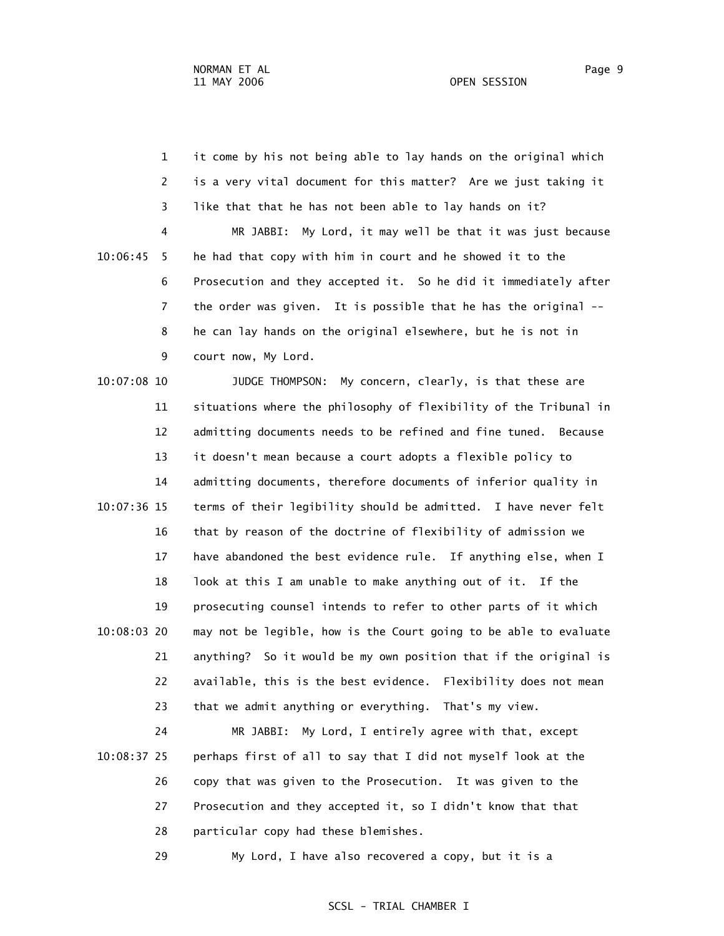1 it come by his not being able to lay hands on the original which 2 is a very vital document for this matter? Are we just taking it 3 like that that he has not been able to lay hands on it? 4 MR JABBI: My Lord, it may well be that it was just because 10:06:45 5 he had that copy with him in court and he showed it to the 6 Prosecution and they accepted it. So he did it immediately after 7 the order was given. It is possible that he has the original -- 8 he can lay hands on the original elsewhere, but he is not in 9 court now, My Lord.

 10:07:08 10 JUDGE THOMPSON: My concern, clearly, is that these are 11 situations where the philosophy of flexibility of the Tribunal in 12 admitting documents needs to be refined and fine tuned. Because 13 it doesn't mean because a court adopts a flexible policy to 14 admitting documents, therefore documents of inferior quality in 10:07:36 15 terms of their legibility should be admitted. I have never felt 16 that by reason of the doctrine of flexibility of admission we 17 have abandoned the best evidence rule. If anything else, when I 18 look at this I am unable to make anything out of it. If the 19 prosecuting counsel intends to refer to other parts of it which 10:08:03 20 may not be legible, how is the Court going to be able to evaluate 21 anything? So it would be my own position that if the original is 22 available, this is the best evidence. Flexibility does not mean 23 that we admit anything or everything. That's my view.

 24 MR JABBI: My Lord, I entirely agree with that, except 10:08:37 25 perhaps first of all to say that I did not myself look at the 26 copy that was given to the Prosecution. It was given to the 27 Prosecution and they accepted it, so I didn't know that that 28 particular copy had these blemishes.

29 My Lord, I have also recovered a copy, but it is a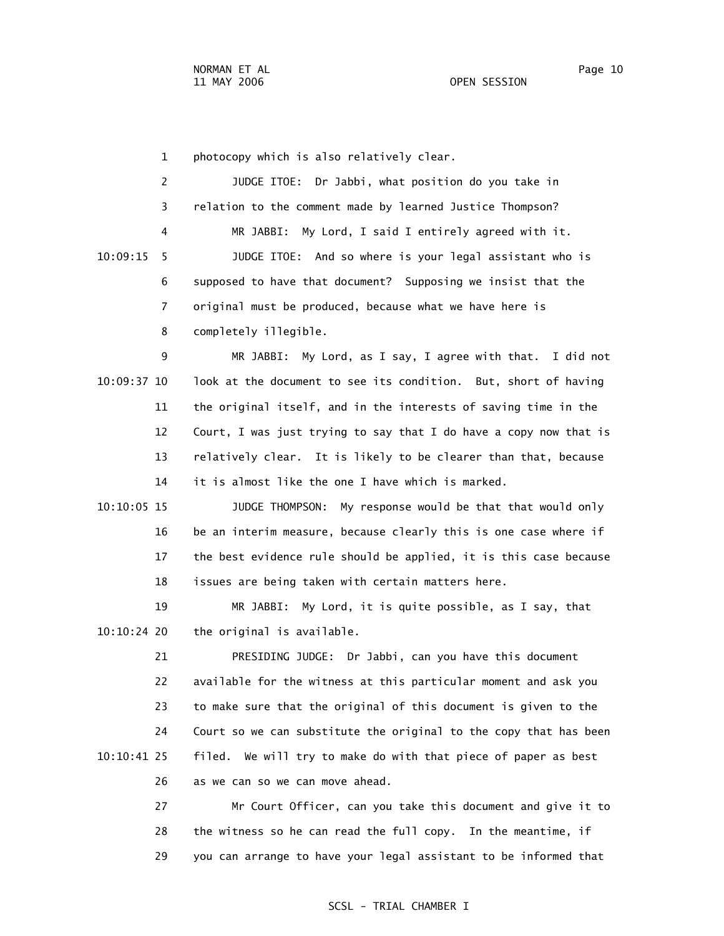1 photocopy which is also relatively clear.

|              |   | JUDGE ITOE: Dr Jabbi, what position do you take in           |
|--------------|---|--------------------------------------------------------------|
|              | 3 | relation to the comment made by learned Justice Thompson?    |
|              | 4 | MR JABBI: My Lord, I said I entirely agreed with it.         |
| $10:09:15$ 5 |   | JUDGE ITOE: And so where is your legal assistant who is      |
|              | 6 | supposed to have that document? Supposing we insist that the |
|              |   | original must be produced, because what we have here is      |
|              | 8 | completely illegible.                                        |

 9 MR JABBI: My Lord, as I say, I agree with that. I did not 10:09:37 10 look at the document to see its condition. But, short of having 11 the original itself, and in the interests of saving time in the 12 Court, I was just trying to say that I do have a copy now that is 13 relatively clear. It is likely to be clearer than that, because 14 it is almost like the one I have which is marked.

 10:10:05 15 JUDGE THOMPSON: My response would be that that would only 16 be an interim measure, because clearly this is one case where if 17 the best evidence rule should be applied, it is this case because 18 issues are being taken with certain matters here.

 19 MR JABBI: My Lord, it is quite possible, as I say, that 10:10:24 20 the original is available.

 21 PRESIDING JUDGE: Dr Jabbi, can you have this document 22 available for the witness at this particular moment and ask you 23 to make sure that the original of this document is given to the 24 Court so we can substitute the original to the copy that has been 10:10:41 25 filed. We will try to make do with that piece of paper as best 26 as we can so we can move ahead.

> 27 Mr Court Officer, can you take this document and give it to 28 the witness so he can read the full copy. In the meantime, if 29 you can arrange to have your legal assistant to be informed that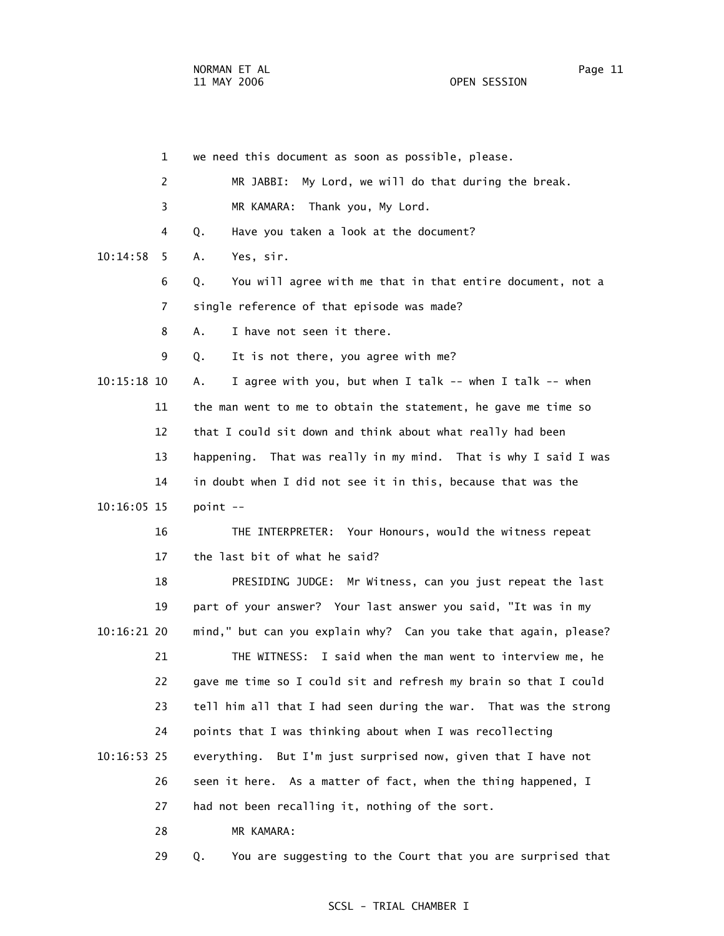1 we need this document as soon as possible, please. 2 MR JABBI: My Lord, we will do that during the break. 3 MR KAMARA: Thank you, My Lord. 4 Q. Have you taken a look at the document? 10:14:58 5 A. Yes, sir. 6 Q. You will agree with me that in that entire document, not a 7 single reference of that episode was made? 8 A. I have not seen it there. 9 Q. It is not there, you agree with me? 10:15:18 10 A. I agree with you, but when I talk -- when I talk -- when 11 the man went to me to obtain the statement, he gave me time so 12 that I could sit down and think about what really had been 13 happening. That was really in my mind. That is why I said I was 14 in doubt when I did not see it in this, because that was the 10:16:05 15 point -- 16 THE INTERPRETER: Your Honours, would the witness repeat 17 the last bit of what he said? 18 PRESIDING JUDGE: Mr Witness, can you just repeat the last 19 part of your answer? Your last answer you said, "It was in my 10:16:21 20 mind," but can you explain why? Can you take that again, please? 21 THE WITNESS: I said when the man went to interview me, he 22 gave me time so I could sit and refresh my brain so that I could 23 tell him all that I had seen during the war. That was the strong 24 points that I was thinking about when I was recollecting 10:16:53 25 everything. But I'm just surprised now, given that I have not 26 seen it here. As a matter of fact, when the thing happened, I 27 had not been recalling it, nothing of the sort. 28 MR KAMARA:

29 Q. You are suggesting to the Court that you are surprised that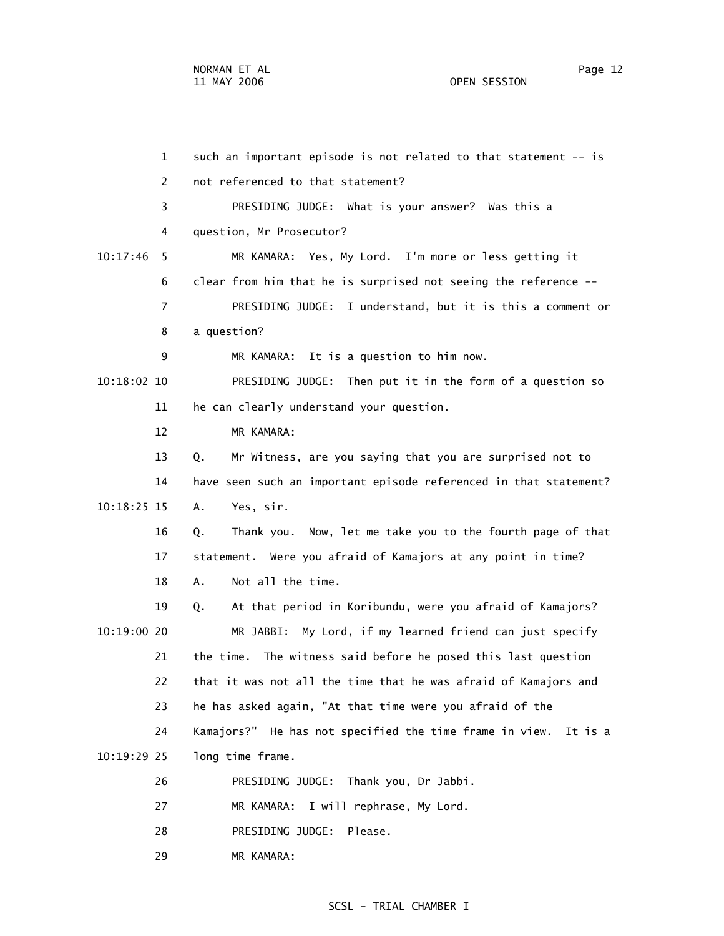1 such an important episode is not related to that statement -- is 2 not referenced to that statement? 3 PRESIDING JUDGE: What is your answer? Was this a 4 question, Mr Prosecutor? 10:17:46 5 MR KAMARA: Yes, My Lord. I'm more or less getting it 6 clear from him that he is surprised not seeing the reference -- 7 PRESIDING JUDGE: I understand, but it is this a comment or 8 a question? 9 MR KAMARA: It is a question to him now. 10:18:02 10 PRESIDING JUDGE: Then put it in the form of a question so 11 he can clearly understand your question. 12 MR KAMARA: 13 Q. Mr Witness, are you saying that you are surprised not to 14 have seen such an important episode referenced in that statement? 10:18:25 15 A. Yes, sir. 16 Q. Thank you. Now, let me take you to the fourth page of that 17 statement. Were you afraid of Kamajors at any point in time? 18 A. Not all the time. 19 Q. At that period in Koribundu, were you afraid of Kamajors? 10:19:00 20 MR JABBI: My Lord, if my learned friend can just specify 21 the time. The witness said before he posed this last question 22 that it was not all the time that he was afraid of Kamajors and 23 he has asked again, "At that time were you afraid of the 24 Kamajors?" He has not specified the time frame in view. It is a 10:19:29 25 long time frame. 26 PRESIDING JUDGE: Thank you, Dr Jabbi. 27 MR KAMARA: I will rephrase, My Lord. 28 PRESIDING JUDGE: Please.

29 MR KAMARA: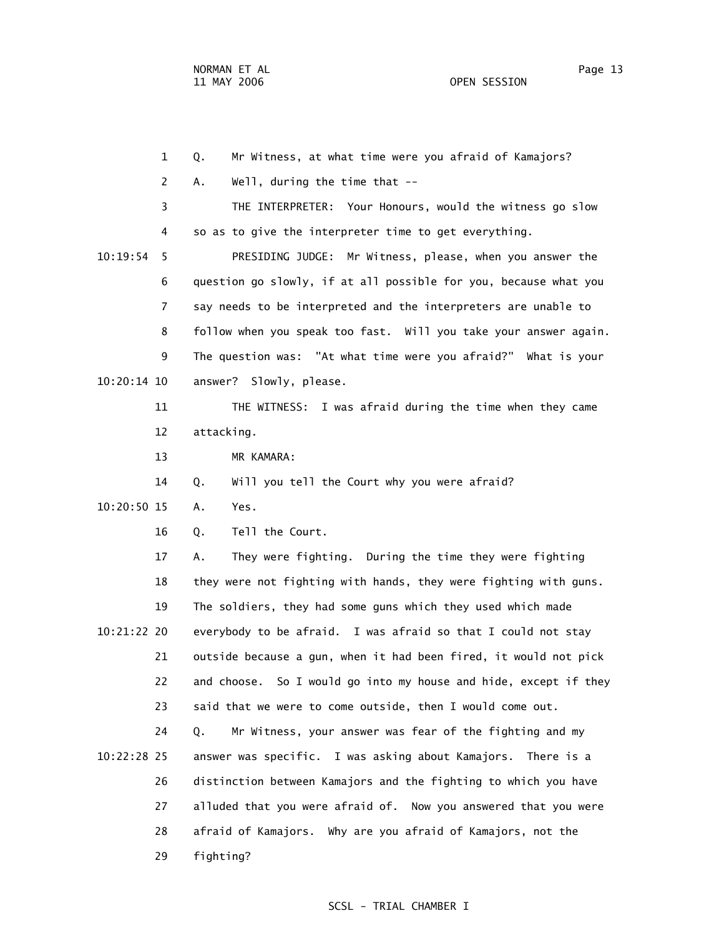1 Q. Mr Witness, at what time were you afraid of Kamajors? 2 A. Well, during the time that -- 3 THE INTERPRETER: Your Honours, would the witness go slow 4 so as to give the interpreter time to get everything. 10:19:54 5 PRESIDING JUDGE: Mr Witness, please, when you answer the 6 question go slowly, if at all possible for you, because what you 7 say needs to be interpreted and the interpreters are unable to 8 follow when you speak too fast. Will you take your answer again. 9 The question was: "At what time were you afraid?" What is your 10:20:14 10 answer? Slowly, please. 11 THE WITNESS: I was afraid during the time when they came 12 attacking. 13 MR KAMARA: 14 Q. Will you tell the Court why you were afraid? 10:20:50 15 A. Yes. 16 Q. Tell the Court. 17 A. They were fighting. During the time they were fighting 18 they were not fighting with hands, they were fighting with guns. 19 The soldiers, they had some guns which they used which made 10:21:22 20 everybody to be afraid. I was afraid so that I could not stay 21 outside because a gun, when it had been fired, it would not pick 22 and choose. So I would go into my house and hide, except if they 23 said that we were to come outside, then I would come out. 24 Q. Mr Witness, your answer was fear of the fighting and my 10:22:28 25 answer was specific. I was asking about Kamajors. There is a 26 distinction between Kamajors and the fighting to which you have 27 alluded that you were afraid of. Now you answered that you were 28 afraid of Kamajors. Why are you afraid of Kamajors, not the 29 fighting?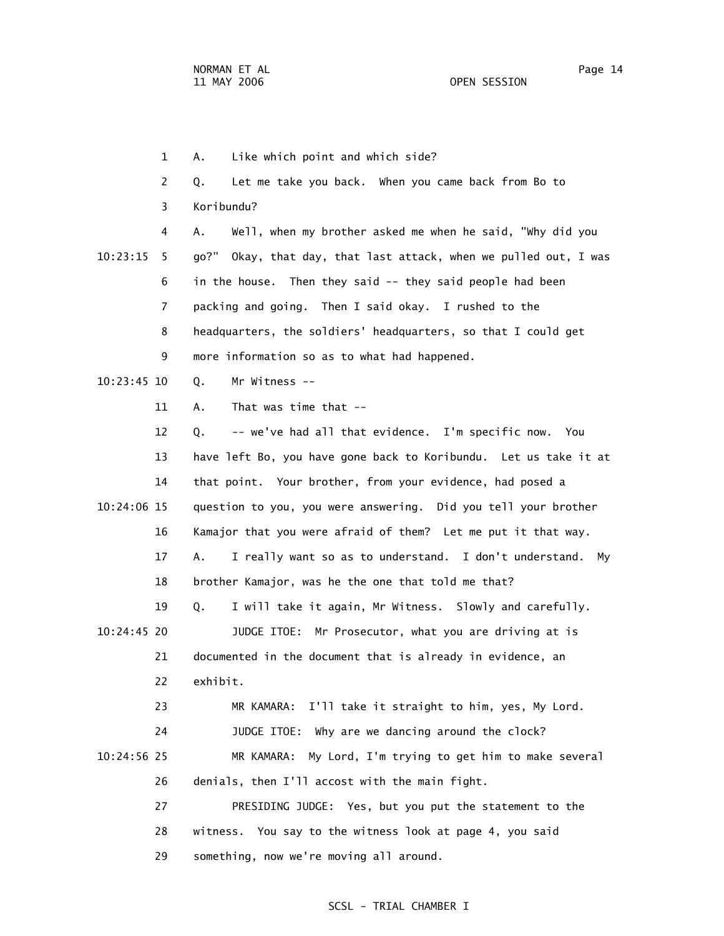1 A. Like which point and which side? 2 Q. Let me take you back. When you came back from Bo to 3 Koribundu? 4 A. Well, when my brother asked me when he said, "Why did you 10:23:15 5 go?" Okay, that day, that last attack, when we pulled out, I was 6 in the house. Then they said -- they said people had been 7 packing and going. Then I said okay. I rushed to the 8 headquarters, the soldiers' headquarters, so that I could get 9 more information so as to what had happened. 10:23:45 10 Q. Mr Witness -- 11 A. That was time that -- 12 Q. -- we've had all that evidence. I'm specific now. You 13 have left Bo, you have gone back to Koribundu. Let us take it at 14 that point. Your brother, from your evidence, had posed a 10:24:06 15 question to you, you were answering. Did you tell your brother 16 Kamajor that you were afraid of them? Let me put it that way. 17 A. I really want so as to understand. I don't understand. My 18 brother Kamajor, was he the one that told me that? 19 Q. I will take it again, Mr Witness. Slowly and carefully. 10:24:45 20 JUDGE ITOE: Mr Prosecutor, what you are driving at is 21 documented in the document that is already in evidence, an 22 exhibit. 23 MR KAMARA: I'll take it straight to him, yes, My Lord. 24 JUDGE ITOE: Why are we dancing around the clock? 10:24:56 25 MR KAMARA: My Lord, I'm trying to get him to make several 26 denials, then I'll accost with the main fight. 27 PRESIDING JUDGE: Yes, but you put the statement to the 28 witness. You say to the witness look at page 4, you said

#### SCSL - TRIAL CHAMBER I

29 something, now we're moving all around.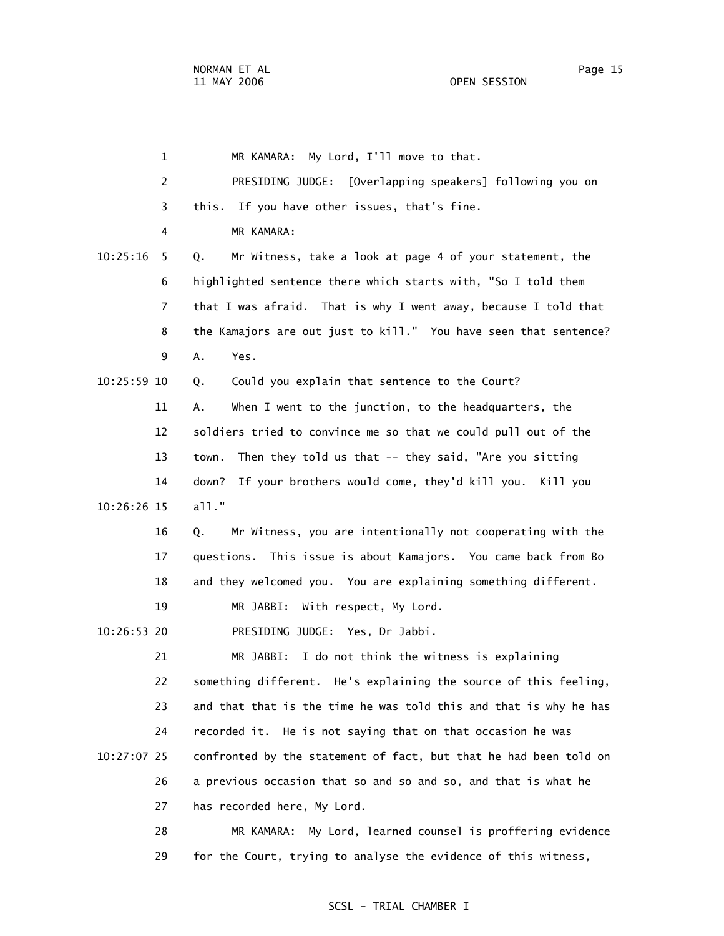1 MR KAMARA: My Lord, I'll move to that. 2 PRESIDING JUDGE: [Overlapping speakers] following you on 3 this. If you have other issues, that's fine. 4 MR KAMARA: 10:25:16 5 Q. Mr Witness, take a look at page 4 of your statement, the 6 highlighted sentence there which starts with, "So I told them 7 that I was afraid. That is why I went away, because I told that 8 the Kamajors are out just to kill." You have seen that sentence? 9 A. Yes. 10:25:59 10 Q. Could you explain that sentence to the Court? 11 A. When I went to the junction, to the headquarters, the 12 soldiers tried to convince me so that we could pull out of the 13 town. Then they told us that -- they said, "Are you sitting 14 down? If your brothers would come, they'd kill you. Kill you 10:26:26 15 all." 16 Q. Mr Witness, you are intentionally not cooperating with the 17 questions. This issue is about Kamajors. You came back from Bo 18 and they welcomed you. You are explaining something different. 19 MR JABBI: With respect, My Lord. 10:26:53 20 PRESIDING JUDGE: Yes, Dr Jabbi. 21 MR JABBI: I do not think the witness is explaining 22 something different. He's explaining the source of this feeling, 23 and that that is the time he was told this and that is why he has 24 recorded it. He is not saying that on that occasion he was 10:27:07 25 confronted by the statement of fact, but that he had been told on 26 a previous occasion that so and so and so, and that is what he 27 has recorded here, My Lord. 28 MR KAMARA: My Lord, learned counsel is proffering evidence 29 for the Court, trying to analyse the evidence of this witness,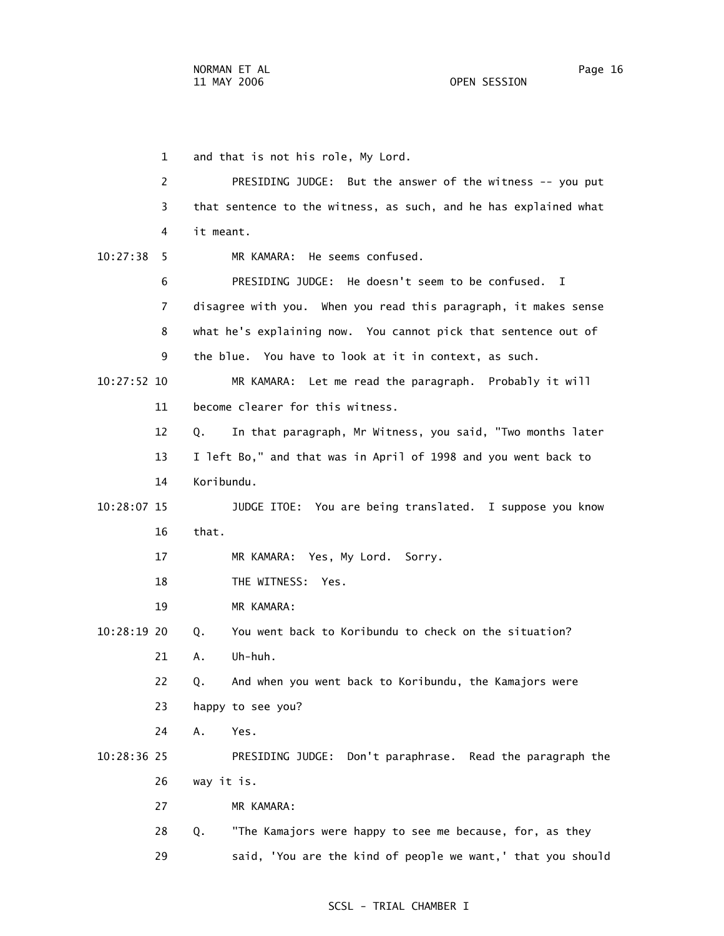1 and that is not his role, My Lord. 2 PRESIDING JUDGE: But the answer of the witness -- you put 3 that sentence to the witness, as such, and he has explained what 4 it meant. 10:27:38 5 MR KAMARA: He seems confused. 6 PRESIDING JUDGE: He doesn't seem to be confused. I 7 disagree with you. When you read this paragraph, it makes sense 8 what he's explaining now. You cannot pick that sentence out of 9 the blue. You have to look at it in context, as such. 10:27:52 10 MR KAMARA: Let me read the paragraph. Probably it will 11 become clearer for this witness. 12 Q. In that paragraph, Mr Witness, you said, "Two months later 13 I left Bo," and that was in April of 1998 and you went back to 14 Koribundu. 10:28:07 15 JUDGE ITOE: You are being translated. I suppose you know 16 that. 17 MR KAMARA: Yes, My Lord. Sorry. 18 THE WITNESS: Yes. 19 MR KAMARA: 10:28:19 20 Q. You went back to Koribundu to check on the situation? 21 A. Uh-huh. 22 Q. And when you went back to Koribundu, the Kamajors were 23 happy to see you? 24 A. Yes. 10:28:36 25 PRESIDING JUDGE: Don't paraphrase. Read the paragraph the 26 way it is. 27 MR KAMARA: 28 Q. "The Kamajors were happy to see me because, for, as they

29 said, 'You are the kind of people we want,' that you should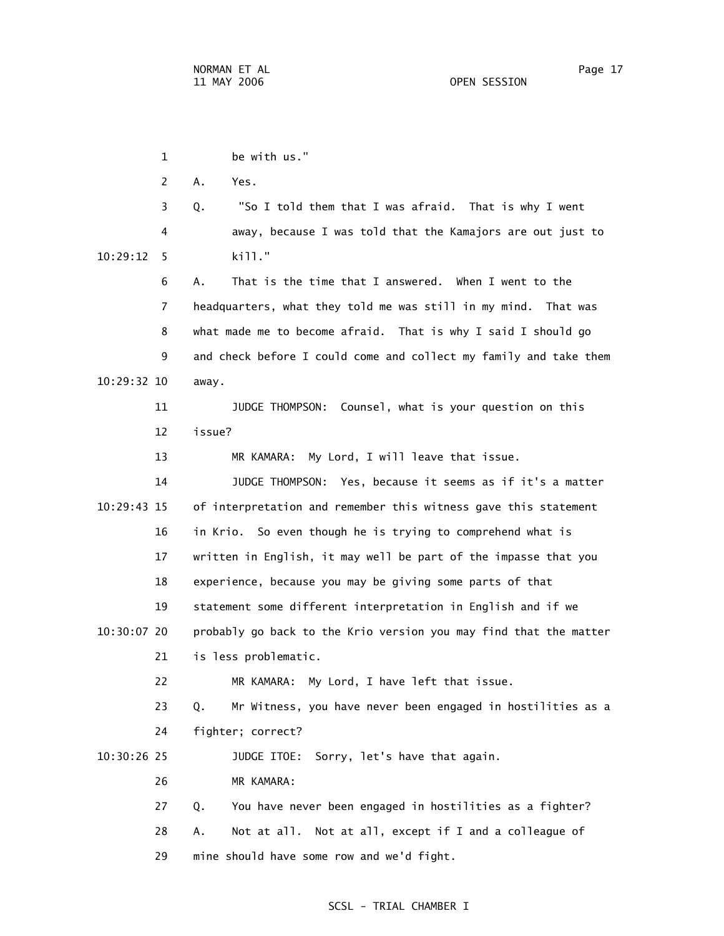1 be with us." 2 A. Yes. 3 Q. "So I told them that I was afraid. That is why I went 4 away, because I was told that the Kamajors are out just to 10:29:12 5 kill." 6 A. That is the time that I answered. When I went to the 7 headquarters, what they told me was still in my mind. That was 8 what made me to become afraid. That is why I said I should go 9 and check before I could come and collect my family and take them 10:29:32 10 away. 11 JUDGE THOMPSON: Counsel, what is your question on this 12 issue? 13 MR KAMARA: My Lord, I will leave that issue. 14 JUDGE THOMPSON: Yes, because it seems as if it's a matter 10:29:43 15 of interpretation and remember this witness gave this statement 16 in Krio. So even though he is trying to comprehend what is 17 written in English, it may well be part of the impasse that you 18 experience, because you may be giving some parts of that 19 statement some different interpretation in English and if we 10:30:07 20 probably go back to the Krio version you may find that the matter 21 is less problematic. 22 MR KAMARA: My Lord, I have left that issue. 23 Q. Mr Witness, you have never been engaged in hostilities as a 24 fighter; correct? 10:30:26 25 JUDGE ITOE: Sorry, let's have that again. 26 MR KAMARA: 27 Q. You have never been engaged in hostilities as a fighter? 28 A. Not at all. Not at all, except if I and a colleague of 29 mine should have some row and we'd fight.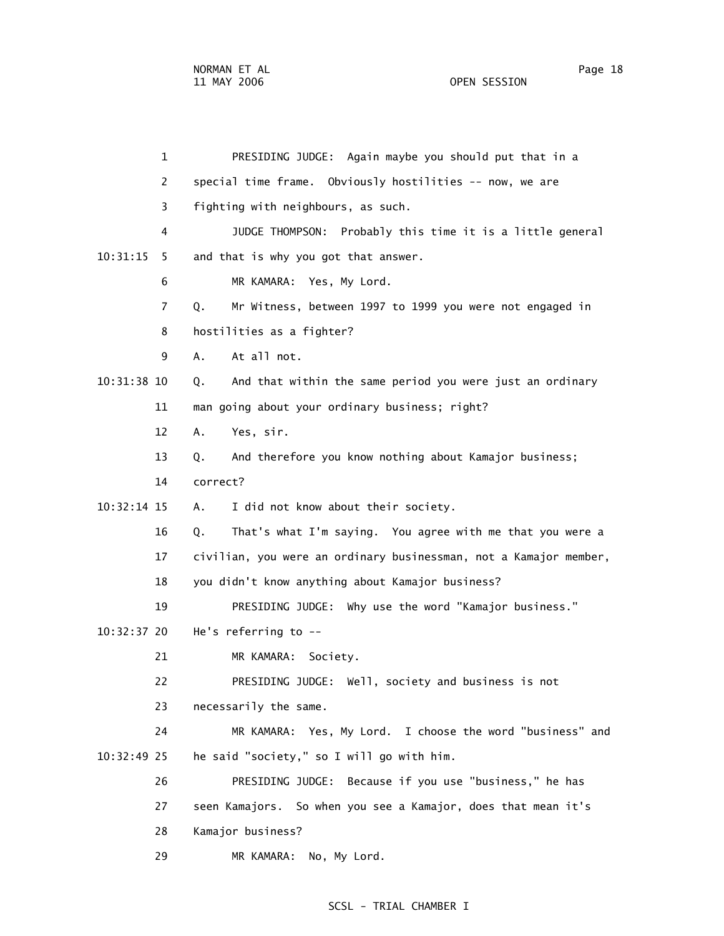1 PRESIDING JUDGE: Again maybe you should put that in a 2 special time frame. Obviously hostilities -- now, we are 3 fighting with neighbours, as such. 4 JUDGE THOMPSON: Probably this time it is a little general 10:31:15 5 and that is why you got that answer. 6 MR KAMARA: Yes, My Lord. 7 Q. Mr Witness, between 1997 to 1999 you were not engaged in 8 hostilities as a fighter? 9 A. At all not. 10:31:38 10 Q. And that within the same period you were just an ordinary 11 man going about your ordinary business; right? 12 A. Yes, sir. 13 Q. And therefore you know nothing about Kamajor business; 14 correct? 10:32:14 15 A. I did not know about their society. 16 Q. That's what I'm saying. You agree with me that you were a 17 civilian, you were an ordinary businessman, not a Kamajor member, 18 you didn't know anything about Kamajor business? 19 PRESIDING JUDGE: Why use the word "Kamajor business." 10:32:37 20 He's referring to -- 21 MR KAMARA: Society. 22 PRESIDING JUDGE: Well, society and business is not 23 necessarily the same. 24 MR KAMARA: Yes, My Lord. I choose the word "business" and 10:32:49 25 he said "society," so I will go with him. 26 PRESIDING JUDGE: Because if you use "business," he has 27 seen Kamajors. So when you see a Kamajor, does that mean it's 28 Kamajor business? 29 MR KAMARA: No, My Lord.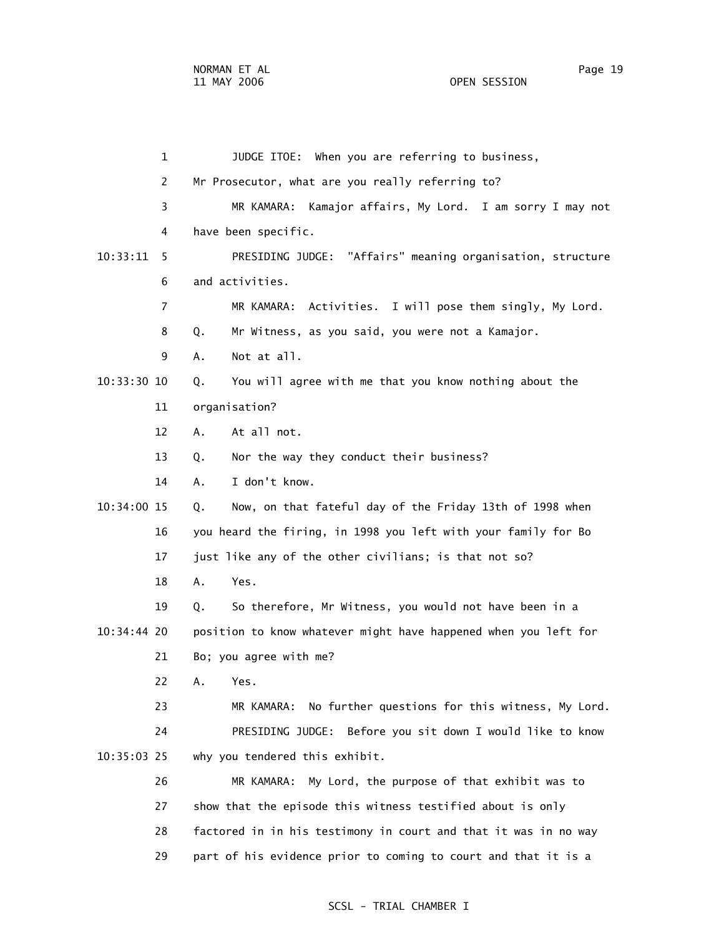1 JUDGE ITOE: When you are referring to business, 2 Mr Prosecutor, what are you really referring to? 3 MR KAMARA: Kamajor affairs, My Lord. I am sorry I may not 4 have been specific. 10:33:11 5 PRESIDING JUDGE: "Affairs" meaning organisation, structure 6 and activities. 7 MR KAMARA: Activities. I will pose them singly, My Lord. 8 Q. Mr Witness, as you said, you were not a Kamajor. 9 A. Not at all. 10:33:30 10 Q. You will agree with me that you know nothing about the 11 organisation? 12 A. At all not. 13 Q. Nor the way they conduct their business? 14 A. I don't know. 10:34:00 15 Q. Now, on that fateful day of the Friday 13th of 1998 when 16 you heard the firing, in 1998 you left with your family for Bo 17 just like any of the other civilians; is that not so? 18 A. Yes. 19 Q. So therefore, Mr Witness, you would not have been in a 10:34:44 20 position to know whatever might have happened when you left for 21 Bo; you agree with me? 22 A. Yes. 23 MR KAMARA: No further questions for this witness, My Lord. 24 PRESIDING JUDGE: Before you sit down I would like to know 10:35:03 25 why you tendered this exhibit. 26 MR KAMARA: My Lord, the purpose of that exhibit was to 27 show that the episode this witness testified about is only 28 factored in in his testimony in court and that it was in no way 29 part of his evidence prior to coming to court and that it is a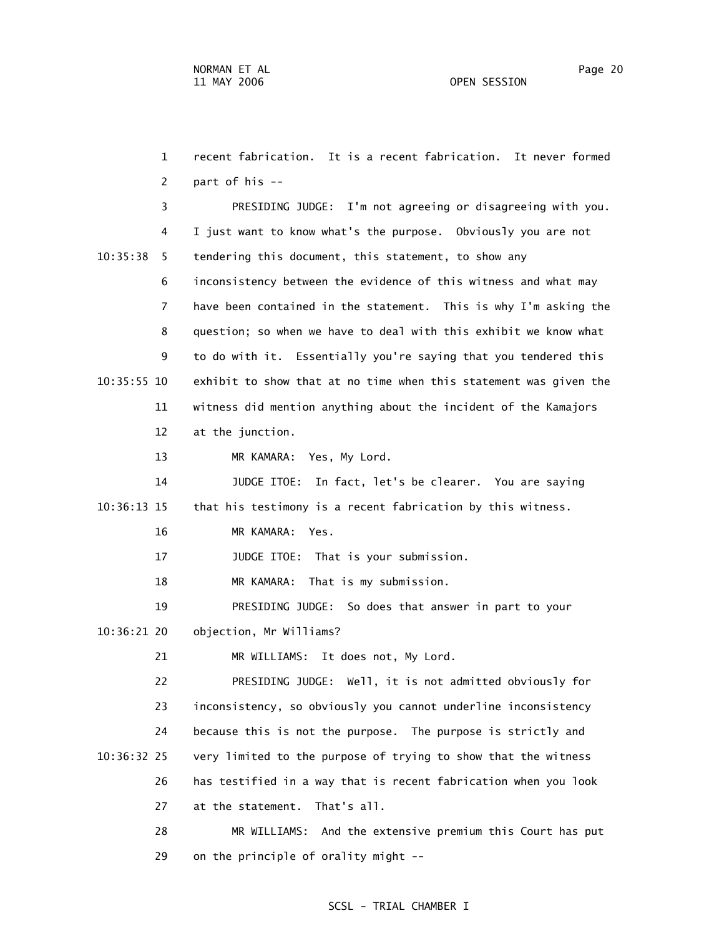1 recent fabrication. It is a recent fabrication. It never formed 2 part of his -- 3 PRESIDING JUDGE: I'm not agreeing or disagreeing with you. 4 I just want to know what's the purpose. Obviously you are not 10:35:38 5 tendering this document, this statement, to show any 6 inconsistency between the evidence of this witness and what may 7 have been contained in the statement. This is why I'm asking the 8 question; so when we have to deal with this exhibit we know what 9 to do with it. Essentially you're saying that you tendered this 10:35:55 10 exhibit to show that at no time when this statement was given the 11 witness did mention anything about the incident of the Kamajors 12 at the junction. 13 MR KAMARA: Yes, My Lord. 14 JUDGE ITOE: In fact, let's be clearer. You are saying 10:36:13 15 that his testimony is a recent fabrication by this witness. 16 MR KAMARA: Yes. 17 JUDGE ITOE: That is your submission. 18 MR KAMARA: That is my submission. 19 PRESIDING JUDGE: So does that answer in part to your 10:36:21 20 objection, Mr Williams? 21 MR WILLIAMS: It does not, My Lord. 22 PRESIDING JUDGE: Well, it is not admitted obviously for 23 inconsistency, so obviously you cannot underline inconsistency 24 because this is not the purpose. The purpose is strictly and 10:36:32 25 very limited to the purpose of trying to show that the witness 26 has testified in a way that is recent fabrication when you look 27 at the statement. That's all. 28 MR WILLIAMS: And the extensive premium this Court has put

29 on the principle of orality might --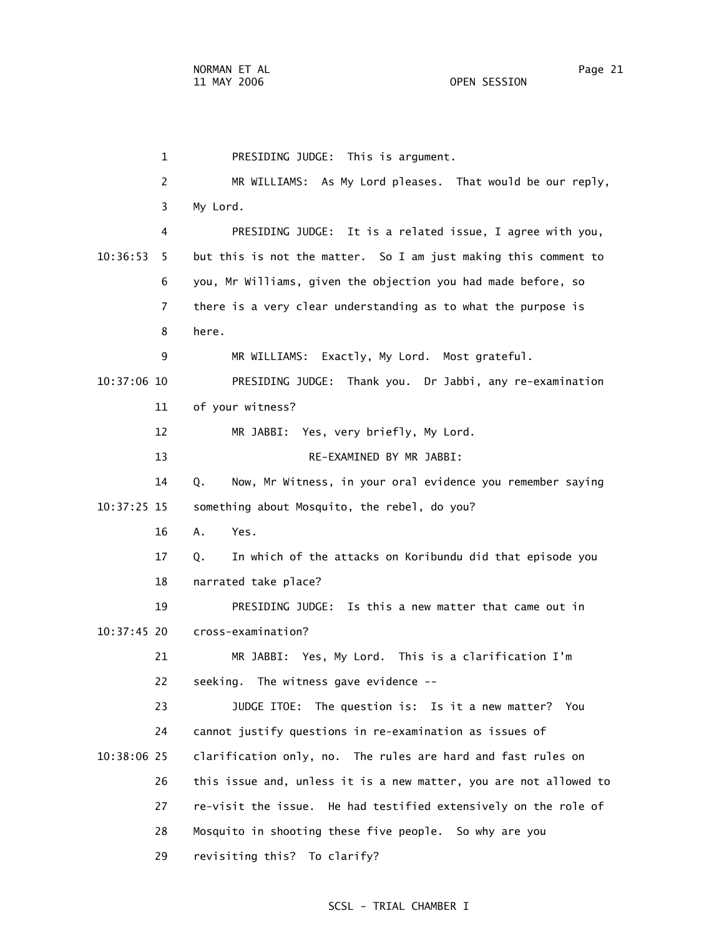1 PRESIDING JUDGE: This is argument. 2 MR WILLIAMS: As My Lord pleases. That would be our reply, 3 My Lord. 4 PRESIDING JUDGE: It is a related issue, I agree with you, 10:36:53 5 but this is not the matter. So I am just making this comment to 6 you, Mr Williams, given the objection you had made before, so 7 there is a very clear understanding as to what the purpose is 8 here. 9 MR WILLIAMS: Exactly, My Lord. Most grateful. 10:37:06 10 PRESIDING JUDGE: Thank you. Dr Jabbi, any re-examination 11 of your witness? 12 MR JABBI: Yes, very briefly, My Lord. 13 RE-EXAMINED BY MR JABBI: 14 Q. Now, Mr Witness, in your oral evidence you remember saying 10:37:25 15 something about Mosquito, the rebel, do you? 16 A. Yes. 17 Q. In which of the attacks on Koribundu did that episode you 18 narrated take place? 19 PRESIDING JUDGE: Is this a new matter that came out in 10:37:45 20 cross-examination? 21 MR JABBI: Yes, My Lord. This is a clarification I'm 22 seeking. The witness gave evidence -- 23 JUDGE ITOE: The question is: Is it a new matter? You 24 cannot justify questions in re-examination as issues of 10:38:06 25 clarification only, no. The rules are hard and fast rules on 26 this issue and, unless it is a new matter, you are not allowed to 27 re-visit the issue. He had testified extensively on the role of 28 Mosquito in shooting these five people. So why are you 29 revisiting this? To clarify?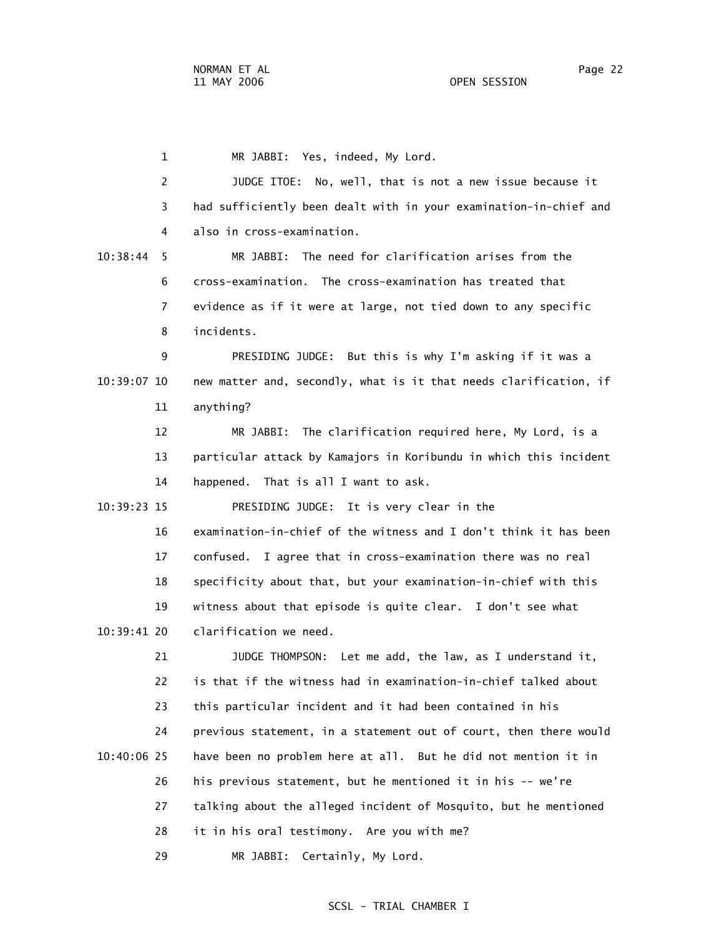1 MR JABBI: Yes, indeed, My Lord. 2 JUDGE ITOE: No, well, that is not a new issue because it 3 had sufficiently been dealt with in your examination-in-chief and 4 also in cross-examination. 10:38:44 5 MR JABBI: The need for clarification arises from the 6 cross-examination. The cross-examination has treated that 7 evidence as if it were at large, not tied down to any specific 8 incidents. 9 PRESIDING JUDGE: But this is why I'm asking if it was a 10:39:07 10 new matter and, secondly, what is it that needs clarification, if 11 anything? 12 MR JABBI: The clarification required here, My Lord, is a 13 particular attack by Kamajors in Koribundu in which this incident 14 happened. That is all I want to ask. 10:39:23 15 PRESIDING JUDGE: It is very clear in the 16 examination-in-chief of the witness and I don't think it has been 17 confused. I agree that in cross-examination there was no real 18 specificity about that, but your examination-in-chief with this 19 witness about that episode is quite clear. I don't see what 10:39:41 20 clarification we need. 21 JUDGE THOMPSON: Let me add, the law, as I understand it, 22 is that if the witness had in examination-in-chief talked about 23 this particular incident and it had been contained in his 24 previous statement, in a statement out of court, then there would 10:40:06 25 have been no problem here at all. But he did not mention it in 26 his previous statement, but he mentioned it in his -- we're 27 talking about the alleged incident of Mosquito, but he mentioned 28 it in his oral testimony. Are you with me?

29 MR JABBI: Certainly, My Lord.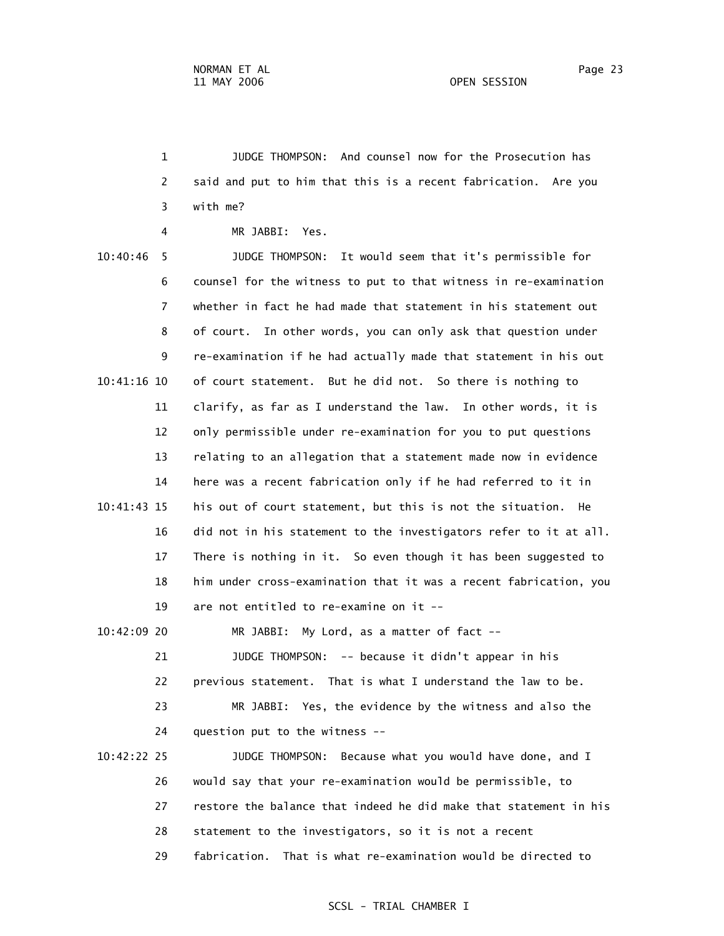1 JUDGE THOMPSON: And counsel now for the Prosecution has 2 said and put to him that this is a recent fabrication. Are you 3 with me?

4 MR JABBI: Yes.

 10:40:46 5 JUDGE THOMPSON: It would seem that it's permissible for 6 counsel for the witness to put to that witness in re-examination 7 whether in fact he had made that statement in his statement out 8 of court. In other words, you can only ask that question under 9 re-examination if he had actually made that statement in his out 10:41:16 10 of court statement. But he did not. So there is nothing to 11 clarify, as far as I understand the law. In other words, it is 12 only permissible under re-examination for you to put questions 13 relating to an allegation that a statement made now in evidence 14 here was a recent fabrication only if he had referred to it in 10:41:43 15 his out of court statement, but this is not the situation. He 16 did not in his statement to the investigators refer to it at all. 17 There is nothing in it. So even though it has been suggested to 18 him under cross-examination that it was a recent fabrication, you 19 are not entitled to re-examine on it -- 10:42:09 20 MR JABBI: My Lord, as a matter of fact --

 21 JUDGE THOMPSON: -- because it didn't appear in his 22 previous statement. That is what I understand the law to be.

 23 MR JABBI: Yes, the evidence by the witness and also the 24 question put to the witness --

 10:42:22 25 JUDGE THOMPSON: Because what you would have done, and I 26 would say that your re-examination would be permissible, to 27 restore the balance that indeed he did make that statement in his 28 statement to the investigators, so it is not a recent 29 fabrication. That is what re-examination would be directed to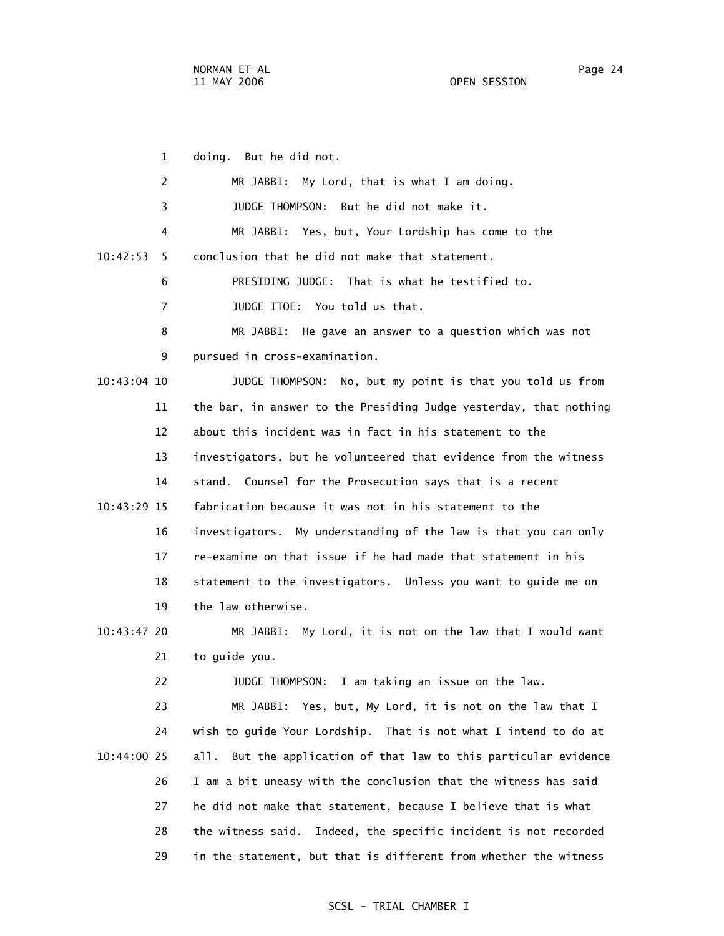1 doing. But he did not. 2 MR JABBI: My Lord, that is what I am doing. 3 JUDGE THOMPSON: But he did not make it. 4 MR JABBI: Yes, but, Your Lordship has come to the 10:42:53 5 conclusion that he did not make that statement. 6 PRESIDING JUDGE: That is what he testified to. 7 JUDGE ITOE: You told us that. 8 MR JABBI: He gave an answer to a question which was not 9 pursued in cross-examination. 10:43:04 10 JUDGE THOMPSON: No, but my point is that you told us from 11 the bar, in answer to the Presiding Judge yesterday, that nothing 12 about this incident was in fact in his statement to the 13 investigators, but he volunteered that evidence from the witness 14 stand. Counsel for the Prosecution says that is a recent 10:43:29 15 fabrication because it was not in his statement to the 16 investigators. My understanding of the law is that you can only 17 re-examine on that issue if he had made that statement in his 18 statement to the investigators. Unless you want to guide me on 19 the law otherwise. 10:43:47 20 MR JABBI: My Lord, it is not on the law that I would want 21 to guide you. 22 JUDGE THOMPSON: I am taking an issue on the law. 23 MR JABBI: Yes, but, My Lord, it is not on the law that I 24 wish to guide Your Lordship. That is not what I intend to do at 10:44:00 25 all. But the application of that law to this particular evidence 26 I am a bit uneasy with the conclusion that the witness has said 27 he did not make that statement, because I believe that is what 28 the witness said. Indeed, the specific incident is not recorded

29 in the statement, but that is different from whether the witness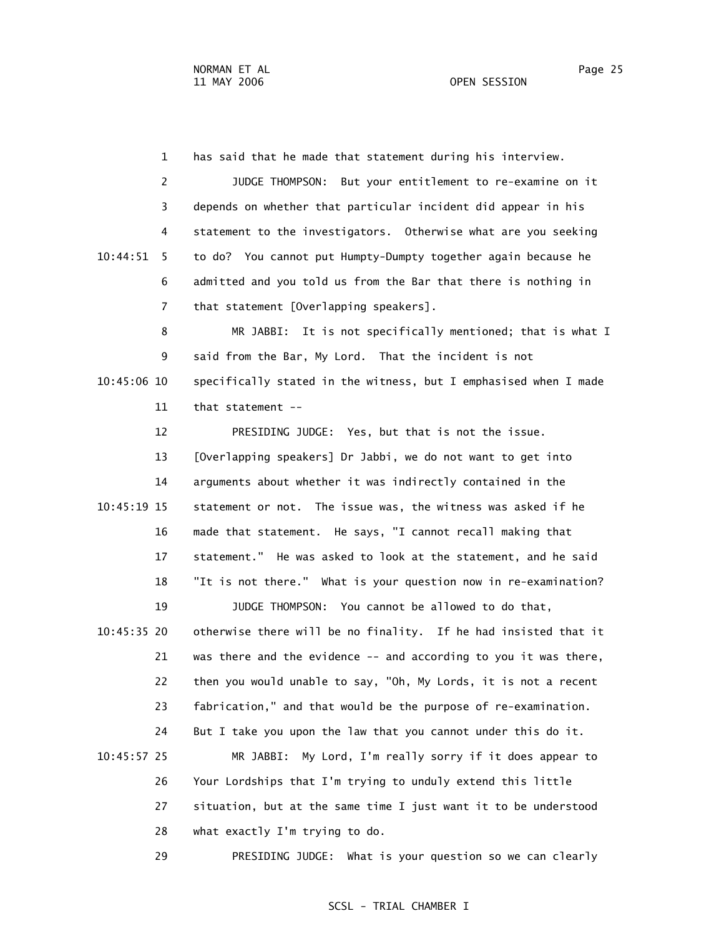1 has said that he made that statement during his interview. 2 JUDGE THOMPSON: But your entitlement to re-examine on it 3 depends on whether that particular incident did appear in his 4 statement to the investigators. Otherwise what are you seeking 10:44:51 5 to do? You cannot put Humpty-Dumpty together again because he 6 admitted and you told us from the Bar that there is nothing in 7 that statement [Overlapping speakers].

 8 MR JABBI: It is not specifically mentioned; that is what I 9 said from the Bar, My Lord. That the incident is not 10:45:06 10 specifically stated in the witness, but I emphasised when I made 11 that statement --

 12 PRESIDING JUDGE: Yes, but that is not the issue. 13 [Overlapping speakers] Dr Jabbi, we do not want to get into 14 arguments about whether it was indirectly contained in the 10:45:19 15 statement or not. The issue was, the witness was asked if he 16 made that statement. He says, "I cannot recall making that 17 statement." He was asked to look at the statement, and he said 18 "It is not there." What is your question now in re-examination? 19 JUDGE THOMPSON: You cannot be allowed to do that, 10:45:35 20 otherwise there will be no finality. If he had insisted that it 21 was there and the evidence -- and according to you it was there, 22 then you would unable to say, "Oh, My Lords, it is not a recent 23 fabrication," and that would be the purpose of re-examination. 24 But I take you upon the law that you cannot under this do it. 10:45:57 25 MR JABBI: My Lord, I'm really sorry if it does appear to 26 Your Lordships that I'm trying to unduly extend this little 27 situation, but at the same time I just want it to be understood 28 what exactly I'm trying to do.

29 PRESIDING JUDGE: What is your question so we can clearly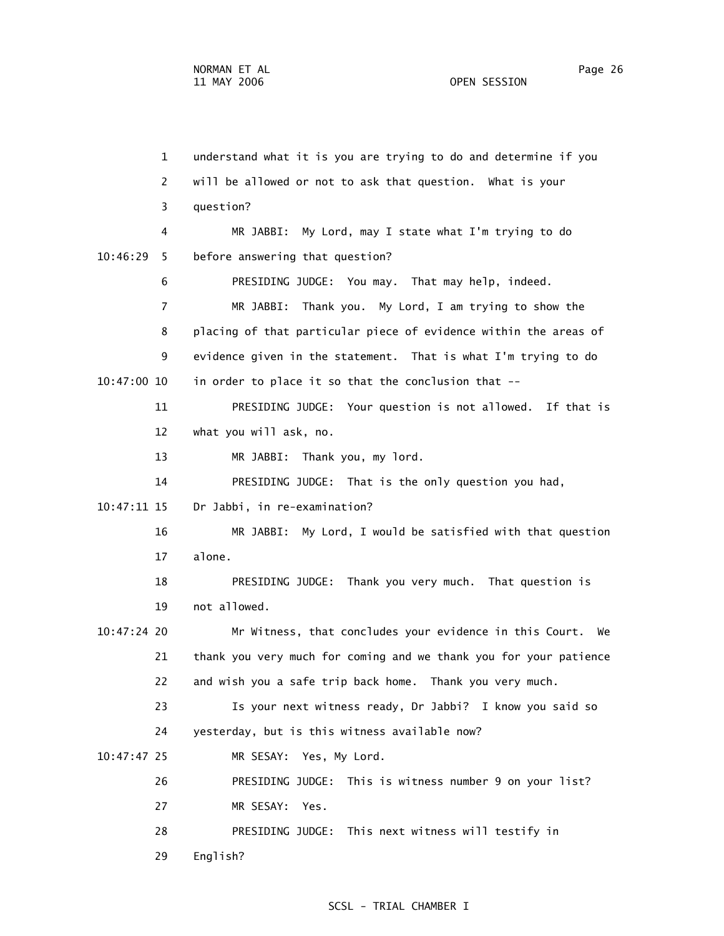29 English?

 1 understand what it is you are trying to do and determine if you 2 will be allowed or not to ask that question. What is your 3 question? 4 MR JABBI: My Lord, may I state what I'm trying to do 10:46:29 5 before answering that question? 6 PRESIDING JUDGE: You may. That may help, indeed. 7 MR JABBI: Thank you. My Lord, I am trying to show the 8 placing of that particular piece of evidence within the areas of 9 evidence given in the statement. That is what I'm trying to do 10:47:00 10 in order to place it so that the conclusion that -- 11 PRESIDING JUDGE: Your question is not allowed. If that is 12 what you will ask, no. 13 MR JABBI: Thank you, my lord. 14 PRESIDING JUDGE: That is the only question you had, 10:47:11 15 Dr Jabbi, in re-examination? 16 MR JABBI: My Lord, I would be satisfied with that question 17 alone. 18 PRESIDING JUDGE: Thank you very much. That question is 19 not allowed. 10:47:24 20 Mr Witness, that concludes your evidence in this Court. We 21 thank you very much for coming and we thank you for your patience 22 and wish you a safe trip back home. Thank you very much. 23 Is your next witness ready, Dr Jabbi? I know you said so 24 yesterday, but is this witness available now? 10:47:47 25 MR SESAY: Yes, My Lord. 26 PRESIDING JUDGE: This is witness number 9 on your list? 27 MR SESAY: Yes. 28 PRESIDING JUDGE: This next witness will testify in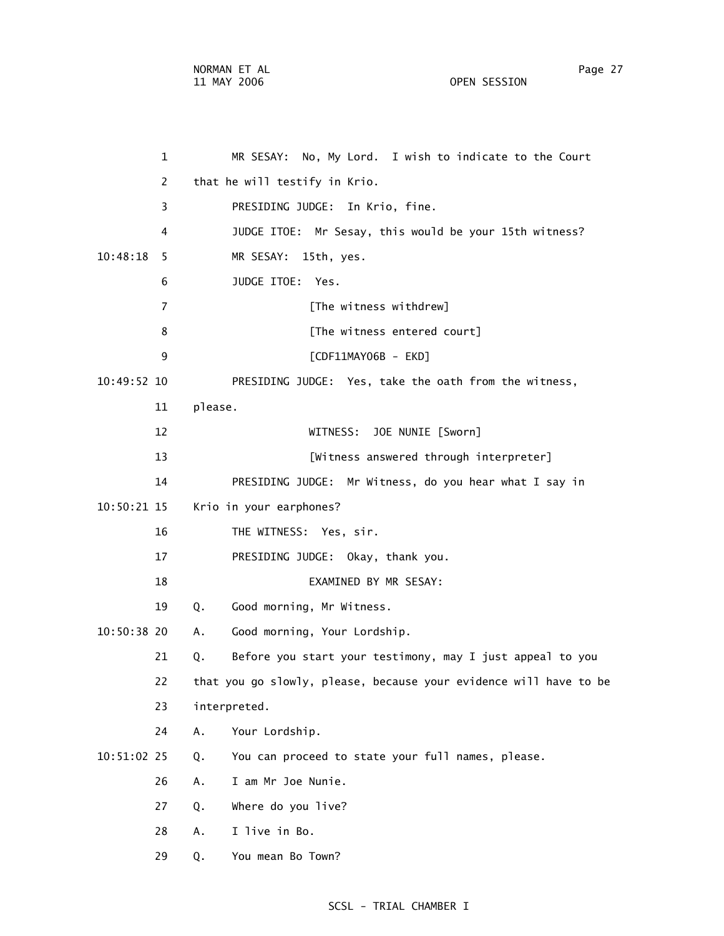1 MR SESAY: No, My Lord. I wish to indicate to the Court 2 that he will testify in Krio. 3 PRESIDING JUDGE: In Krio, fine. 4 JUDGE ITOE: Mr Sesay, this would be your 15th witness? 10:48:18 5 MR SESAY: 15th, yes. 6 JUDGE ITOE: Yes. 7 **[The witness withdrew]** 8 [The witness entered court] 9 [CDF11MAY06B - EKD] 10:49:52 10 PRESIDING JUDGE: Yes, take the oath from the witness, 11 please. 12 WITNESS: JOE NUNIE [Sworn] 13 [Witness answered through interpreter] 14 PRESIDING JUDGE: Mr Witness, do you hear what I say in 10:50:21 15 Krio in your earphones? 16 THE WITNESS: Yes, sir. 17 PRESIDING JUDGE: Okay, thank you. 18 EXAMINED BY MR SESAY: 19 Q. Good morning, Mr Witness. 10:50:38 20 A. Good morning, Your Lordship. 21 Q. Before you start your testimony, may I just appeal to you 22 that you go slowly, please, because your evidence will have to be 23 interpreted. 24 A. Your Lordship. 10:51:02 25 Q. You can proceed to state your full names, please. 26 A. I am Mr Joe Nunie. 27 Q. Where do you live? 28 A. I live in Bo.

29 Q. You mean Bo Town?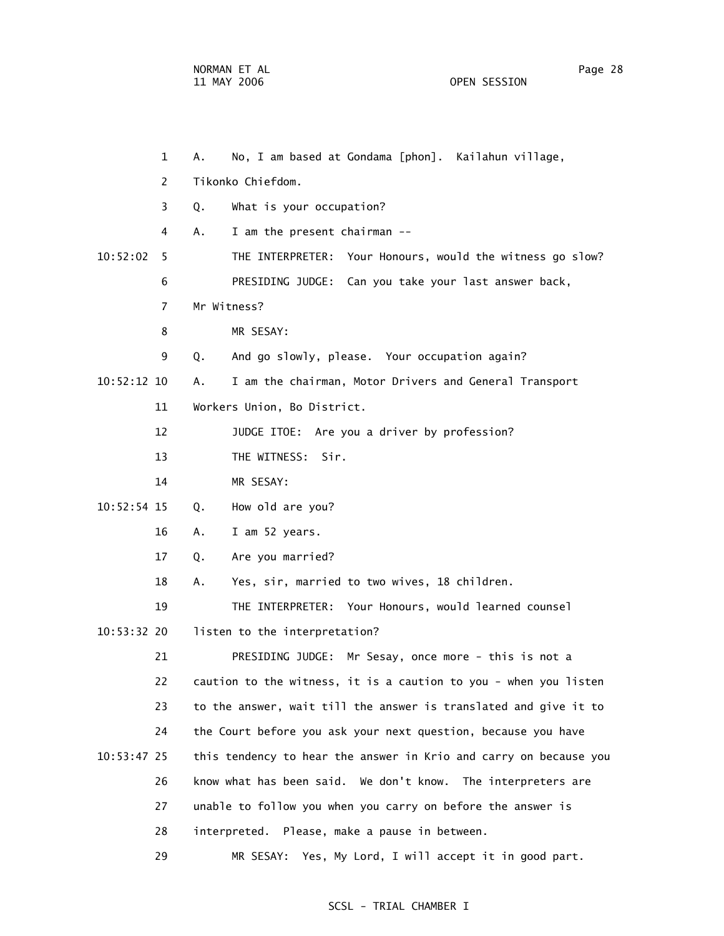1 A. No, I am based at Gondama [phon]. Kailahun village, 2 Tikonko Chiefdom. 3 Q. What is your occupation? 4 A. I am the present chairman -- 10:52:02 5 THE INTERPRETER: Your Honours, would the witness go slow? 6 PRESIDING JUDGE: Can you take your last answer back, 7 Mr Witness? 8 MR SESAY: 9 Q. And go slowly, please. Your occupation again? 10:52:12 10 A. I am the chairman, Motor Drivers and General Transport 11 Workers Union, Bo District. 12 JUDGE ITOE: Are you a driver by profession? 13 THE WITNESS: Sir. 14 MR SESAY: 10:52:54 15 Q. How old are you? 16 A. I am 52 years. 17 Q. Are you married? 18 A. Yes, sir, married to two wives, 18 children. 19 THE INTERPRETER: Your Honours, would learned counsel 10:53:32 20 listen to the interpretation? 21 PRESIDING JUDGE: Mr Sesay, once more - this is not a 22 caution to the witness, it is a caution to you - when you listen 23 to the answer, wait till the answer is translated and give it to 24 the Court before you ask your next question, because you have 10:53:47 25 this tendency to hear the answer in Krio and carry on because you 26 know what has been said. We don't know. The interpreters are 27 unable to follow you when you carry on before the answer is 28 interpreted. Please, make a pause in between. 29 MR SESAY: Yes, My Lord, I will accept it in good part.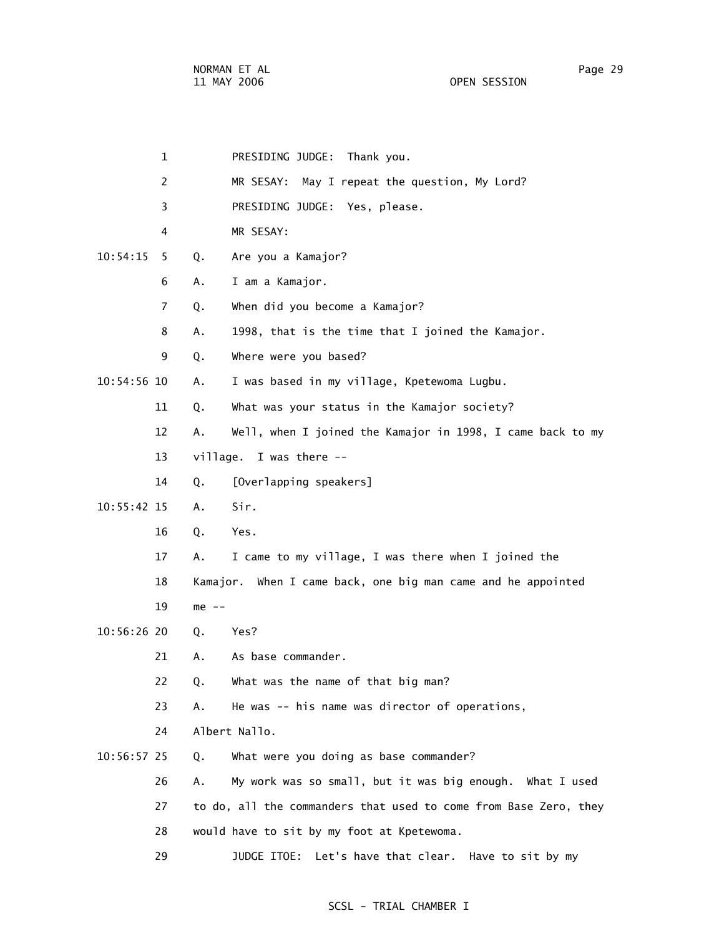| 1              |         | PRESIDING JUDGE: Thank you.                                      |
|----------------|---------|------------------------------------------------------------------|
| 2              |         | MR SESAY: May I repeat the question, My Lord?                    |
| 3              |         | PRESIDING JUDGE: Yes, please.                                    |
| 4              |         | MR SESAY:                                                        |
| 10:54:15<br>5  | Q.      | Are you a Kamajor?                                               |
| 6              | Α.      | I am a Kamajor.                                                  |
| $\overline{7}$ | Q.      | When did you become a Kamajor?                                   |
| 8              | Α.      | 1998, that is the time that I joined the Kamajor.                |
| 9              | Q.      | Where were you based?                                            |
| 10:54:56 10    | Α.      | I was based in my village, Kpetewoma Lugbu.                      |
| 11             | Q.      | What was your status in the Kamajor society?                     |
| 12             | Α.      | Well, when I joined the Kamajor in 1998, I came back to my       |
| 13             |         | village. I was there --                                          |
| 14             | Q.      | [Overlapping speakers]                                           |
| $10:55:42$ 15  | A.      | Sir.                                                             |
| 16             | Q.      | Yes.                                                             |
| 17             | А.      | I came to my village, I was there when I joined the              |
| 18             |         | Kamajor. When I came back, one big man came and he appointed     |
| 19             | $me$ -- |                                                                  |
| 10:56:26 20    | Q.      | Yes?                                                             |
| 21             | Α.      | As base commander.                                               |
| 22             | Q.      | What was the name of that big man?                               |
| 23             | А.      | He was -- his name was director of operations,                   |
| 24             |         | Albert Nallo.                                                    |
| 10:56:57 25    | Q.      | What were you doing as base commander?                           |
| 26             | Α.      | My work was so small, but it was big enough. What I used         |
| 27             |         | to do, all the commanders that used to come from Base Zero, they |
| 28             |         | would have to sit by my foot at Kpetewoma.                       |
| 29             |         | JUDGE ITOE: Let's have that clear.<br>Have to sit by my          |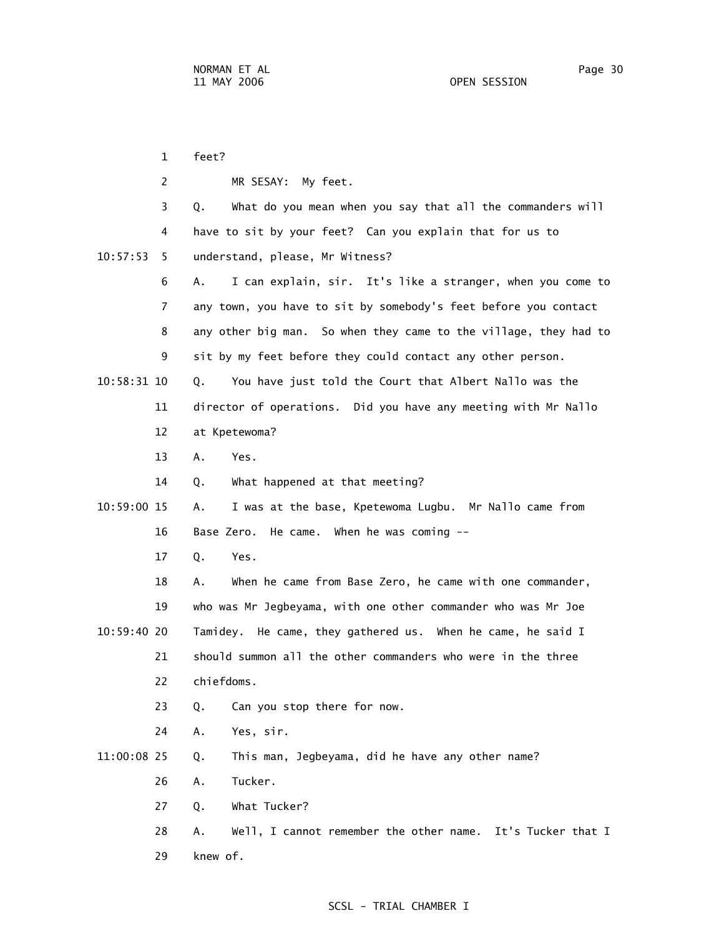|             | $\mathbf{1}$ | feet?                                                            |
|-------------|--------------|------------------------------------------------------------------|
|             | 2            | MR SESAY:<br>My feet.                                            |
|             | 3            | What do you mean when you say that all the commanders will<br>Q. |
|             | 4            | have to sit by your feet? Can you explain that for us to         |
| 10:57:53    | 5.           | understand, please, Mr Witness?                                  |
|             | 6            | I can explain, sir. It's like a stranger, when you come to<br>Α. |
|             | 7            | any town, you have to sit by somebody's feet before you contact  |
|             | 8            | any other big man. So when they came to the village, they had to |
|             | 9            | sit by my feet before they could contact any other person.       |
| 10:58:31 10 |              | You have just told the Court that Albert Nallo was the<br>Q.     |
|             | 11           | director of operations. Did you have any meeting with Mr Nallo   |
|             | 12           | at Kpetewoma?                                                    |
|             | 13           | Α.<br>Yes.                                                       |
|             | 14           | What happened at that meeting?<br>Q.                             |
| 10:59:00 15 |              | I was at the base, Kpetewoma Lugbu. Mr Nallo came from<br>Α.     |
|             | 16           | Base Zero. He came. When he was coming --                        |
|             | 17           | Yes.<br>Q.                                                       |
|             | 18           | When he came from Base Zero, he came with one commander,<br>А.   |
|             | 19           | who was Mr Jegbeyama, with one other commander who was Mr Joe    |
| 10:59:40 20 |              | Tamidey. He came, they gathered us. When he came, he said I      |
|             | 21           | should summon all the other commanders who were in the three     |
|             | 22           | chiefdoms.                                                       |
|             | 23           | Can you stop there for now.<br>Q.                                |
|             | 24           | Yes, sir.<br>Α.                                                  |
| 11:00:08 25 |              | This man, Jegbeyama, did he have any other name?<br>Q.           |
|             | 26           | Tucker.<br>Α.                                                    |
|             | 27           | What Tucker?<br>Q.                                               |
|             | 28           | Well, I cannot remember the other name. It's Tucker that I<br>Α. |
|             | 29           | knew of.                                                         |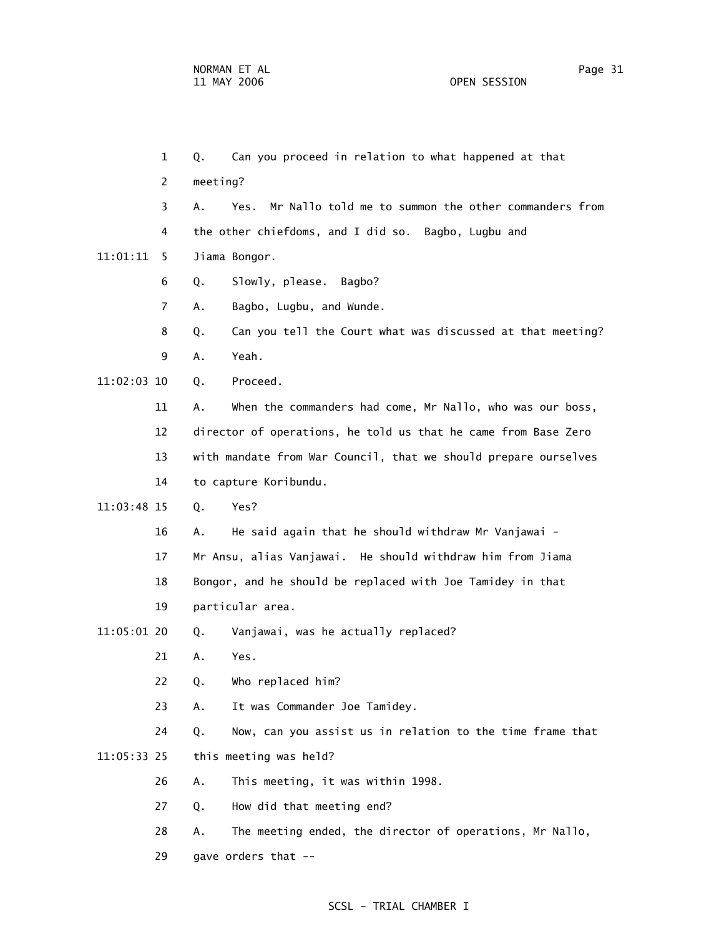1 Q. Can you proceed in relation to what happened at that 2 meeting? 3 A. Yes. Mr Nallo told me to summon the other commanders from 4 the other chiefdoms, and I did so. Bagbo, Lugbu and 11:01:11 5 Jiama Bongor. 6 Q. Slowly, please. Bagbo? 7 A. Bagbo, Lugbu, and Wunde. 8 Q. Can you tell the Court what was discussed at that meeting? 9 A. Yeah. 11:02:03 10 Q. Proceed. 11 A. When the commanders had come, Mr Nallo, who was our boss, 12 director of operations, he told us that he came from Base Zero 13 with mandate from War Council, that we should prepare ourselves 14 to capture Koribundu. 11:03:48 15 Q. Yes? 16 A. He said again that he should withdraw Mr Vanjawai - 17 Mr Ansu, alias Vanjawai. He should withdraw him from Jiama 18 Bongor, and he should be replaced with Joe Tamidey in that 19 particular area. 11:05:01 20 Q. Vanjawai, was he actually replaced? 21 A. Yes. 22 Q. Who replaced him? 23 A. It was Commander Joe Tamidey. 24 Q. Now, can you assist us in relation to the time frame that 11:05:33 25 this meeting was held? 26 A. This meeting, it was within 1998. 27 Q. How did that meeting end? 28 A. The meeting ended, the director of operations, Mr Nallo, 29 gave orders that --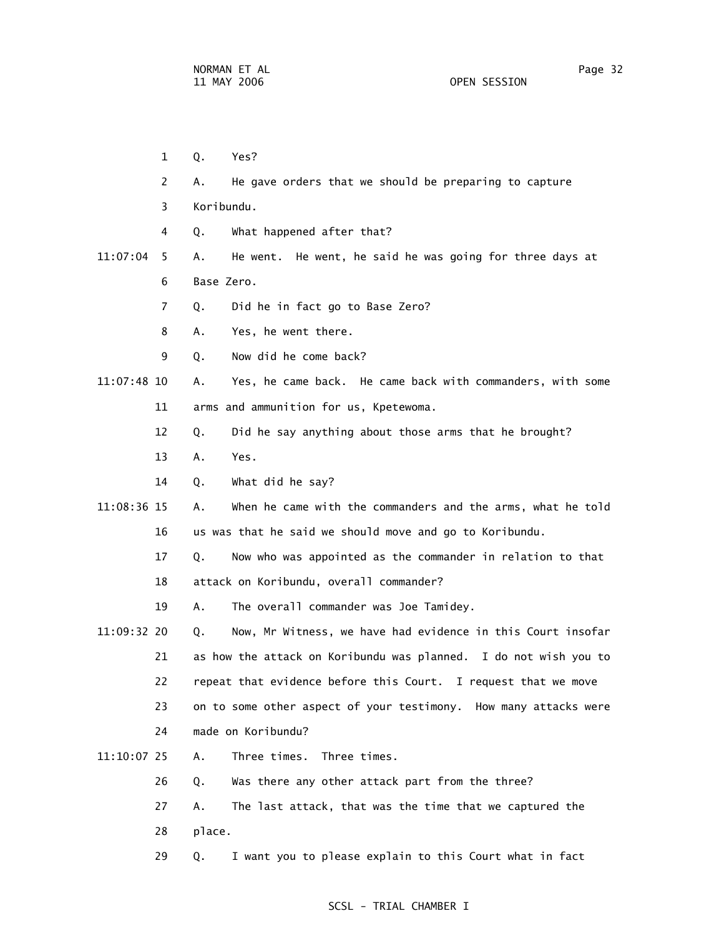- 1 Q. Yes? 2 A. He gave orders that we should be preparing to capture 3 Koribundu. 4 Q. What happened after that? 11:07:04 5 A. He went. He went, he said he was going for three days at 6 Base Zero. 7 Q. Did he in fact go to Base Zero? 8 A. Yes, he went there. 9 Q. Now did he come back? 11:07:48 10 A. Yes, he came back. He came back with commanders, with some 11 arms and ammunition for us, Kpetewoma. 12 Q. Did he say anything about those arms that he brought? 13 A. Yes. 14 Q. What did he say? 11:08:36 15 A. When he came with the commanders and the arms, what he told 16 us was that he said we should move and go to Koribundu. 17 Q. Now who was appointed as the commander in relation to that 18 attack on Koribundu, overall commander? 19 A. The overall commander was Joe Tamidey. 11:09:32 20 Q. Now, Mr Witness, we have had evidence in this Court insofar 21 as how the attack on Koribundu was planned. I do not wish you to 22 repeat that evidence before this Court. I request that we move 23 on to some other aspect of your testimony. How many attacks were 24 made on Koribundu? 11:10:07 25 A. Three times. Three times. 26 Q. Was there any other attack part from the three? 27 A. The last attack, that was the time that we captured the 28 place.
	- 29 Q. I want you to please explain to this Court what in fact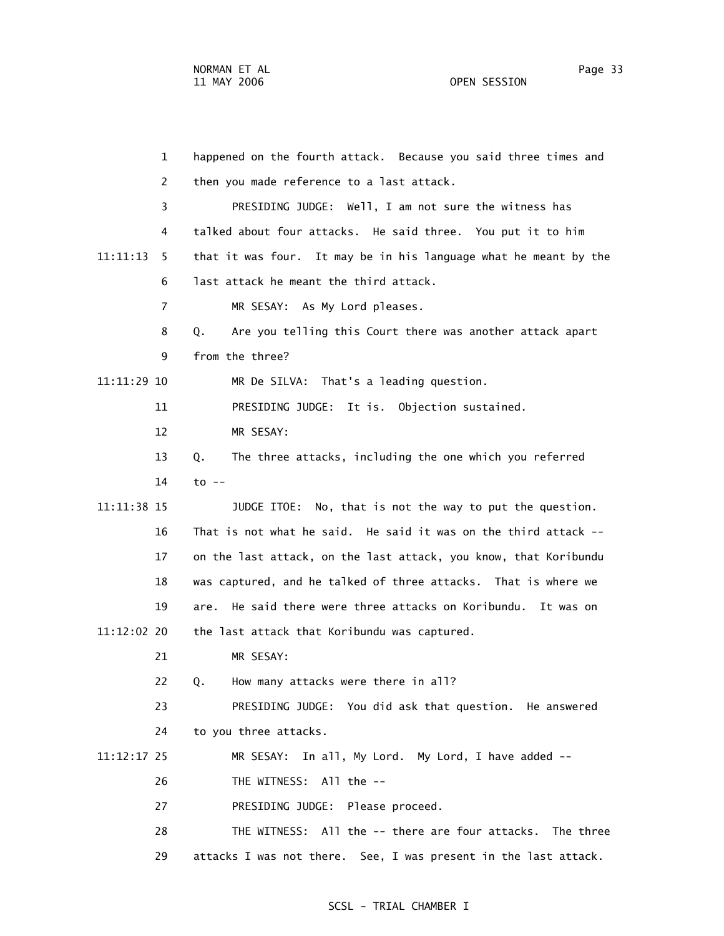| 1              | happened on the fourth attack. Because you said three times and  |
|----------------|------------------------------------------------------------------|
| 2              | then you made reference to a last attack.                        |
| 3              | PRESIDING JUDGE: Well, I am not sure the witness has             |
| 4              | talked about four attacks. He said three. You put it to him      |
| 11:11:13<br>5. | that it was four. It may be in his language what he meant by the |
| 6              | last attack he meant the third attack.                           |
| $\overline{7}$ | MR SESAY: As My Lord pleases.                                    |
| 8              | Are you telling this Court there was another attack apart<br>Q.  |
| 9              | from the three?                                                  |
| 11:11:29 10    | MR De SILVA: That's a leading question.                          |
| 11             | PRESIDING JUDGE: It is. Objection sustained.                     |
| 12             | MR SESAY:                                                        |
| 13             | The three attacks, including the one which you referred<br>Q.    |
| 14             | $to$ $-$                                                         |
| 11:11:38 15    | JUDGE ITOE: No, that is not the way to put the question.         |
| 16             | That is not what he said. He said it was on the third attack --  |
| 17             | on the last attack, on the last attack, you know, that Koribundu |
| 18             | was captured, and he talked of three attacks. That is where we   |
| 19             | He said there were three attacks on Koribundu. It was on<br>are. |
| 11:12:02 20    | the last attack that Koribundu was captured.                     |
| 21             | MR SESAY:                                                        |
| 22             | How many attacks were there in all?<br>Q.                        |
| 23             | PRESIDING JUDGE: You did ask that question. He answered          |
| 24             | to you three attacks.                                            |
| $11:12:17$ 25  | MR SESAY: In all, My Lord. My Lord, I have added --              |
| 26             | THE WITNESS: All the --                                          |
| 27             | PRESIDING JUDGE: Please proceed.                                 |
| 28             | THE WITNESS: All the -- there are four attacks. The three        |
| 29             | attacks I was not there. See, I was present in the last attack.  |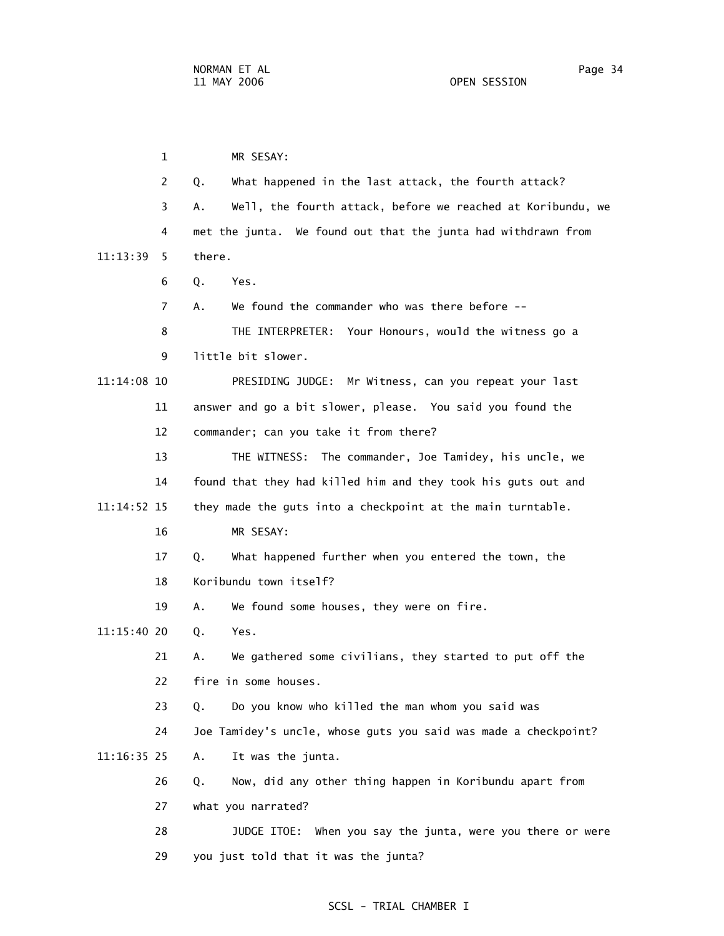1 MR SESAY: 2 Q. What happened in the last attack, the fourth attack? 3 A. Well, the fourth attack, before we reached at Koribundu, we 4 met the junta. We found out that the junta had withdrawn from 11:13:39 5 there. 6 Q. Yes. 7 A. We found the commander who was there before -- 8 THE INTERPRETER: Your Honours, would the witness go a 9 little bit slower. 11:14:08 10 PRESIDING JUDGE: Mr Witness, can you repeat your last 11 answer and go a bit slower, please. You said you found the 12 commander; can you take it from there? 13 THE WITNESS: The commander, Joe Tamidey, his uncle, we 14 found that they had killed him and they took his guts out and 11:14:52 15 they made the guts into a checkpoint at the main turntable. 16 MR SESAY: 17 Q. What happened further when you entered the town, the 18 Koribundu town itself? 19 A. We found some houses, they were on fire. 11:15:40 20 Q. Yes. 21 A. We gathered some civilians, they started to put off the 22 fire in some houses. 23 Q. Do you know who killed the man whom you said was 24 Joe Tamidey's uncle, whose guts you said was made a checkpoint? 11:16:35 25 A. It was the junta. 26 Q. Now, did any other thing happen in Koribundu apart from 27 what you narrated? 28 JUDGE ITOE: When you say the junta, were you there or were 29 you just told that it was the junta?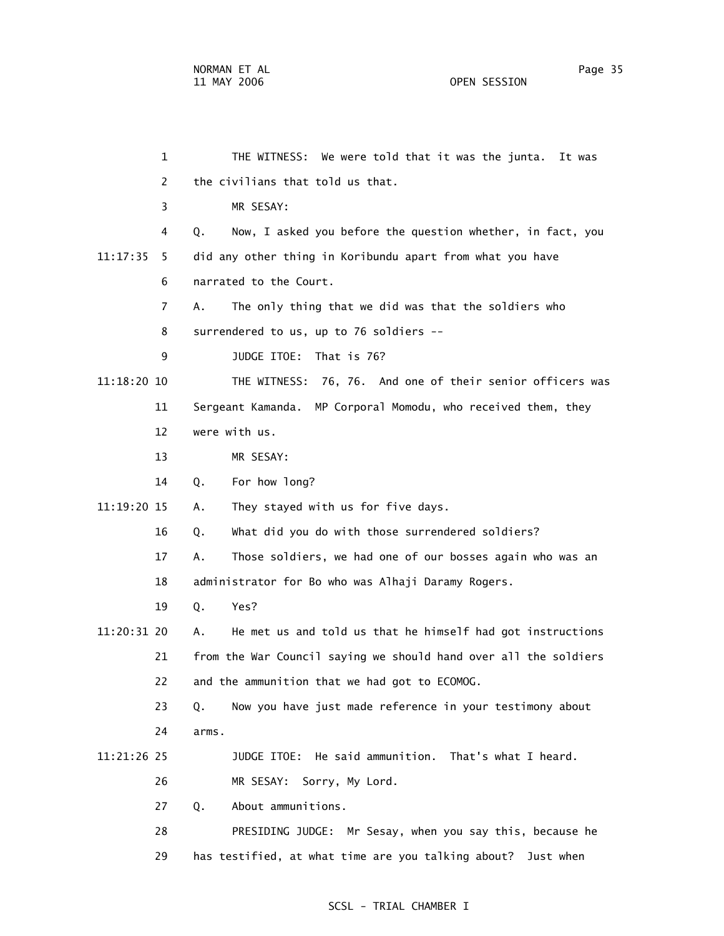1 THE WITNESS: We were told that it was the junta. It was 2 the civilians that told us that. 3 MR SESAY: 4 Q. Now, I asked you before the question whether, in fact, you 11:17:35 5 did any other thing in Koribundu apart from what you have 6 narrated to the Court. 7 A. The only thing that we did was that the soldiers who 8 surrendered to us, up to 76 soldiers -- 9 JUDGE ITOE: That is 76? 11:18:20 10 THE WITNESS: 76, 76. And one of their senior officers was 11 Sergeant Kamanda. MP Corporal Momodu, who received them, they 12 were with us. 13 MR SESAY: 14 Q. For how long? 11:19:20 15 A. They stayed with us for five days. 16 Q. What did you do with those surrendered soldiers? 17 A. Those soldiers, we had one of our bosses again who was an 18 administrator for Bo who was Alhaji Daramy Rogers. 19 Q. Yes? 11:20:31 20 A. He met us and told us that he himself had got instructions 21 from the War Council saying we should hand over all the soldiers 22 and the ammunition that we had got to ECOMOG. 23 Q. Now you have just made reference in your testimony about 24 arms. 11:21:26 25 JUDGE ITOE: He said ammunition. That's what I heard. 26 MR SESAY: Sorry, My Lord. 27 Q. About ammunitions. 28 PRESIDING JUDGE: Mr Sesay, when you say this, because he 29 has testified, at what time are you talking about? Just when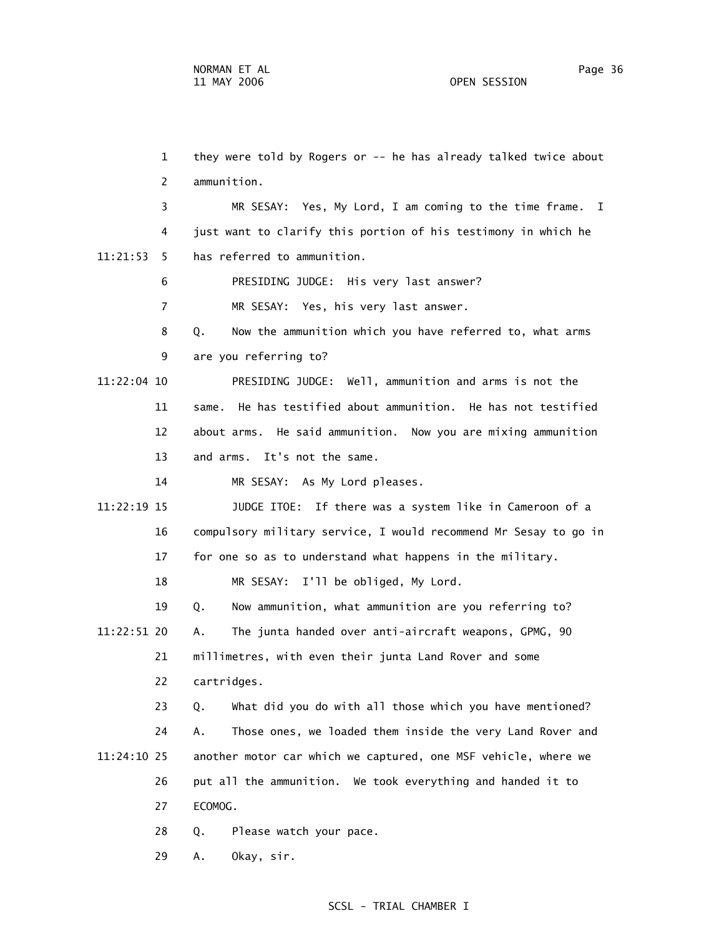29 A. Okay, sir.

 1 they were told by Rogers or -- he has already talked twice about 2 ammunition. 3 MR SESAY: Yes, My Lord, I am coming to the time frame. I 4 just want to clarify this portion of his testimony in which he 11:21:53 5 has referred to ammunition. 6 PRESIDING JUDGE: His very last answer? 7 MR SESAY: Yes, his very last answer. 8 Q. Now the ammunition which you have referred to, what arms 9 are you referring to? 11:22:04 10 PRESIDING JUDGE: Well, ammunition and arms is not the 11 same. He has testified about ammunition. He has not testified 12 about arms. He said ammunition. Now you are mixing ammunition 13 and arms. It's not the same. 14 MR SESAY: As My Lord pleases. 11:22:19 15 JUDGE ITOE: If there was a system like in Cameroon of a 16 compulsory military service, I would recommend Mr Sesay to go in 17 for one so as to understand what happens in the military. 18 MR SESAY: I'll be obliged, My Lord. 19 Q. Now ammunition, what ammunition are you referring to? 11:22:51 20 A. The junta handed over anti-aircraft weapons, GPMG, 90 21 millimetres, with even their junta Land Rover and some 22 cartridges. 23 Q. What did you do with all those which you have mentioned? 24 A. Those ones, we loaded them inside the very Land Rover and 11:24:10 25 another motor car which we captured, one MSF vehicle, where we 26 put all the ammunition. We took everything and handed it to 27 ECOMOG. 28 Q. Please watch your pace.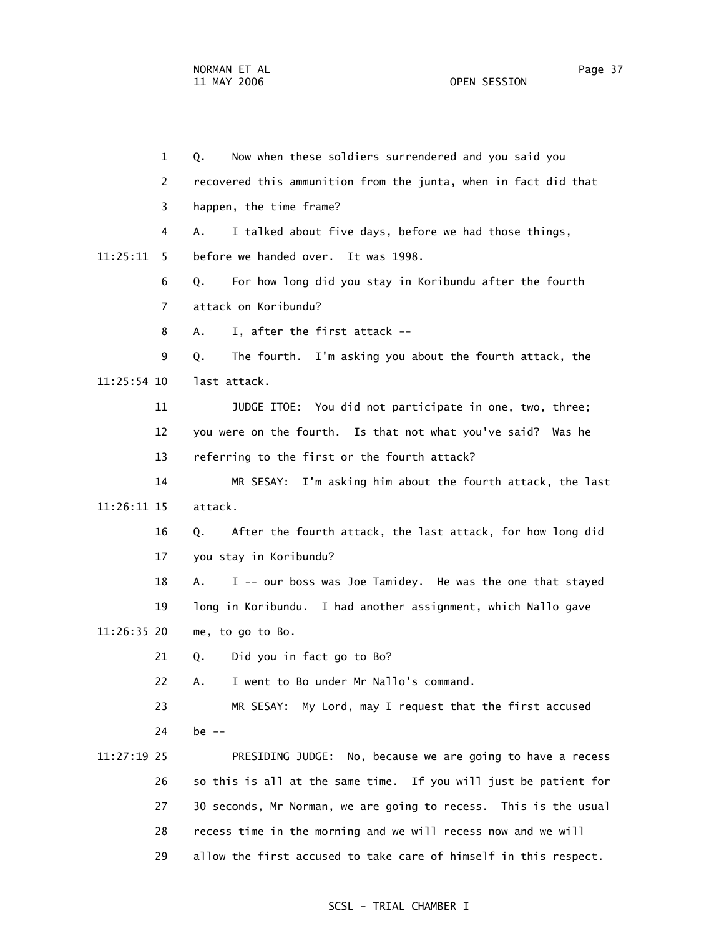1 Q. Now when these soldiers surrendered and you said you 2 recovered this ammunition from the junta, when in fact did that 3 happen, the time frame? 4 A. I talked about five days, before we had those things, 11:25:11 5 before we handed over. It was 1998. 6 Q. For how long did you stay in Koribundu after the fourth 7 attack on Koribundu? 8 A. I, after the first attack -- 9 Q. The fourth. I'm asking you about the fourth attack, the 11:25:54 10 last attack. 11 JUDGE ITOE: You did not participate in one, two, three; 12 you were on the fourth. Is that not what you've said? Was he 13 referring to the first or the fourth attack? 14 MR SESAY: I'm asking him about the fourth attack, the last 11:26:11 15 attack. 16 Q. After the fourth attack, the last attack, for how long did 17 you stay in Koribundu? 18 A. I -- our boss was Joe Tamidey. He was the one that stayed 19 long in Koribundu. I had another assignment, which Nallo gave 11:26:35 20 me, to go to Bo. 21 Q. Did you in fact go to Bo? 22 A. I went to Bo under Mr Nallo's command. 23 MR SESAY: My Lord, may I request that the first accused 24 be -- 11:27:19 25 PRESIDING JUDGE: No, because we are going to have a recess 26 so this is all at the same time. If you will just be patient for 27 30 seconds, Mr Norman, we are going to recess. This is the usual 28 recess time in the morning and we will recess now and we will 29 allow the first accused to take care of himself in this respect.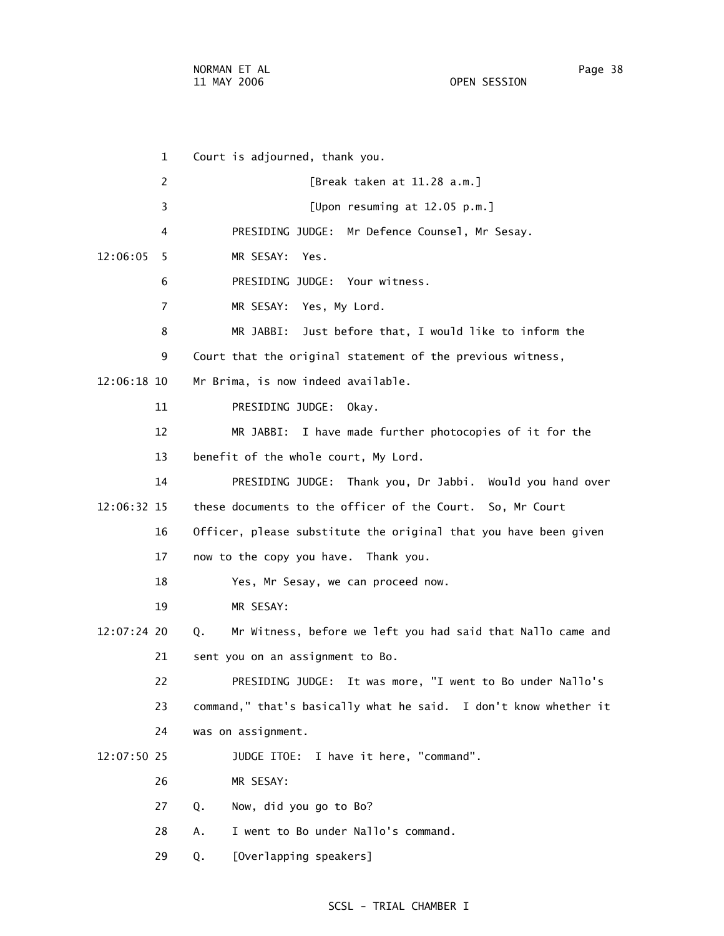1 Court is adjourned, thank you. 2 [Break taken at 11.28 a.m.] 3 [Upon resuming at 12.05 p.m.] 4 PRESIDING JUDGE: Mr Defence Counsel, Mr Sesay. 12:06:05 5 MR SESAY: Yes. 6 PRESIDING JUDGE: Your witness. 7 MR SESAY: Yes, My Lord. 8 MR JABBI: Just before that, I would like to inform the 9 Court that the original statement of the previous witness, 12:06:18 10 Mr Brima, is now indeed available. 11 PRESIDING JUDGE: Okay. 12 MR JABBI: I have made further photocopies of it for the 13 benefit of the whole court, My Lord. 14 PRESIDING JUDGE: Thank you, Dr Jabbi. Would you hand over 12:06:32 15 these documents to the officer of the Court. So, Mr Court 16 Officer, please substitute the original that you have been given 17 now to the copy you have. Thank you. 18 Yes, Mr Sesay, we can proceed now. 19 MR SESAY: 12:07:24 20 Q. Mr Witness, before we left you had said that Nallo came and 21 sent you on an assignment to Bo. 22 PRESIDING JUDGE: It was more, "I went to Bo under Nallo's 23 command," that's basically what he said. I don't know whether it 24 was on assignment. 12:07:50 25 JUDGE ITOE: I have it here, "command". 26 MR SESAY: 27 Q. Now, did you go to Bo? 28 A. I went to Bo under Nallo's command. 29 Q. [Overlapping speakers]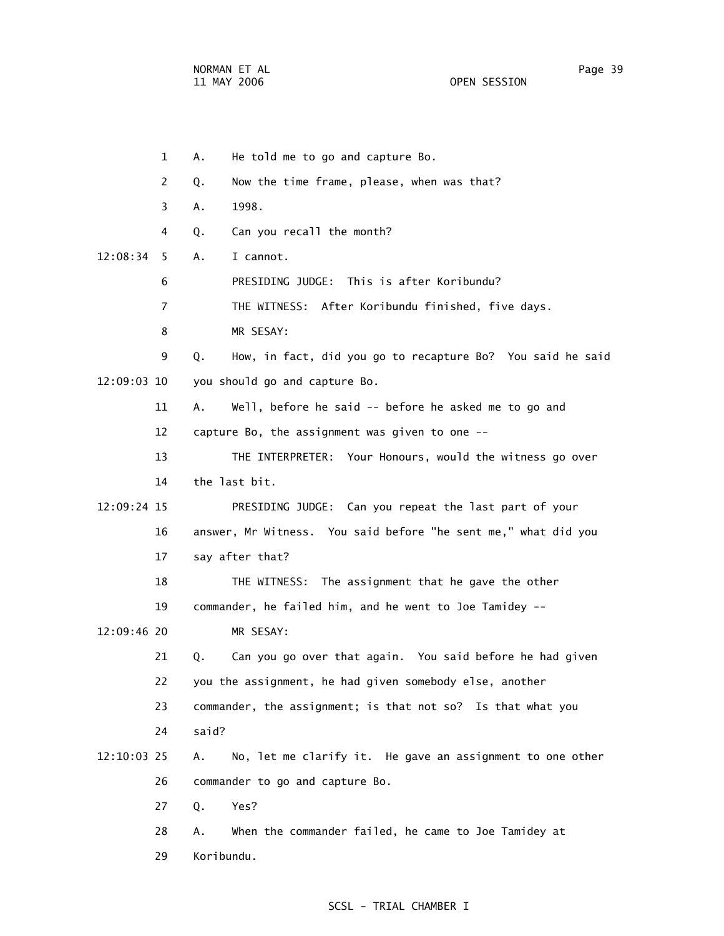1 A. He told me to go and capture Bo. 2 Q. Now the time frame, please, when was that? 3 A. 1998. 4 Q. Can you recall the month? 12:08:34 5 A. I cannot. 6 PRESIDING JUDGE: This is after Koribundu? 7 THE WITNESS: After Koribundu finished, five days. 8 MR SESAY: 9 Q. How, in fact, did you go to recapture Bo? You said he said 12:09:03 10 you should go and capture Bo. 11 A. Well, before he said -- before he asked me to go and 12 capture Bo, the assignment was given to one -- 13 THE INTERPRETER: Your Honours, would the witness go over 14 the last bit. 12:09:24 15 PRESIDING JUDGE: Can you repeat the last part of your 16 answer, Mr Witness. You said before "he sent me," what did you 17 say after that? 18 THE WITNESS: The assignment that he gave the other 19 commander, he failed him, and he went to Joe Tamidey -- 12:09:46 20 MR SESAY: 21 Q. Can you go over that again. You said before he had given 22 you the assignment, he had given somebody else, another 23 commander, the assignment; is that not so? Is that what you 24 said? 12:10:03 25 A. No, let me clarify it. He gave an assignment to one other 26 commander to go and capture Bo. 27 Q. Yes? 28 A. When the commander failed, he came to Joe Tamidey at 29 Koribundu.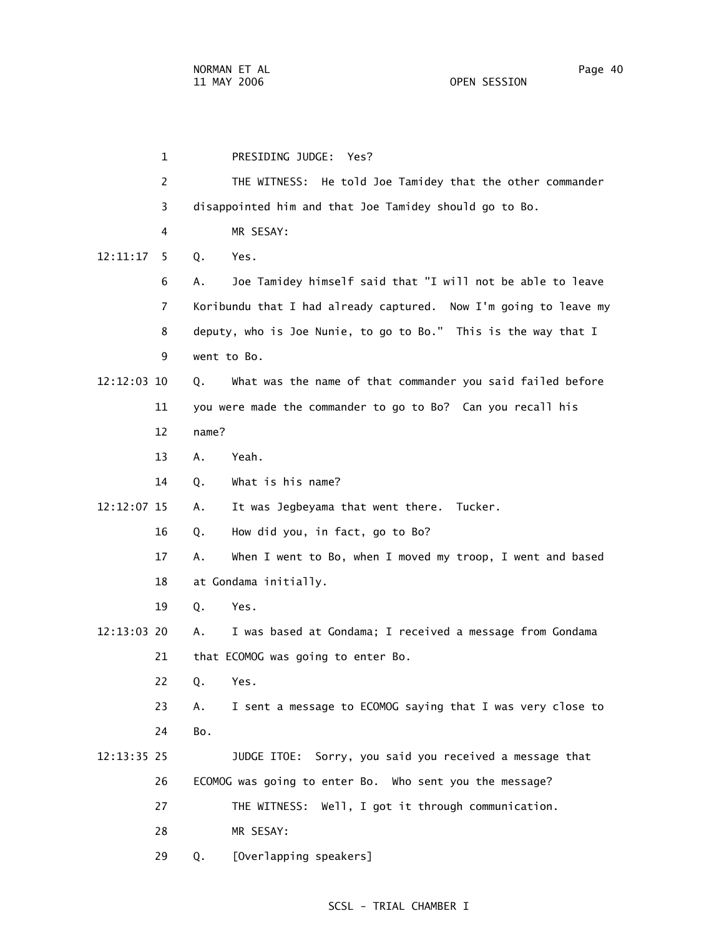1 PRESIDING JUDGE: Yes? 2 THE WITNESS: He told Joe Tamidey that the other commander 3 disappointed him and that Joe Tamidey should go to Bo. 4 MR SESAY: 6 A. Joe Tamidey himself said that "I will not be able to leave 7 Koribundu that I had already captured. Now I'm going to leave my 8 deputy, who is Joe Nunie, to go to Bo." This is the way that I 12:12:03 10 Q. What was the name of that commander you said failed before

- 11 you were made the commander to go to Bo? Can you recall his 12 name?
	- 13 A. Yeah.

9 went to Bo.

12:11:17 5 Q. Yes.

14 Q. What is his name?

12:12:07 15 A. It was Jegbeyama that went there. Tucker.

- 16 Q. How did you, in fact, go to Bo?
- 17 A. When I went to Bo, when I moved my troop, I went and based 18 at Gondama initially.
- 19 Q. Yes.
- 12:13:03 20 A. I was based at Gondama; I received a message from Gondama 21 that ECOMOG was going to enter Bo.
	- 22 Q. Yes.
	- 23 A. I sent a message to ECOMOG saying that I was very close to 24 Bo.
- 12:13:35 25 JUDGE ITOE: Sorry, you said you received a message that 26 ECOMOG was going to enter Bo. Who sent you the message?
	- 27 THE WITNESS: Well, I got it through communication.
	- 28 MR SESAY:
	- 29 Q. [Overlapping speakers]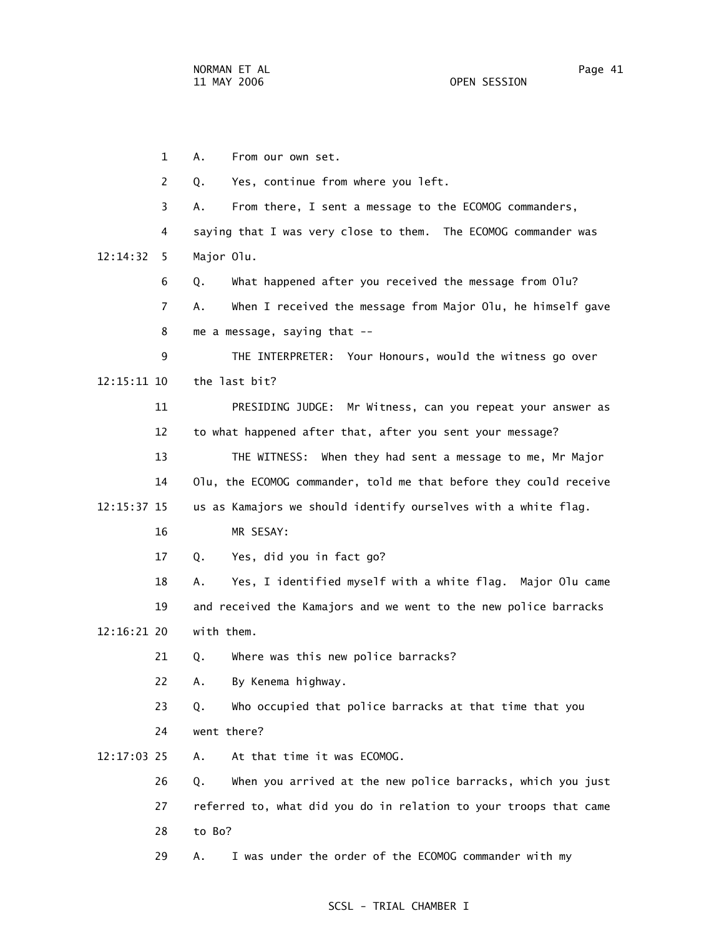1 A. From our own set. 2 Q. Yes, continue from where you left. 3 A. From there, I sent a message to the ECOMOG commanders, 4 saying that I was very close to them. The ECOMOG commander was 12:14:32 5 Major Olu. 6 Q. What happened after you received the message from Olu? 7 A. When I received the message from Major Olu, he himself gave 8 me a message, saying that -- 9 THE INTERPRETER: Your Honours, would the witness go over 12:15:11 10 the last bit? 11 PRESIDING JUDGE: Mr Witness, can you repeat your answer as 12 to what happened after that, after you sent your message? 13 THE WITNESS: When they had sent a message to me, Mr Major 14 Olu, the ECOMOG commander, told me that before they could receive 12:15:37 15 us as Kamajors we should identify ourselves with a white flag. 16 MR SESAY: 17 Q. Yes, did you in fact go? 18 A. Yes, I identified myself with a white flag. Major Olu came 19 and received the Kamajors and we went to the new police barracks 12:16:21 20 with them. 21 Q. Where was this new police barracks? 22 A. By Kenema highway. 23 Q. Who occupied that police barracks at that time that you 24 went there? 12:17:03 25 A. At that time it was ECOMOG. 26 Q. When you arrived at the new police barracks, which you just 27 referred to, what did you do in relation to your troops that came 28 to Bo? 29 A. I was under the order of the ECOMOG commander with my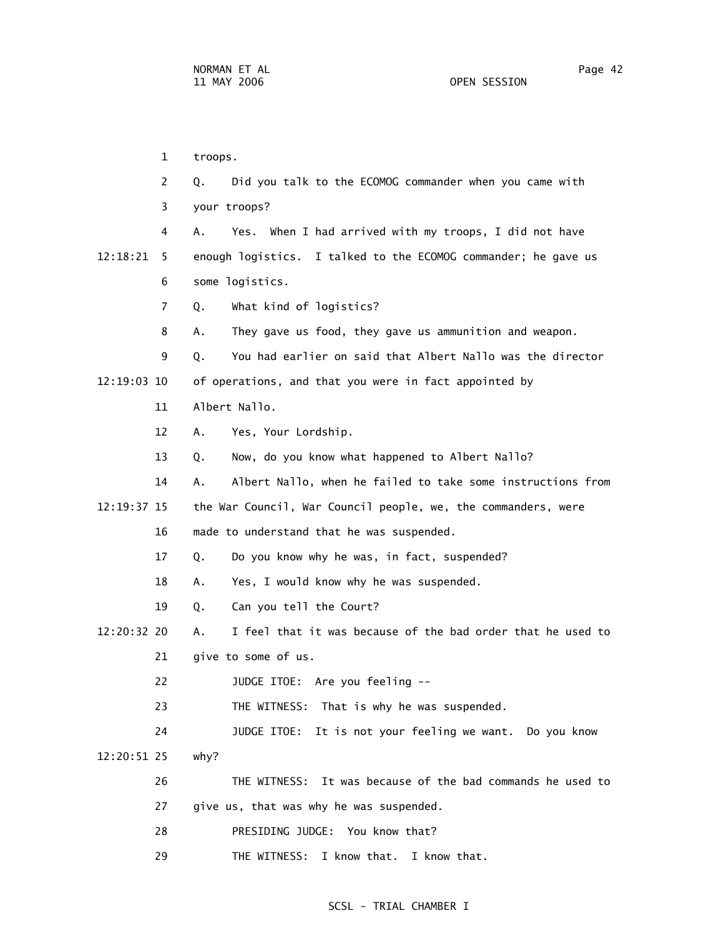1 troops. 2 Q. Did you talk to the ECOMOG commander when you came with 3 your troops? 4 A. Yes. When I had arrived with my troops, I did not have 12:18:21 5 enough logistics. I talked to the ECOMOG commander; he gave us 6 some logistics. 7 Q. What kind of logistics? 8 A. They gave us food, they gave us ammunition and weapon. 9 Q. You had earlier on said that Albert Nallo was the director 12:19:03 10 of operations, and that you were in fact appointed by 11 Albert Nallo. 12 A. Yes, Your Lordship. 13 Q. Now, do you know what happened to Albert Nallo? 14 A. Albert Nallo, when he failed to take some instructions from 12:19:37 15 the War Council, War Council people, we, the commanders, were 16 made to understand that he was suspended. 17 Q. Do you know why he was, in fact, suspended? 18 A. Yes, I would know why he was suspended. 19 Q. Can you tell the Court? 12:20:32 20 A. I feel that it was because of the bad order that he used to 21 give to some of us. 22 JUDGE ITOE: Are you feeling -- 23 THE WITNESS: That is why he was suspended. 24 JUDGE ITOE: It is not your feeling we want. Do you know 12:20:51 25 why? 26 THE WITNESS: It was because of the bad commands he used to 27 give us, that was why he was suspended. 28 PRESIDING JUDGE: You know that? 29 THE WITNESS: I know that. I know that.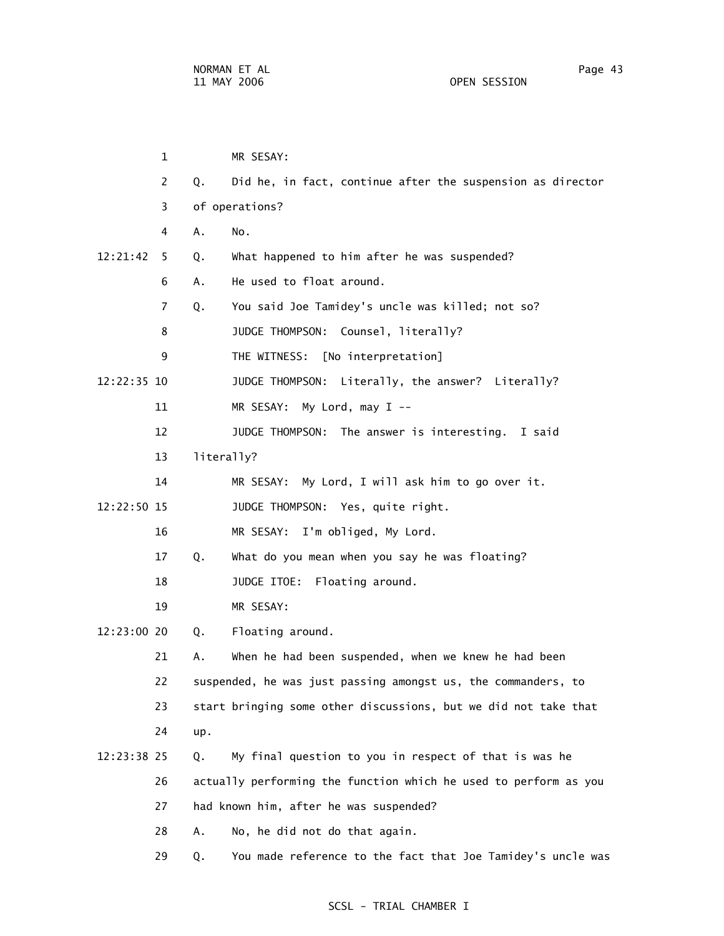|             | 1              |            | MR SESAY:                                                        |
|-------------|----------------|------------|------------------------------------------------------------------|
|             | 2              | Q.         | Did he, in fact, continue after the suspension as director       |
|             | 3              |            | of operations?                                                   |
|             | 4              | Α.         | No.                                                              |
| 12:21:42    | 5.             | Q.         | What happened to him after he was suspended?                     |
|             | 6              | Α.         | He used to float around.                                         |
|             | $\overline{7}$ | Q.         | You said Joe Tamidey's uncle was killed; not so?                 |
|             | 8              |            | JUDGE THOMPSON: Counsel, literally?                              |
|             | 9              |            | THE WITNESS: [No interpretation]                                 |
| 12:22:35 10 |                |            | JUDGE THOMPSON: Literally, the answer? Literally?                |
|             | 11             |            | MR SESAY: My Lord, may I --                                      |
|             | 12             |            | JUDGE THOMPSON: The answer is interesting.<br>I said             |
|             | 13             | literally? |                                                                  |
|             | 14             |            | MR SESAY: My Lord, I will ask him to go over it.                 |
| 12:22:50 15 |                |            | JUDGE THOMPSON: Yes, quite right.                                |
|             | 16             |            | MR SESAY: I'm obliged, My Lord.                                  |
|             | 17             | Q.         | What do you mean when you say he was floating?                   |
|             | 18             |            | JUDGE ITOE: Floating around.                                     |
|             | 19             |            | MR SESAY:                                                        |
| 12:23:00 20 |                | Q.         | Floating around.                                                 |
|             | 21             | А.         | When he had been suspended, when we knew he had been             |
|             | 22             |            | suspended, he was just passing amongst us, the commanders, to    |
|             | 23             |            | start bringing some other discussions, but we did not take that  |
|             | 24             | up.        |                                                                  |
| 12:23:38 25 |                | Q.         | My final question to you in respect of that is was he            |
|             | 26             |            | actually performing the function which he used to perform as you |
|             | 27             |            | had known him, after he was suspended?                           |
|             | 28             | Α.         | No, he did not do that again.                                    |
|             | 29             | Q.         | You made reference to the fact that Joe Tamidey's uncle was      |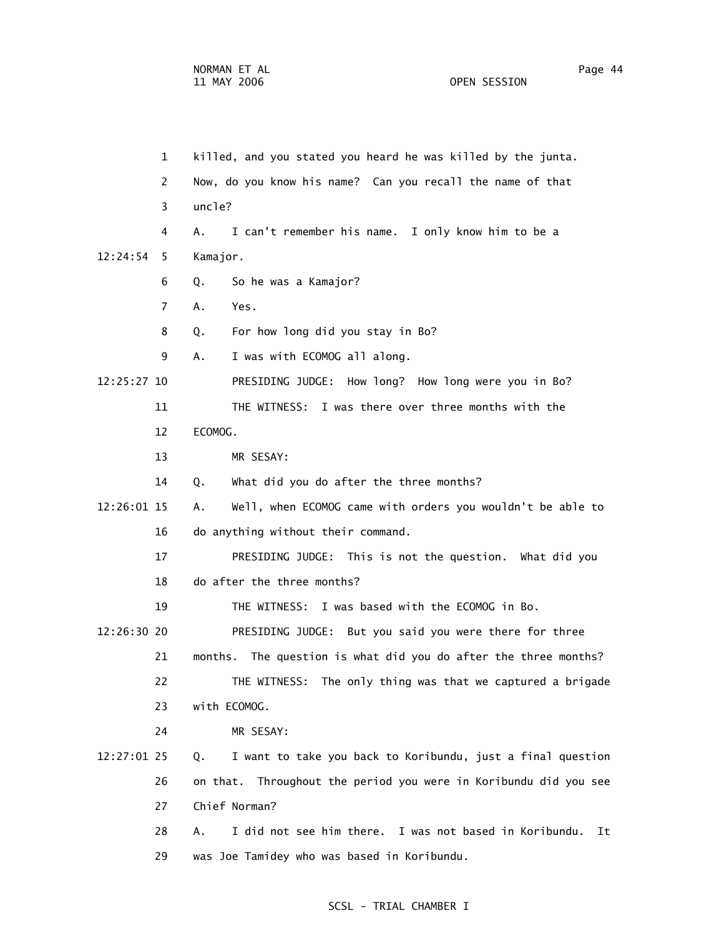1 killed, and you stated you heard he was killed by the junta.

 2 Now, do you know his name? Can you recall the name of that 3 uncle? 4 A. I can't remember his name. I only know him to be a 12:24:54 5 Kamajor. 6 Q. So he was a Kamajor? 7 A. Yes. 8 Q. For how long did you stay in Bo? 9 A. I was with ECOMOG all along. 12:25:27 10 PRESIDING JUDGE: How long? How long were you in Bo? 11 THE WITNESS: I was there over three months with the 12 ECOMOG. 13 MR SESAY: 14 Q. What did you do after the three months? 12:26:01 15 A. Well, when ECOMOG came with orders you wouldn't be able to 16 do anything without their command. 17 PRESIDING JUDGE: This is not the question. What did you 18 do after the three months? 19 THE WITNESS: I was based with the ECOMOG in Bo. 12:26:30 20 PRESIDING JUDGE: But you said you were there for three 21 months. The question is what did you do after the three months? 22 THE WITNESS: The only thing was that we captured a brigade 23 with ECOMOG. 24 MR SESAY: 12:27:01 25 Q. I want to take you back to Koribundu, just a final question 26 on that. Throughout the period you were in Koribundu did you see 27 Chief Norman? 28 A. I did not see him there. I was not based in Koribundu. It 29 was Joe Tamidey who was based in Koribundu.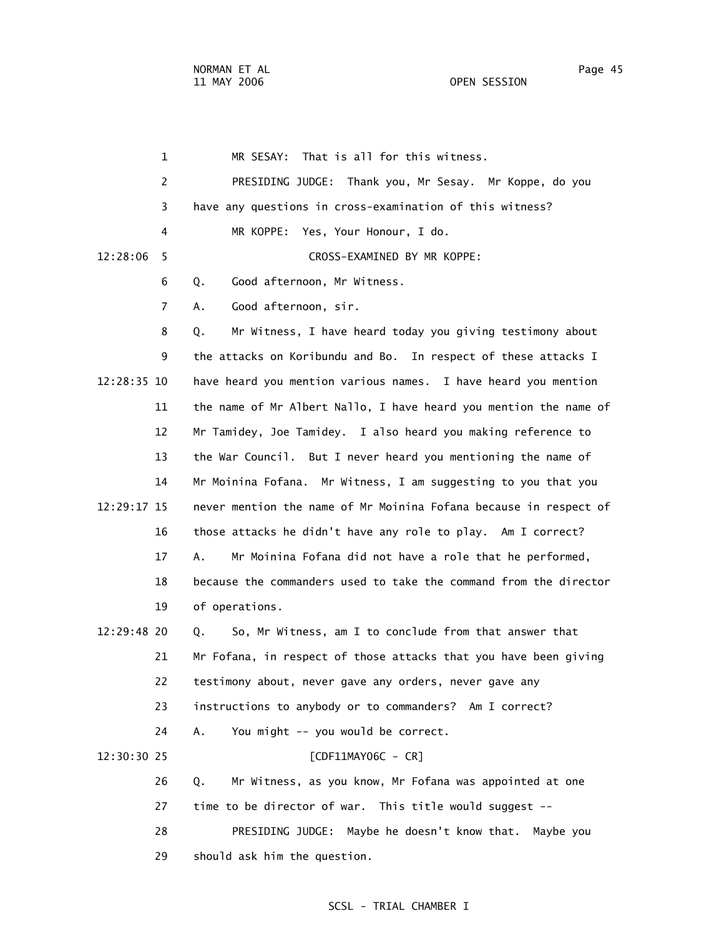1 MR SESAY: That is all for this witness. 2 PRESIDING JUDGE: Thank you, Mr Sesay. Mr Koppe, do you 3 have any questions in cross-examination of this witness? 4 MR KOPPE: Yes, Your Honour, I do. 12:28:06 5 CROSS-EXAMINED BY MR KOPPE: 6 Q. Good afternoon, Mr Witness. 7 A. Good afternoon, sir. 8 Q. Mr Witness, I have heard today you giving testimony about 9 the attacks on Koribundu and Bo. In respect of these attacks I 12:28:35 10 have heard you mention various names. I have heard you mention 11 the name of Mr Albert Nallo, I have heard you mention the name of 12 Mr Tamidey, Joe Tamidey. I also heard you making reference to 13 the War Council. But I never heard you mentioning the name of 14 Mr Moinina Fofana. Mr Witness, I am suggesting to you that you 12:29:17 15 never mention the name of Mr Moinina Fofana because in respect of 16 those attacks he didn't have any role to play. Am I correct? 17 A. Mr Moinina Fofana did not have a role that he performed, 18 because the commanders used to take the command from the director 19 of operations. 12:29:48 20 Q. So, Mr Witness, am I to conclude from that answer that 21 Mr Fofana, in respect of those attacks that you have been giving 22 testimony about, never gave any orders, never gave any 23 instructions to anybody or to commanders? Am I correct? 24 A. You might -- you would be correct. 12:30:30 25 [CDF11MAY06C - CR] 26 Q. Mr Witness, as you know, Mr Fofana was appointed at one 27 time to be director of war. This title would suggest -- 28 PRESIDING JUDGE: Maybe he doesn't know that. Maybe you 29 should ask him the question.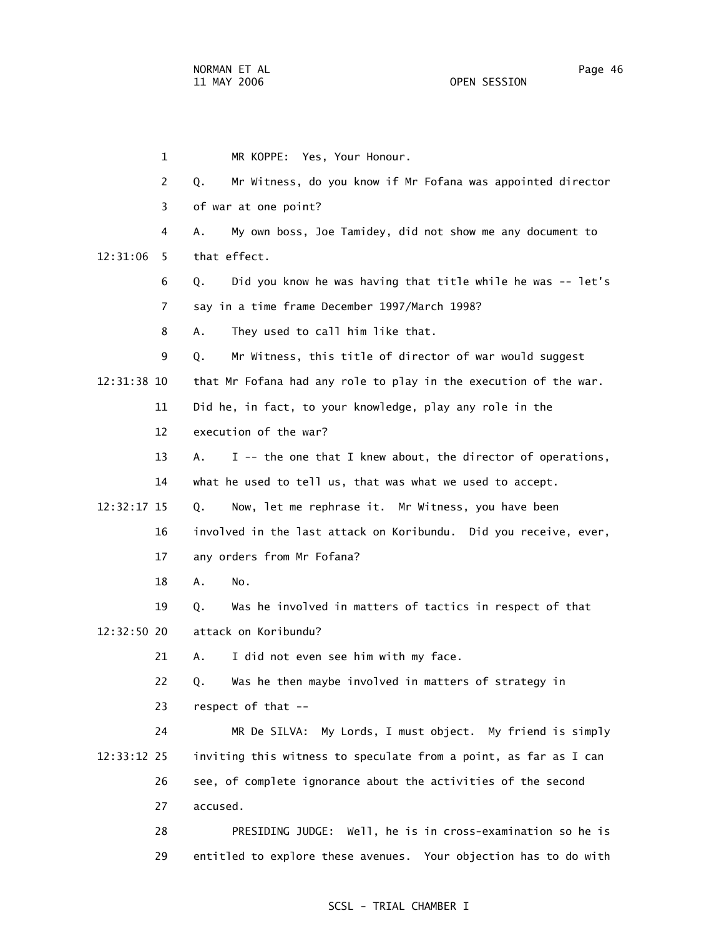1 MR KOPPE: Yes, Your Honour. 2 Q. Mr Witness, do you know if Mr Fofana was appointed director 3 of war at one point? 4 A. My own boss, Joe Tamidey, did not show me any document to 12:31:06 5 that effect. 6 Q. Did you know he was having that title while he was -- let's 7 say in a time frame December 1997/March 1998? 8 A. They used to call him like that. 9 Q. Mr Witness, this title of director of war would suggest 12:31:38 10 that Mr Fofana had any role to play in the execution of the war. 11 Did he, in fact, to your knowledge, play any role in the 12 execution of the war? 13 A. I -- the one that I knew about, the director of operations, 14 what he used to tell us, that was what we used to accept. 12:32:17 15 Q. Now, let me rephrase it. Mr Witness, you have been 16 involved in the last attack on Koribundu. Did you receive, ever, 17 any orders from Mr Fofana? 18 A. No. 19 Q. Was he involved in matters of tactics in respect of that 12:32:50 20 attack on Koribundu? 21 A. I did not even see him with my face. 22 Q. Was he then maybe involved in matters of strategy in 23 respect of that -- 24 MR De SILVA: My Lords, I must object. My friend is simply 12:33:12 25 inviting this witness to speculate from a point, as far as I can 26 see, of complete ignorance about the activities of the second 27 accused. 28 PRESIDING JUDGE: Well, he is in cross-examination so he is

#### SCSL - TRIAL CHAMBER I

29 entitled to explore these avenues. Your objection has to do with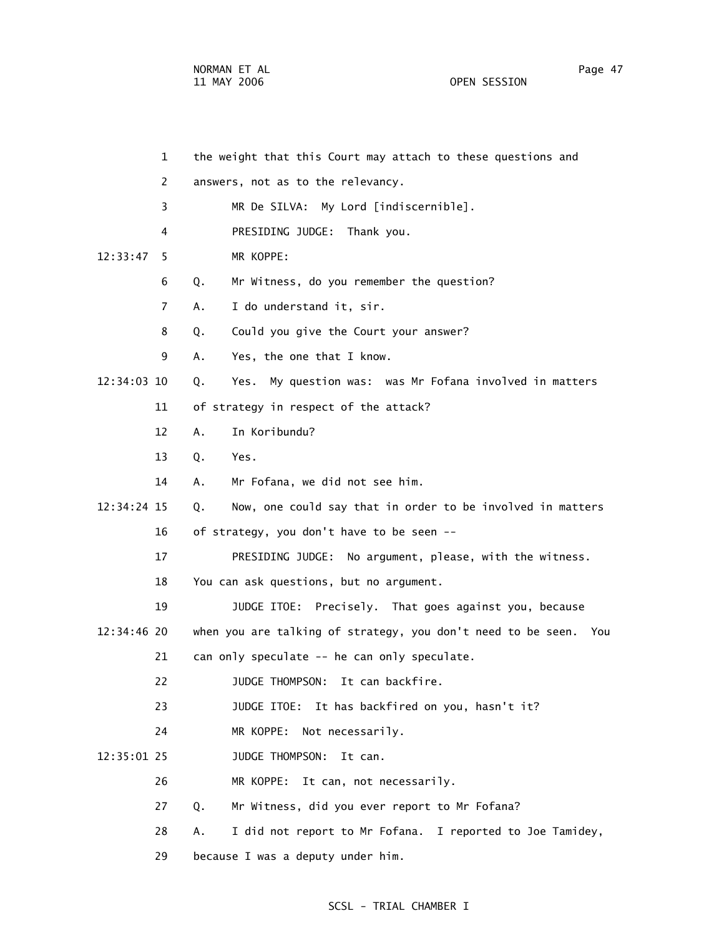|             | $\mathbf{1}$ | the weight that this Court may attach to these questions and     |
|-------------|--------------|------------------------------------------------------------------|
|             | 2            | answers, not as to the relevancy.                                |
|             | 3            | MR De SILVA: My Lord [indiscernible].                            |
|             | 4            | PRESIDING JUDGE: Thank you.                                      |
| 12:33:47    | 5            | MR KOPPE:                                                        |
|             | 6            | Mr Witness, do you remember the question?<br>Q.                  |
|             | 7            | I do understand it, sir.<br>Α.                                   |
|             | 8            | Could you give the Court your answer?<br>Q.                      |
|             | 9            | Yes, the one that I know.<br>Α.                                  |
| 12:34:03 10 |              | Yes. My question was: was Mr Fofana involved in matters<br>Q.    |
|             | 11           | of strategy in respect of the attack?                            |
|             | 12           | In Koribundu?<br>A.                                              |
|             | 13           | Q.<br>Yes.                                                       |
|             | 14           | Mr Fofana, we did not see him.<br>Α.                             |
| 12:34:24 15 |              | Now, one could say that in order to be involved in matters<br>Q. |
|             | 16           | of strategy, you don't have to be seen --                        |
|             | 17           | PRESIDING JUDGE: No argument, please, with the witness.          |
|             | 18           | You can ask questions, but no argument.                          |
|             | 19           | JUDGE ITOE: Precisely. That goes against you, because            |
| 12:34:46 20 |              | when you are talking of strategy, you don't need to be seen. You |
|             | 21           | can only speculate -- he can only speculate.                     |
|             | 22           | It can backfire.<br>JUDGE THOMPSON:                              |
|             | 23           | It has backfired on you, hasn't it?<br>JUDGE ITOE:               |
|             | 24           | MR KOPPE:<br>Not necessarily.                                    |
| 12:35:01 25 |              | JUDGE THOMPSON:<br>It can.                                       |
|             | 26           | It can, not necessarily.<br>MR KOPPE:                            |
|             | 27           | Mr Witness, did you ever report to Mr Fofana?<br>Q.              |
|             | 28           | I did not report to Mr Fofana. I reported to Joe Tamidey,<br>Α.  |
|             | 29           | because I was a deputy under him.                                |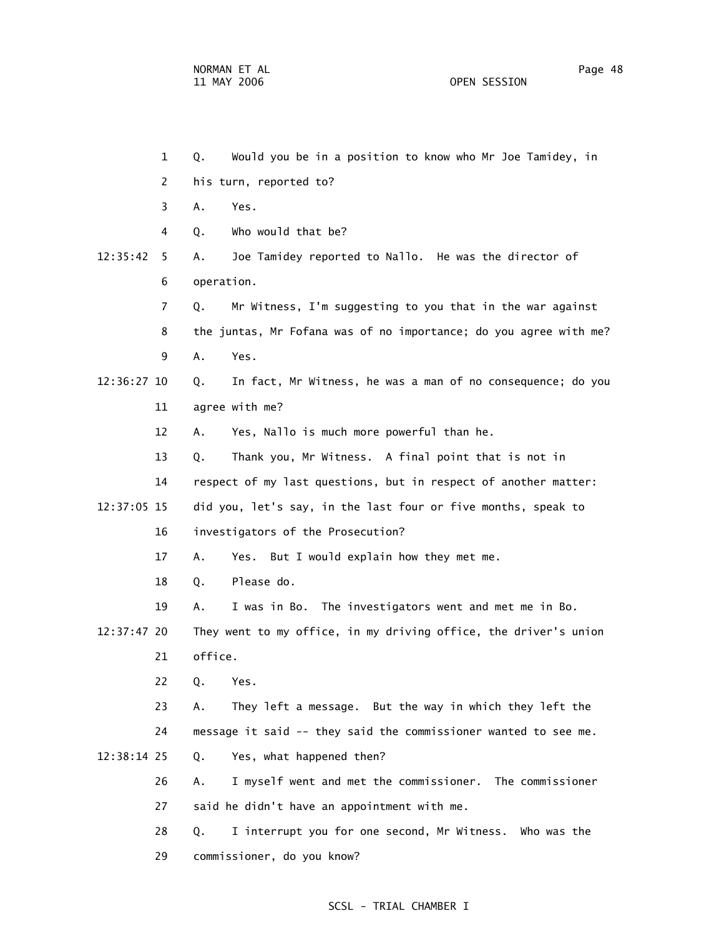1 Q. Would you be in a position to know who Mr Joe Tamidey, in 2 his turn, reported to? 3 A. Yes. 4 Q. Who would that be? 12:35:42 5 A. Joe Tamidey reported to Nallo. He was the director of 6 operation. 7 Q. Mr Witness, I'm suggesting to you that in the war against 8 the juntas, Mr Fofana was of no importance; do you agree with me? 9 A. Yes. 12:36:27 10 Q. In fact, Mr Witness, he was a man of no consequence; do you 11 agree with me? 12 A. Yes, Nallo is much more powerful than he. 13 Q. Thank you, Mr Witness. A final point that is not in 14 respect of my last questions, but in respect of another matter: 12:37:05 15 did you, let's say, in the last four or five months, speak to 16 investigators of the Prosecution? 17 A. Yes. But I would explain how they met me. 18 Q. Please do. 19 A. I was in Bo. The investigators went and met me in Bo. 12:37:47 20 They went to my office, in my driving office, the driver's union 21 office. 22 Q. Yes. 23 A. They left a message. But the way in which they left the 24 message it said -- they said the commissioner wanted to see me. 12:38:14 25 Q. Yes, what happened then? 26 A. I myself went and met the commissioner. The commissioner 27 said he didn't have an appointment with me. 28 Q. I interrupt you for one second, Mr Witness. Who was the

29 commissioner, do you know?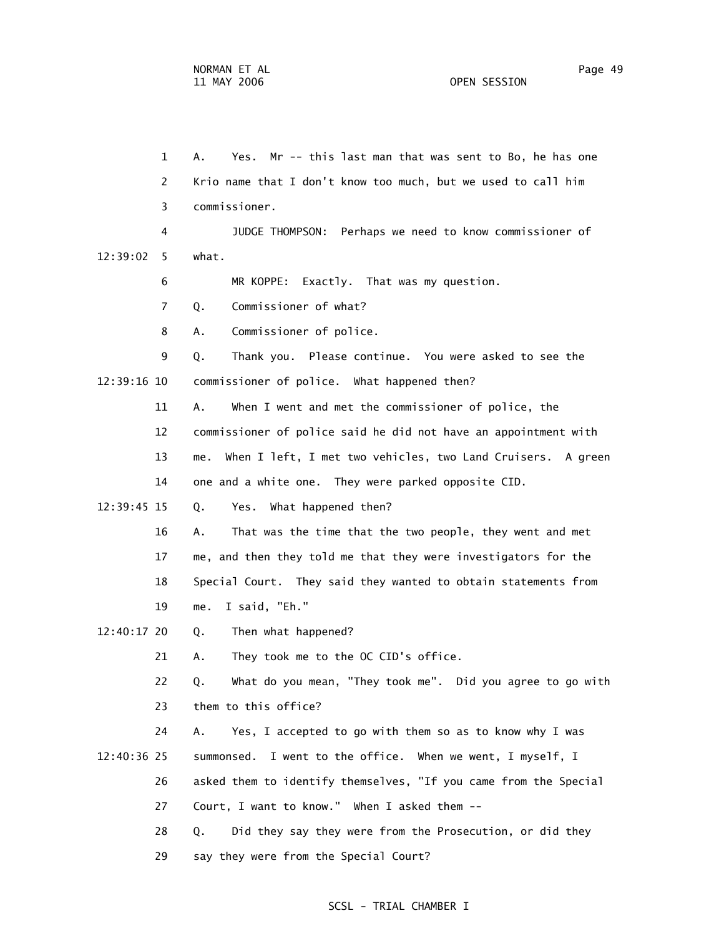1 A. Yes. Mr -- this last man that was sent to Bo, he has one 2 Krio name that I don't know too much, but we used to call him 3 commissioner. 4 JUDGE THOMPSON: Perhaps we need to know commissioner of 12:39:02 5 what. 6 MR KOPPE: Exactly. That was my question. 7 Q. Commissioner of what? 8 A. Commissioner of police. 9 Q. Thank you. Please continue. You were asked to see the 12:39:16 10 commissioner of police. What happened then? 11 A. When I went and met the commissioner of police, the 12 commissioner of police said he did not have an appointment with 13 me. When I left, I met two vehicles, two Land Cruisers. A green 14 one and a white one. They were parked opposite CID. 12:39:45 15 Q. Yes. What happened then? 16 A. That was the time that the two people, they went and met 17 me, and then they told me that they were investigators for the 18 Special Court. They said they wanted to obtain statements from 19 me. I said, "Eh." 12:40:17 20 Q. Then what happened? 21 A. They took me to the OC CID's office. 22 Q. What do you mean, "They took me". Did you agree to go with 23 them to this office? 24 A. Yes, I accepted to go with them so as to know why I was 12:40:36 25 summonsed. I went to the office. When we went, I myself, I 26 asked them to identify themselves, "If you came from the Special 27 Court, I want to know." When I asked them -- 28 Q. Did they say they were from the Prosecution, or did they 29 say they were from the Special Court?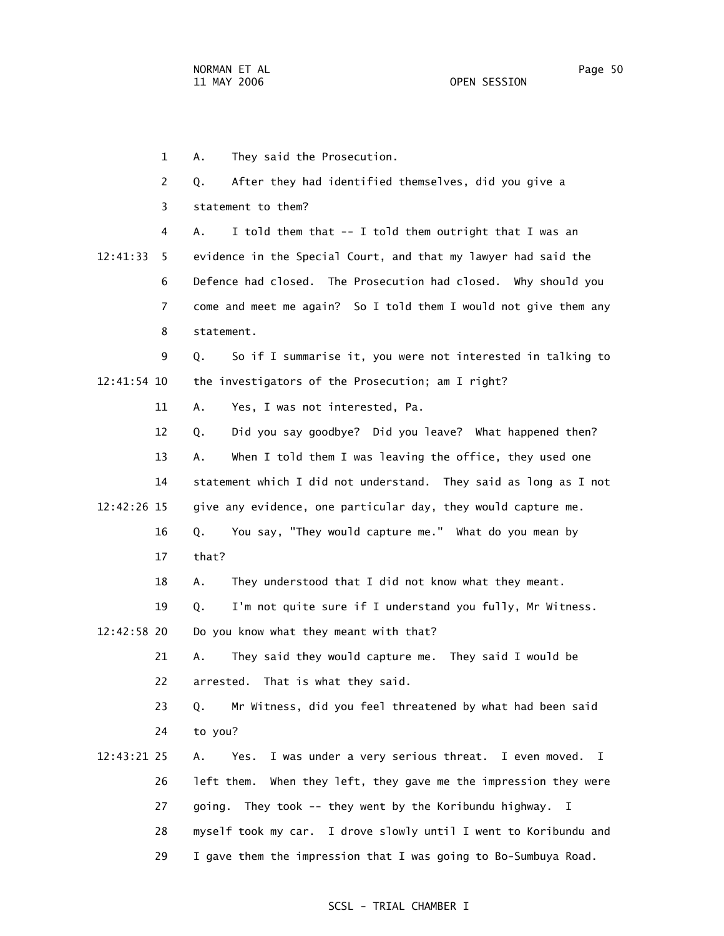2 Q. After they had identified themselves, did you give a 3 statement to them? 4 A. I told them that -- I told them outright that I was an 12:41:33 5 evidence in the Special Court, and that my lawyer had said the 6 Defence had closed. The Prosecution had closed. Why should you 7 come and meet me again? So I told them I would not give them any 8 statement. 9 Q. So if I summarise it, you were not interested in talking to

1 A. They said the Prosecution.

12:41:54 10 the investigators of the Prosecution; am I right?

11 A. Yes, I was not interested, Pa.

 12 Q. Did you say goodbye? Did you leave? What happened then? 13 A. When I told them I was leaving the office, they used one 14 statement which I did not understand. They said as long as I not 12:42:26 15 give any evidence, one particular day, they would capture me. 16 Q. You say, "They would capture me." What do you mean by 17 that?

18 A. They understood that I did not know what they meant.

 19 Q. I'm not quite sure if I understand you fully, Mr Witness. 12:42:58 20 Do you know what they meant with that?

> 21 A. They said they would capture me. They said I would be 22 arrested. That is what they said.

 23 Q. Mr Witness, did you feel threatened by what had been said 24 to you?

 12:43:21 25 A. Yes. I was under a very serious threat. I even moved. I 26 left them. When they left, they gave me the impression they were 27 going. They took -- they went by the Koribundu highway. I 28 myself took my car. I drove slowly until I went to Koribundu and 29 I gave them the impression that I was going to Bo-Sumbuya Road.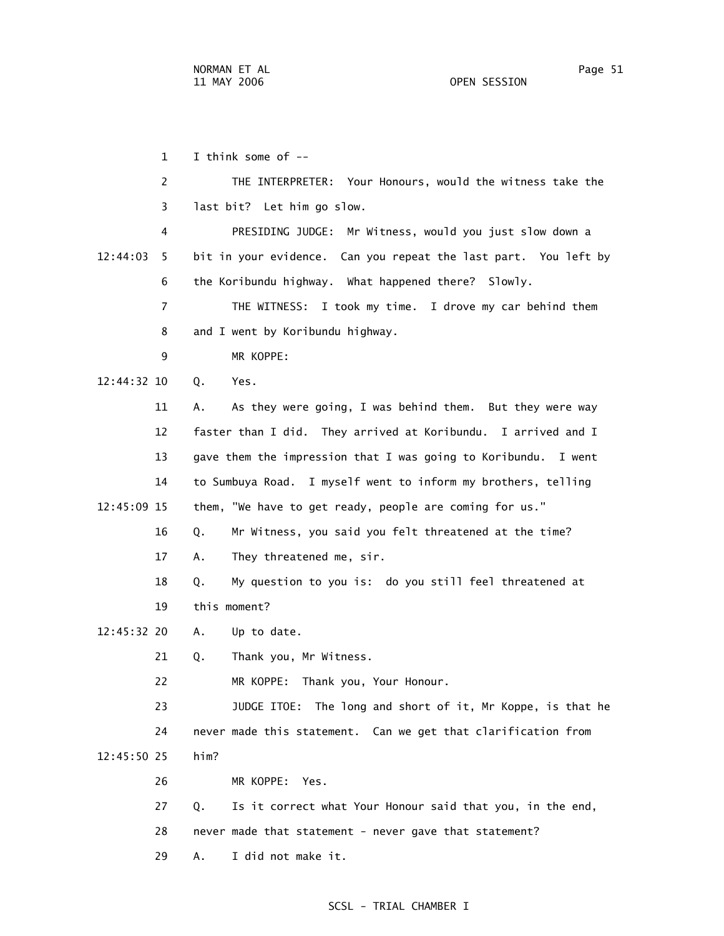1 I think some of -- 2 THE INTERPRETER: Your Honours, would the witness take the 3 last bit? Let him go slow. 4 PRESIDING JUDGE: Mr Witness, would you just slow down a 12:44:03 5 bit in your evidence. Can you repeat the last part. You left by 6 the Koribundu highway. What happened there? Slowly. 7 THE WITNESS: I took my time. I drove my car behind them 8 and I went by Koribundu highway. 9 MR KOPPE: 12:44:32 10 Q. Yes. 11 A. As they were going, I was behind them. But they were way 12 faster than I did. They arrived at Koribundu. I arrived and I 13 gave them the impression that I was going to Koribundu. I went 14 to Sumbuya Road. I myself went to inform my brothers, telling 12:45:09 15 them, "We have to get ready, people are coming for us." 16 Q. Mr Witness, you said you felt threatened at the time? 17 A. They threatened me, sir. 18 Q. My question to you is: do you still feel threatened at 19 this moment? 12:45:32 20 A. Up to date. 21 Q. Thank you, Mr Witness. 22 MR KOPPE: Thank you, Your Honour. 23 JUDGE ITOE: The long and short of it, Mr Koppe, is that he 24 never made this statement. Can we get that clarification from 12:45:50 25 him? 26 MR KOPPE: Yes. 27 Q. Is it correct what Your Honour said that you, in the end, 28 never made that statement - never gave that statement?

### SCSL - TRIAL CHAMBER I

29 A. I did not make it.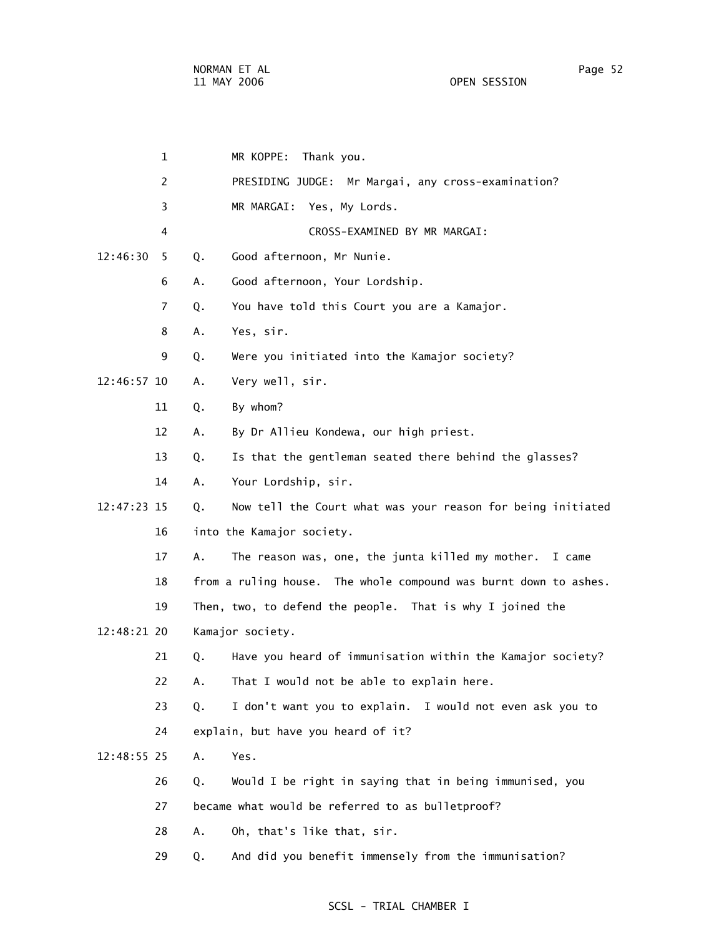|             | $\mathbf 1$    |    | MR KOPPE:<br>Thank you.                                          |
|-------------|----------------|----|------------------------------------------------------------------|
|             | $\overline{2}$ |    | PRESIDING JUDGE: Mr Margai, any cross-examination?               |
|             | 3              |    | MR MARGAI: Yes, My Lords.                                        |
|             | 4              |    | CROSS-EXAMINED BY MR MARGAI:                                     |
| 12:46:30    | 5              | Q. | Good afternoon, Mr Nunie.                                        |
|             | 6              | Α. | Good afternoon, Your Lordship.                                   |
|             | 7              | Q. | You have told this Court you are a Kamajor.                      |
|             | 8              | Α. | Yes, sir.                                                        |
|             | 9              | Q. | Were you initiated into the Kamajor society?                     |
| 12:46:57 10 |                | Α. | Very well, sir.                                                  |
|             | 11             | Q. | By whom?                                                         |
|             | 12             | А. | By Dr Allieu Kondewa, our high priest.                           |
|             | 13             | Q. | Is that the gentleman seated there behind the glasses?           |
|             | 14             | Α. | Your Lordship, sir.                                              |
| 12:47:23 15 |                | Q. | Now tell the Court what was your reason for being initiated      |
|             | 16             |    | into the Kamajor society.                                        |
|             | 17             | Α. | The reason was, one, the junta killed my mother. I came          |
|             | 18             |    | from a ruling house. The whole compound was burnt down to ashes. |
|             | 19             |    | Then, two, to defend the people. That is why I joined the        |
| 12:48:21 20 |                |    | Kamajor society.                                                 |
|             | 21             | Q. | Have you heard of immunisation within the Kamajor society?       |
|             | 22             | А. | That I would not be able to explain here.                        |
|             | 23             | Q. | I don't want you to explain.<br>I would not even ask you to      |
|             | 24             |    | explain, but have you heard of it?                               |
| 12:48:55 25 |                | Α. | Yes.                                                             |
|             | 26             | Q. | Would I be right in saying that in being immunised, you          |
|             | 27             |    | became what would be referred to as bulletproof?                 |
|             | 28             | Α. | Oh, that's like that, sir.                                       |
|             | 29             | Q. | And did you benefit immensely from the immunisation?             |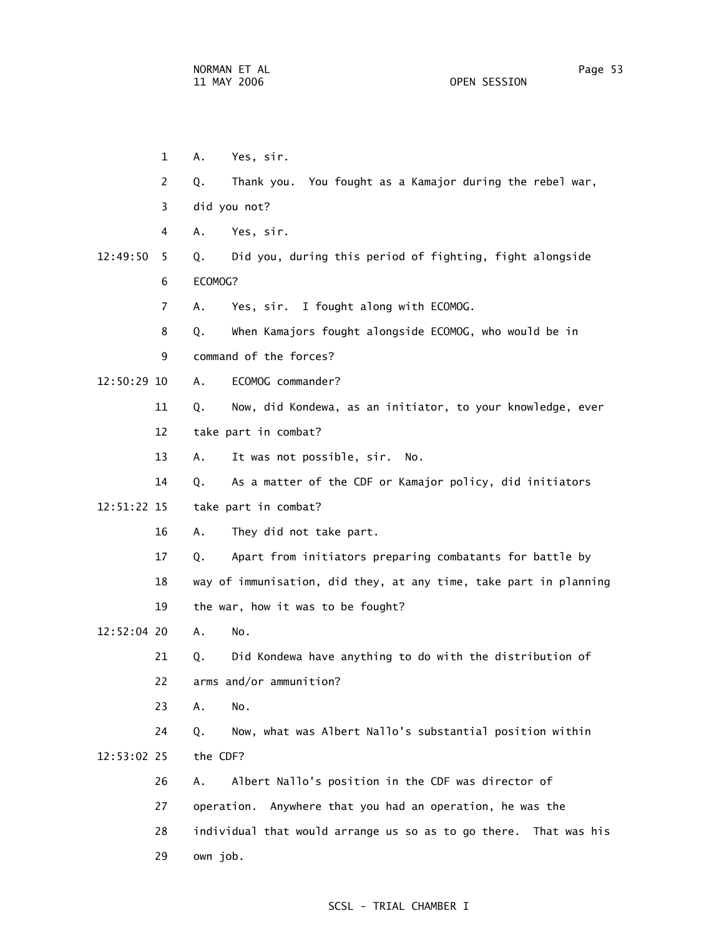1 A. Yes, sir. 2 Q. Thank you. You fought as a Kamajor during the rebel war, 3 did you not? 4 A. Yes, sir. 12:49:50 5 Q. Did you, during this period of fighting, fight alongside 6 ECOMOG? 7 A. Yes, sir. I fought along with ECOMOG. 8 Q. When Kamajors fought alongside ECOMOG, who would be in 9 command of the forces? 12:50:29 10 A. ECOMOG commander? 11 Q. Now, did Kondewa, as an initiator, to your knowledge, ever 12 take part in combat? 13 A. It was not possible, sir. No. 14 Q. As a matter of the CDF or Kamajor policy, did initiators 12:51:22 15 take part in combat? 16 A. They did not take part. 17 Q. Apart from initiators preparing combatants for battle by 18 way of immunisation, did they, at any time, take part in planning 19 the war, how it was to be fought? 12:52:04 20 A. No. 21 Q. Did Kondewa have anything to do with the distribution of 22 arms and/or ammunition? 23 A. No. 24 Q. Now, what was Albert Nallo's substantial position within 12:53:02 25 the CDF? 26 A. Albert Nallo's position in the CDF was director of 27 operation. Anywhere that you had an operation, he was the 28 individual that would arrange us so as to go there. That was his 29 own job.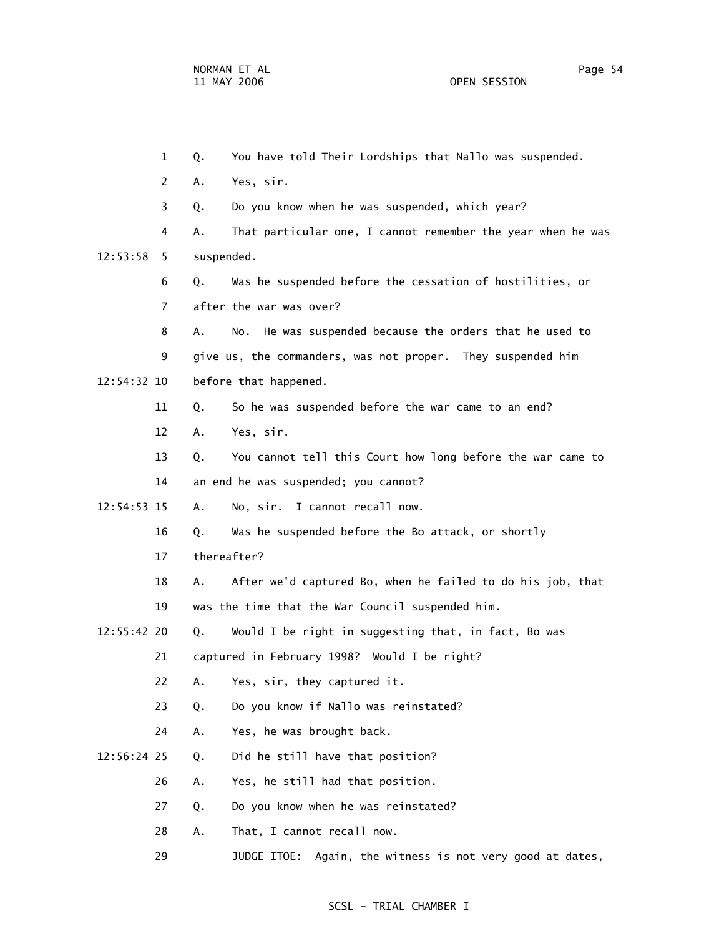1 Q. You have told Their Lordships that Nallo was suspended. 2 A. Yes, sir. 3 Q. Do you know when he was suspended, which year? 4 A. That particular one, I cannot remember the year when he was 12:53:58 5 suspended. 6 Q. Was he suspended before the cessation of hostilities, or 7 after the war was over? 8 A. No. He was suspended because the orders that he used to 9 give us, the commanders, was not proper. They suspended him 12:54:32 10 before that happened. 11 Q. So he was suspended before the war came to an end? 12 A. Yes, sir. 13 Q. You cannot tell this Court how long before the war came to 14 an end he was suspended; you cannot? 12:54:53 15 A. No, sir. I cannot recall now. 16 Q. Was he suspended before the Bo attack, or shortly 17 thereafter? 18 A. After we'd captured Bo, when he failed to do his job, that 19 was the time that the War Council suspended him. 12:55:42 20 Q. Would I be right in suggesting that, in fact, Bo was 21 captured in February 1998? Would I be right? 22 A. Yes, sir, they captured it. 23 Q. Do you know if Nallo was reinstated? 24 A. Yes, he was brought back. 12:56:24 25 Q. Did he still have that position? 26 A. Yes, he still had that position. 27 Q. Do you know when he was reinstated? 28 A. That, I cannot recall now.

29 JUDGE ITOE: Again, the witness is not very good at dates,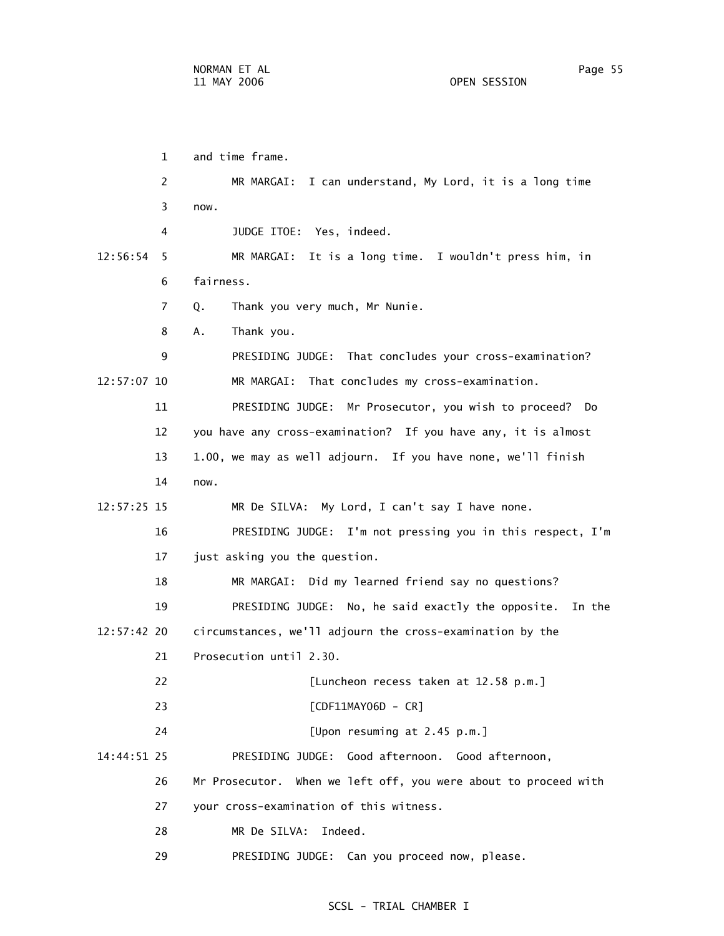1 and time frame. 2 MR MARGAI: I can understand, My Lord, it is a long time 3 now. 4 JUDGE ITOE: Yes, indeed. 12:56:54 5 MR MARGAI: It is a long time. I wouldn't press him, in 6 fairness. 7 Q. Thank you very much, Mr Nunie. 8 A. Thank you. 9 PRESIDING JUDGE: That concludes your cross-examination? 12:57:07 10 MR MARGAI: That concludes my cross-examination. 11 PRESIDING JUDGE: Mr Prosecutor, you wish to proceed? Do 12 you have any cross-examination? If you have any, it is almost 13 1.00, we may as well adjourn. If you have none, we'll finish 14 now. 12:57:25 15 MR De SILVA: My Lord, I can't say I have none. 16 PRESIDING JUDGE: I'm not pressing you in this respect, I'm 17 just asking you the question. 18 MR MARGAI: Did my learned friend say no questions? 19 PRESIDING JUDGE: No, he said exactly the opposite. In the 12:57:42 20 circumstances, we'll adjourn the cross-examination by the 21 Prosecution until 2.30. 22 [Luncheon recess taken at 12.58 p.m.] 23 [CDF11MAY06D - CR] 24 [Upon resuming at 2.45 p.m.] 14:44:51 25 PRESIDING JUDGE: Good afternoon. Good afternoon, 26 Mr Prosecutor. When we left off, you were about to proceed with 27 your cross-examination of this witness. 28 MR De SILVA: Indeed. 29 PRESIDING JUDGE: Can you proceed now, please.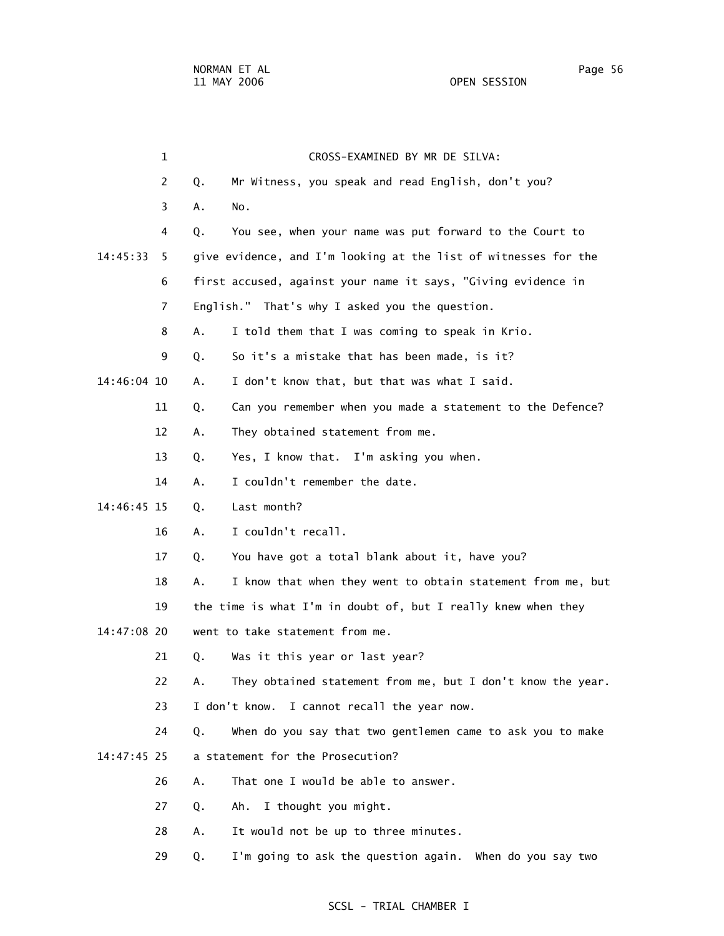1 CROSS-EXAMINED BY MR DE SILVA: 2 Q. Mr Witness, you speak and read English, don't you? 3 A. No. 4 Q. You see, when your name was put forward to the Court to 14:45:33 5 give evidence, and I'm looking at the list of witnesses for the 6 first accused, against your name it says, "Giving evidence in 7 English." That's why I asked you the question. 8 A. I told them that I was coming to speak in Krio. 9 Q. So it's a mistake that has been made, is it? 14:46:04 10 A. I don't know that, but that was what I said. 11 Q. Can you remember when you made a statement to the Defence? 12 A. They obtained statement from me. 13 Q. Yes, I know that. I'm asking you when. 14 A. I couldn't remember the date. 14:46:45 15 Q. Last month? 16 A. I couldn't recall. 17 Q. You have got a total blank about it, have you? 18 A. I know that when they went to obtain statement from me, but 19 the time is what I'm in doubt of, but I really knew when they 14:47:08 20 went to take statement from me. 21 Q. Was it this year or last year? 22 A. They obtained statement from me, but I don't know the year. 23 I don't know. I cannot recall the year now. 24 Q. When do you say that two gentlemen came to ask you to make 14:47:45 25 a statement for the Prosecution? 26 A. That one I would be able to answer. 27 Q. Ah. I thought you might. 28 A. It would not be up to three minutes.

### SCSL - TRIAL CHAMBER I

29 Q. I'm going to ask the question again. When do you say two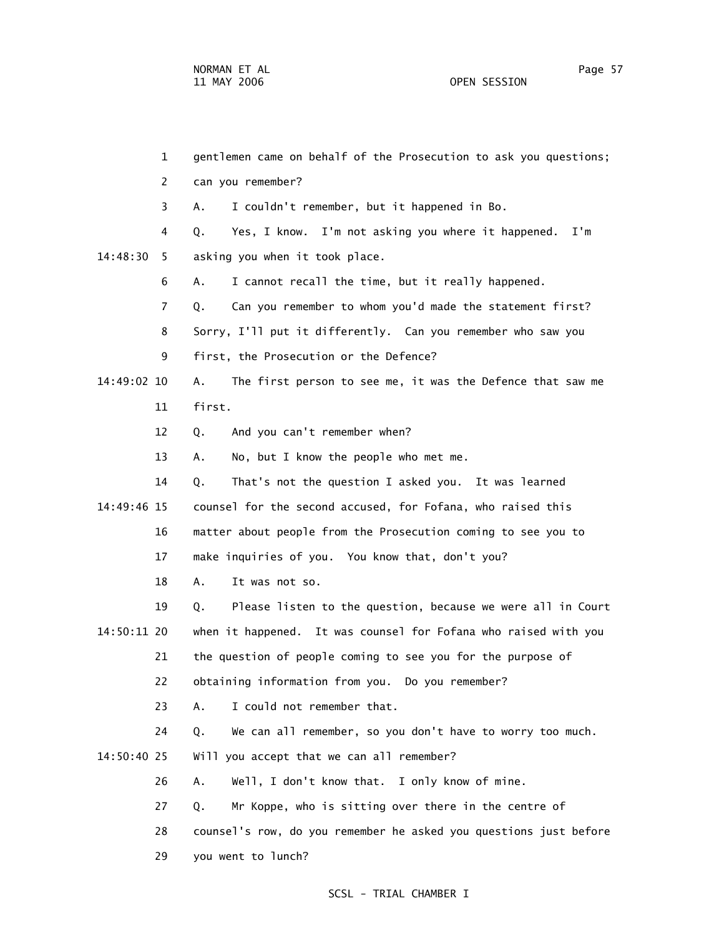1 gentlemen came on behalf of the Prosecution to ask you questions; 2 can you remember? 3 A. I couldn't remember, but it happened in Bo. 4 Q. Yes, I know. I'm not asking you where it happened. I'm 14:48:30 5 asking you when it took place. 6 A. I cannot recall the time, but it really happened. 7 Q. Can you remember to whom you'd made the statement first? 8 Sorry, I'll put it differently. Can you remember who saw you 9 first, the Prosecution or the Defence? 14:49:02 10 A. The first person to see me, it was the Defence that saw me 11 first. 12 Q. And you can't remember when? 13 A. No, but I know the people who met me. 14 Q. That's not the question I asked you. It was learned 14:49:46 15 counsel for the second accused, for Fofana, who raised this 16 matter about people from the Prosecution coming to see you to 17 make inquiries of you. You know that, don't you? 18 A. It was not so. 19 Q. Please listen to the question, because we were all in Court 14:50:11 20 when it happened. It was counsel for Fofana who raised with you 21 the question of people coming to see you for the purpose of 22 obtaining information from you. Do you remember? 23 A. I could not remember that. 24 Q. We can all remember, so you don't have to worry too much. 14:50:40 25 Will you accept that we can all remember? 26 A. Well, I don't know that. I only know of mine. 27 Q. Mr Koppe, who is sitting over there in the centre of 28 counsel's row, do you remember he asked you questions just before 29 you went to lunch?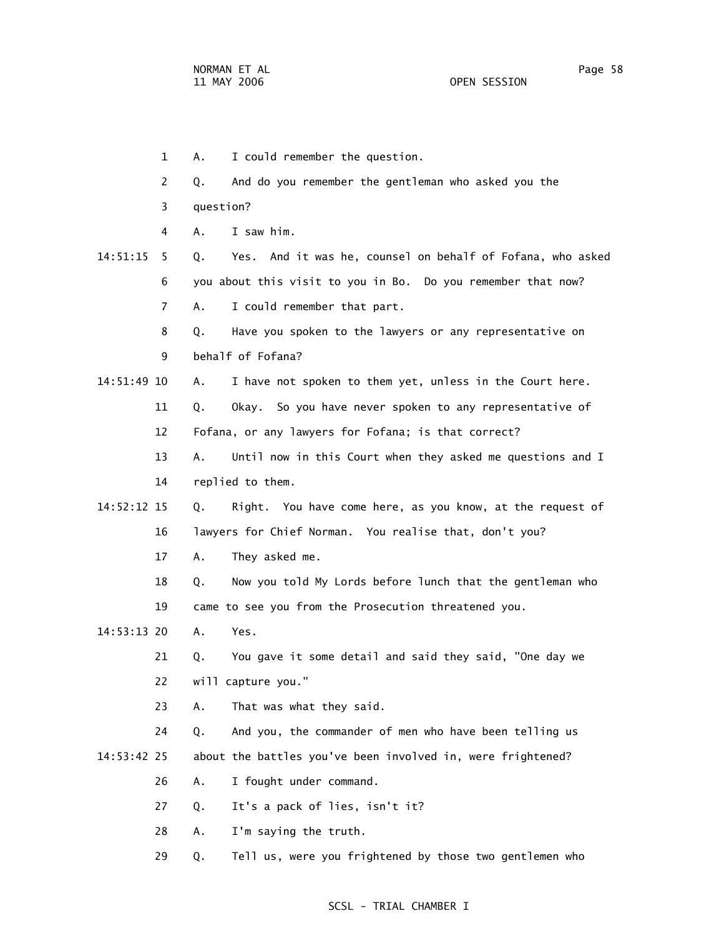- 1 A. I could remember the question.
- 2 Q. And do you remember the gentleman who asked you the
- 3 question?
- 4 A. I saw him.
- 14:51:15 5 Q. Yes. And it was he, counsel on behalf of Fofana, who asked 6 you about this visit to you in Bo. Do you remember that now? 7 A. I could remember that part.
	- 8 Q. Have you spoken to the lawyers or any representative on 9 behalf of Fofana?
- 14:51:49 10 A. I have not spoken to them yet, unless in the Court here.
	- 11 Q. Okay. So you have never spoken to any representative of 12 Fofana, or any lawyers for Fofana; is that correct?
	- 13 A. Until now in this Court when they asked me questions and I 14 replied to them.
- 14:52:12 15 Q. Right. You have come here, as you know, at the request of 16 lawyers for Chief Norman. You realise that, don't you?
	- 17 A. They asked me.
	- 18 Q. Now you told My Lords before lunch that the gentleman who 19 came to see you from the Prosecution threatened you.
- 14:53:13 20 A. Yes.
	- 21 Q. You gave it some detail and said they said, "One day we 22 will capture you."
	- 23 A. That was what they said.
- 24 Q. And you, the commander of men who have been telling us 14:53:42 25 about the battles you've been involved in, were frightened?
	- 26 A. I fought under command.
	- 27 Q. It's a pack of lies, isn't it?
	- 28 A. I'm saying the truth.
	- 29 Q. Tell us, were you frightened by those two gentlemen who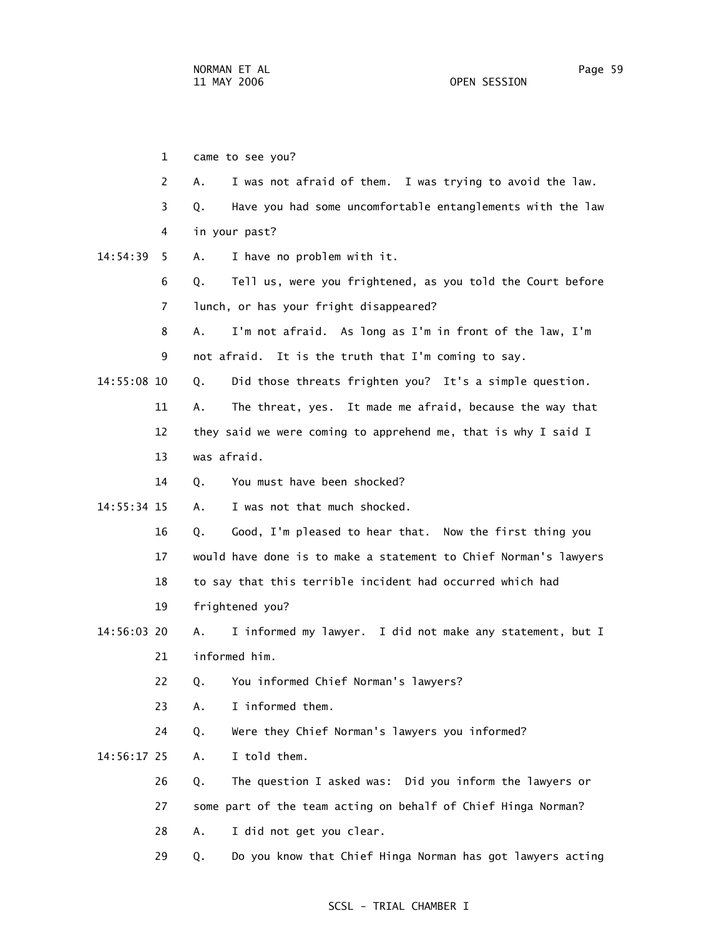1 came to see you? 2 A. I was not afraid of them. I was trying to avoid the law. 3 Q. Have you had some uncomfortable entanglements with the law 4 in your past? 14:54:39 5 A. I have no problem with it. 6 Q. Tell us, were you frightened, as you told the Court before 7 lunch, or has your fright disappeared? 8 A. I'm not afraid. As long as I'm in front of the law, I'm 9 not afraid. It is the truth that I'm coming to say. 14:55:08 10 Q. Did those threats frighten you? It's a simple question. 11 A. The threat, yes. It made me afraid, because the way that 12 they said we were coming to apprehend me, that is why I said I 13 was afraid. 14 0. You must have been shocked? 14:55:34 15 A. I was not that much shocked. 16 Q. Good, I'm pleased to hear that. Now the first thing you 17 would have done is to make a statement to Chief Norman's lawyers 18 to say that this terrible incident had occurred which had 19 frightened you? 14:56:03 20 A. I informed my lawyer. I did not make any statement, but I 21 informed him. 22 Q. You informed Chief Norman's lawyers? 23 A. I informed them. 24 Q. Were they Chief Norman's lawyers you informed? 14:56:17 25 A. I told them. 26 Q. The question I asked was: Did you inform the lawyers or 27 some part of the team acting on behalf of Chief Hinga Norman? 28 A. I did not get you clear. 29 Q. Do you know that Chief Hinga Norman has got lawyers acting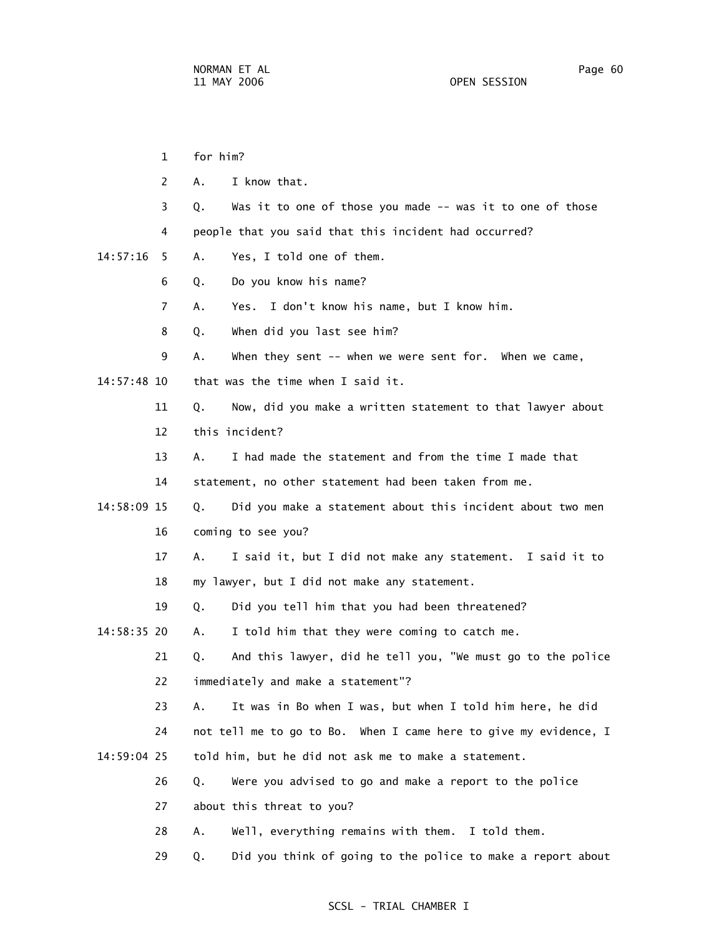|             | $\mathbf{1}$ | for him? |                                                                  |
|-------------|--------------|----------|------------------------------------------------------------------|
|             | 2            | Α.       | I know that.                                                     |
|             | 3            | Q.       | Was it to one of those you made -- was it to one of those        |
|             | 4            |          | people that you said that this incident had occurred?            |
| 14:57:16    | 5.           | Α.       | Yes, I told one of them.                                         |
|             | 6            | Q.       | Do you know his name?                                            |
|             | 7            | Α.       | Yes. I don't know his name, but I know him.                      |
|             | 8            | Q.       | When did you last see him?                                       |
|             | 9            | Α.       | When they sent -- when we were sent for. When we came,           |
| 14:57:48 10 |              |          | that was the time when I said it.                                |
|             | 11           | Q.       | Now, did you make a written statement to that lawyer about       |
|             | 12           |          | this incident?                                                   |
|             | 13           | А.       | I had made the statement and from the time I made that           |
|             | 14           |          | statement, no other statement had been taken from me.            |
| 14:58:09 15 |              | Q.       | Did you make a statement about this incident about two men       |
|             | 16           |          | coming to see you?                                               |
|             | 17           | А.       | I said it, but I did not make any statement. I said it to        |
|             | 18           |          | my lawyer, but I did not make any statement.                     |
|             | 19           | Q.       | Did you tell him that you had been threatened?                   |
| 14:58:35 20 |              | А.       | I told him that they were coming to catch me.                    |
|             | 21           | Q.       | And this lawyer, did he tell you, "We must go to the police      |
|             | 22           |          | immediately and make a statement"?                               |
|             | 23           | Α.       | It was in Bo when I was, but when I told him here, he did        |
|             | 24           |          | not tell me to go to Bo. When I came here to give my evidence, I |
| 14:59:04 25 |              |          | told him, but he did not ask me to make a statement.             |
|             | 26           | Q.       | Were you advised to go and make a report to the police           |
|             | 27           |          | about this threat to you?                                        |
|             | 28           | Α.       | Well, everything remains with them. I told them.                 |
|             | 29           | Q.       | Did you think of going to the police to make a report about      |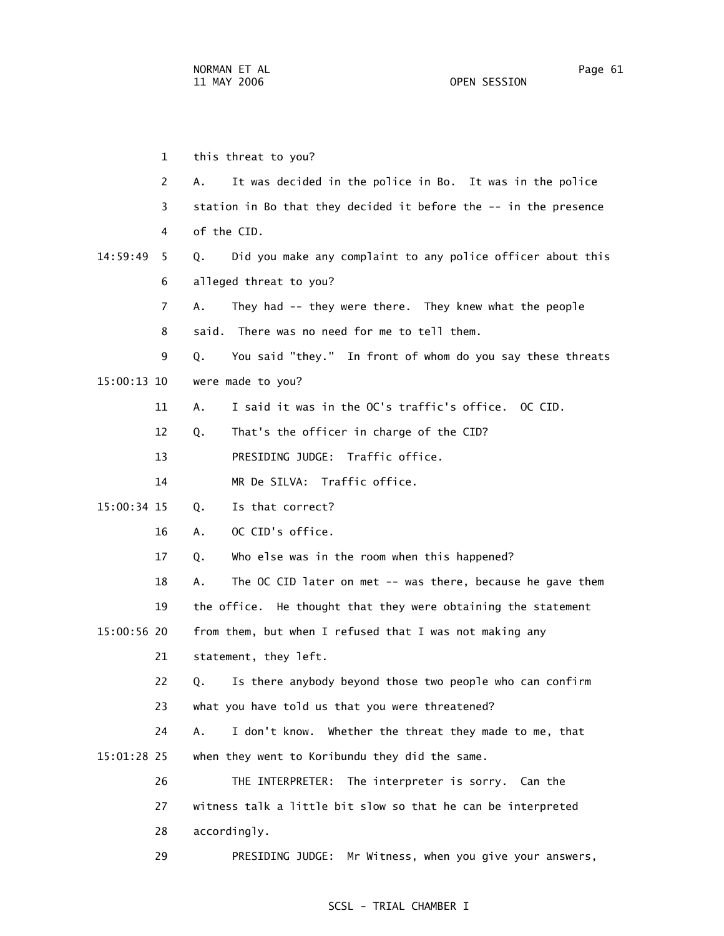1 this threat to you? 2 A. It was decided in the police in Bo. It was in the police 3 station in Bo that they decided it before the -- in the presence 4 of the CID. 14:59:49 5 Q. Did you make any complaint to any police officer about this 6 alleged threat to you? 7 A. They had -- they were there. They knew what the people 8 said. There was no need for me to tell them. 9 Q. You said "they." In front of whom do you say these threats 15:00:13 10 were made to you? 11 A. I said it was in the OC's traffic's office. OC CID. 12 Q. That's the officer in charge of the CID? 13 PRESIDING JUDGE: Traffic office. 14 MR De SILVA: Traffic office. 15:00:34 15 Q. Is that correct? 16 A. OC CID's office. 17 Q. Who else was in the room when this happened? 18 A. The OC CID later on met -- was there, because he gave them 19 the office. He thought that they were obtaining the statement 15:00:56 20 from them, but when I refused that I was not making any 21 statement, they left. 22 Q. Is there anybody beyond those two people who can confirm 23 what you have told us that you were threatened? 24 A. I don't know. Whether the threat they made to me, that 15:01:28 25 when they went to Koribundu they did the same. 26 THE INTERPRETER: The interpreter is sorry. Can the 27 witness talk a little bit slow so that he can be interpreted 28 accordingly.

### SCSL - TRIAL CHAMBER I

29 PRESIDING JUDGE: Mr Witness, when you give your answers,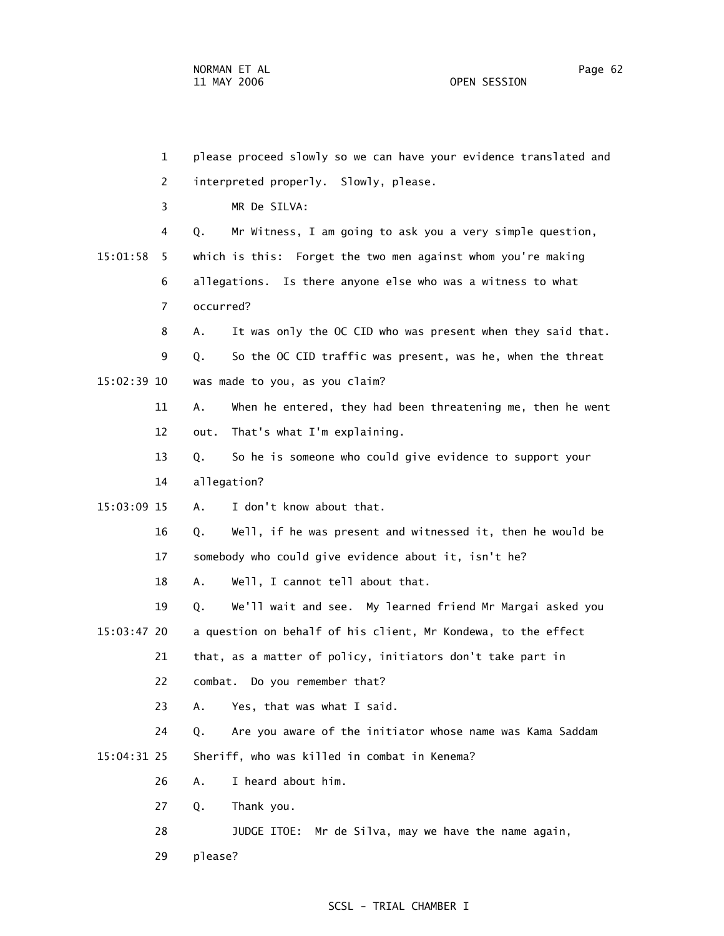1 please proceed slowly so we can have your evidence translated and 2 interpreted properly. Slowly, please. 3 MR De SILVA: 4 Q. Mr Witness, I am going to ask you a very simple question, 15:01:58 5 which is this: Forget the two men against whom you're making 6 allegations. Is there anyone else who was a witness to what 7 occurred? 8 A. It was only the OC CID who was present when they said that. 9 Q. So the OC CID traffic was present, was he, when the threat 15:02:39 10 was made to you, as you claim? 11 A. When he entered, they had been threatening me, then he went 12 out. That's what I'm explaining. 13 Q. So he is someone who could give evidence to support your 14 allegation? 15:03:09 15 A. I don't know about that. 16 Q. Well, if he was present and witnessed it, then he would be 17 somebody who could give evidence about it, isn't he? 18 A. Well, I cannot tell about that. 19 Q. We'll wait and see. My learned friend Mr Margai asked you 15:03:47 20 a question on behalf of his client, Mr Kondewa, to the effect 21 that, as a matter of policy, initiators don't take part in 22 combat. Do you remember that? 23 A. Yes, that was what I said. 24 Q. Are you aware of the initiator whose name was Kama Saddam 15:04:31 25 Sheriff, who was killed in combat in Kenema? 26 A. I heard about him. 27 Q. Thank you. 28 JUDGE ITOE: Mr de Silva, may we have the name again, 29 please?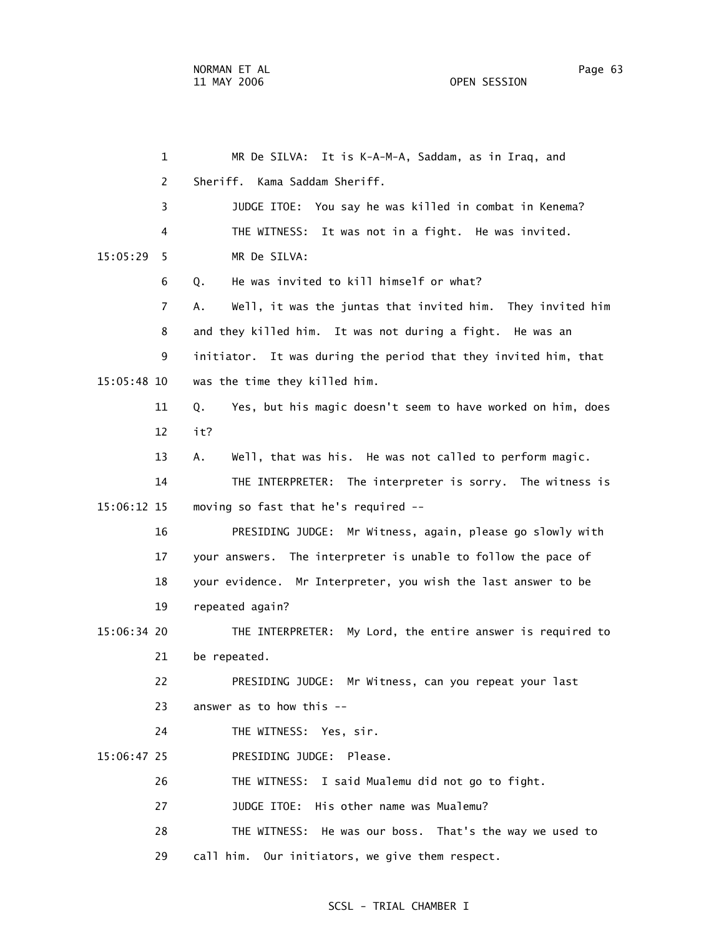| $\mathbf{1}$  | MR De SILVA: It is K-A-M-A, Saddam, as in Iraq, and               |
|---------------|-------------------------------------------------------------------|
| 2             | Kama Saddam Sheriff.<br>Sheriff.                                  |
| 3             | JUDGE ITOE: You say he was killed in combat in Kenema?            |
| 4             | It was not in a fight. He was invited.<br>THE WITNESS:            |
| 15:05:29<br>5 | MR De SILVA:                                                      |
| 6             | He was invited to kill himself or what?<br>Q.                     |
| 7             | Well, it was the juntas that invited him. They invited him<br>А.  |
| 8             | and they killed him. It was not during a fight. He was an         |
| 9             | initiator. It was during the period that they invited him, that   |
| 15:05:48 10   | was the time they killed him.                                     |
| 11            | Yes, but his magic doesn't seem to have worked on him, does<br>Q. |
| 12            | it?                                                               |
| 13            | Well, that was his. He was not called to perform magic.<br>Α.     |
| 14            | THE INTERPRETER: The interpreter is sorry. The witness is         |
| 15:06:12 15   | moving so fast that he's required --                              |
| 16            | PRESIDING JUDGE: Mr Witness, again, please go slowly with         |
| 17            | your answers. The interpreter is unable to follow the pace of     |
| 18            | your evidence. Mr Interpreter, you wish the last answer to be     |
| 19            | repeated again?                                                   |
| 15:06:34 20   | THE INTERPRETER: My Lord, the entire answer is required to        |
| 21            | be repeated.                                                      |
| 22            | PRESIDING JUDGE: Mr Witness, can you repeat your last             |
| 23            | answer as to how this --                                          |
| 24            | THE WITNESS: Yes, sir.                                            |
| 15:06:47 25   | PRESIDING JUDGE: Please.                                          |
| 26            | THE WITNESS: I said Mualemu did not go to fight.                  |
| 27            | JUDGE ITOE: His other name was Mualemu?                           |
| 28            | THE WITNESS: He was our boss. That's the way we used to           |
| 29            | call him. Our initiators, we give them respect.                   |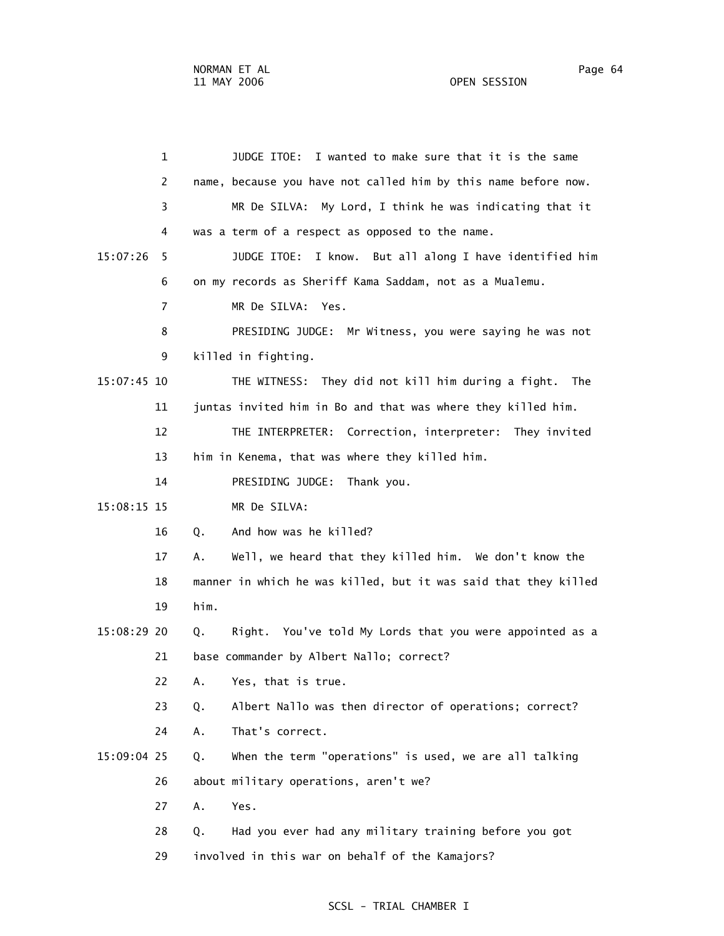1 JUDGE ITOE: I wanted to make sure that it is the same 2 name, because you have not called him by this name before now. 3 MR De SILVA: My Lord, I think he was indicating that it 4 was a term of a respect as opposed to the name. 15:07:26 5 JUDGE ITOE: I know. But all along I have identified him 6 on my records as Sheriff Kama Saddam, not as a Mualemu. 7 MR De SILVA: Yes. 8 PRESIDING JUDGE: Mr Witness, you were saying he was not 9 killed in fighting. 15:07:45 10 THE WITNESS: They did not kill him during a fight. The 11 juntas invited him in Bo and that was where they killed him. 12 THE INTERPRETER: Correction, interpreter: They invited 13 him in Kenema, that was where they killed him. 14 PRESIDING JUDGE: Thank you. 15:08:15 15 MR De SILVA: 16 Q. And how was he killed? 17 A. Well, we heard that they killed him. We don't know the 18 manner in which he was killed, but it was said that they killed 19 him. 15:08:29 20 Q. Right. You've told My Lords that you were appointed as a 21 base commander by Albert Nallo; correct? 22 A. Yes, that is true. 23 Q. Albert Nallo was then director of operations; correct? 24 A. That's correct. 15:09:04 25 Q. When the term "operations" is used, we are all talking 26 about military operations, aren't we? 27 A. Yes. 28 Q. Had you ever had any military training before you got 29 involved in this war on behalf of the Kamajors?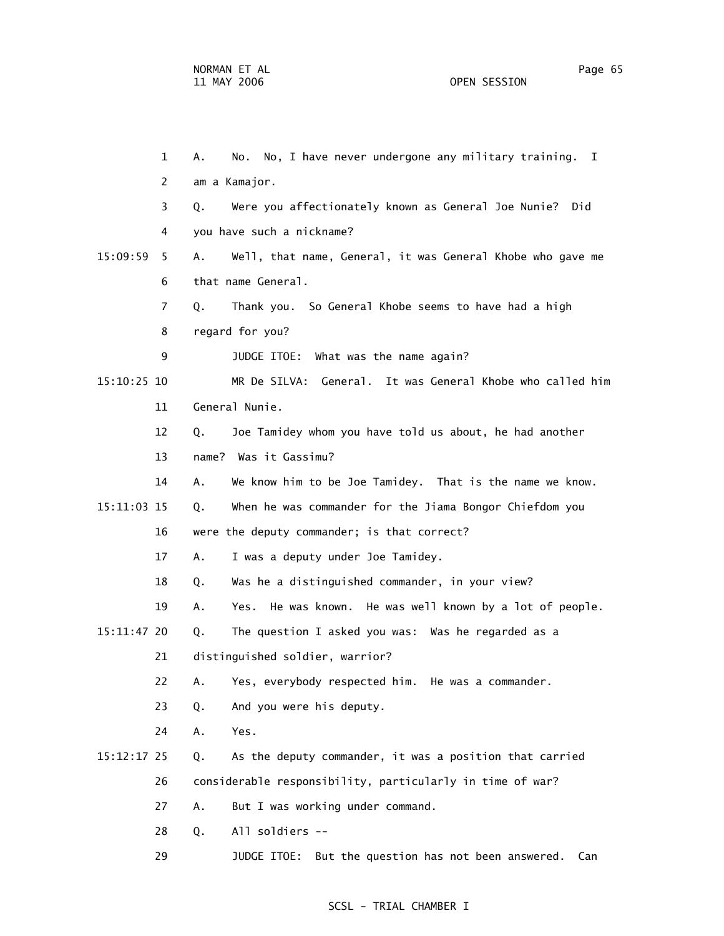1 A. No. No, I have never undergone any military training. I 2 am a Kamajor. 3 Q. Were you affectionately known as General Joe Nunie? Did 4 you have such a nickname? 15:09:59 5 A. Well, that name, General, it was General Khobe who gave me 6 that name General. 7 Q. Thank you. So General Khobe seems to have had a high 8 regard for you? 9 JUDGE ITOE: What was the name again? 15:10:25 10 MR De SILVA: General. It was General Khobe who called him 11 General Nunie. 12 Q. Joe Tamidey whom you have told us about, he had another 13 name? Was it Gassimu? 14 A. We know him to be Joe Tamidey. That is the name we know. 15:11:03 15 Q. When he was commander for the Jiama Bongor Chiefdom you 16 were the deputy commander; is that correct? 17 A. I was a deputy under Joe Tamidey. 18 Q. Was he a distinguished commander, in your view? 19 A. Yes. He was known. He was well known by a lot of people. 15:11:47 20 Q. The question I asked you was: Was he regarded as a 21 distinguished soldier, warrior? 22 A. Yes, everybody respected him. He was a commander. 23 Q. And you were his deputy. 24 A. Yes. 15:12:17 25 Q. As the deputy commander, it was a position that carried 26 considerable responsibility, particularly in time of war? 27 A. But I was working under command. 28 Q. All soldiers -- 29 JUDGE ITOE: But the question has not been answered. Can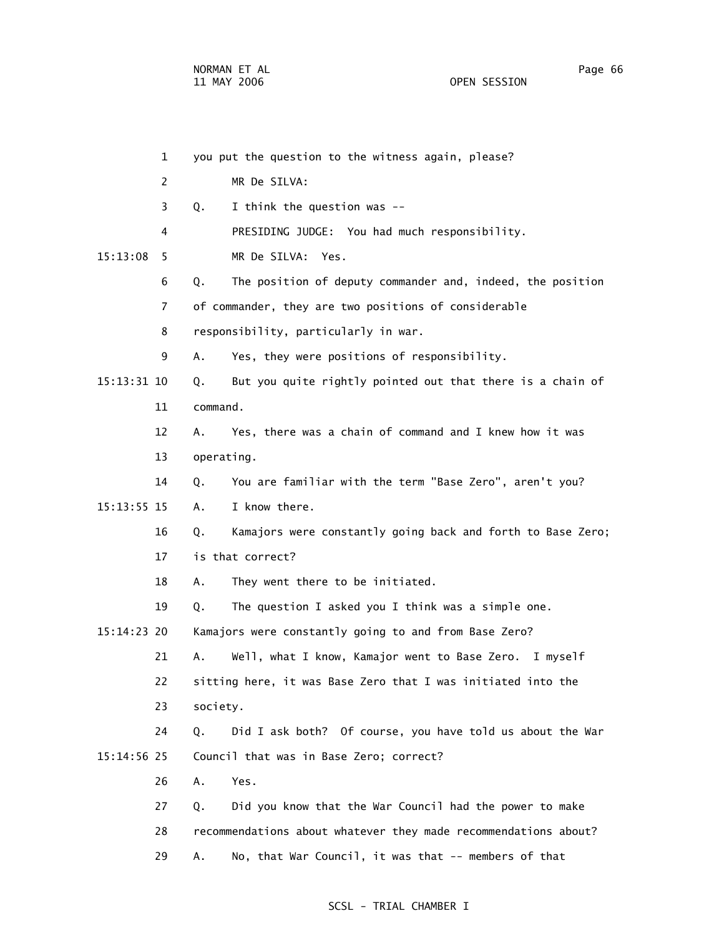|               | $\mathbf{1}$ |            | you put the question to the witness again, please?              |
|---------------|--------------|------------|-----------------------------------------------------------------|
|               | 2            |            | MR De SILVA:                                                    |
|               | 3            | Q.         | I think the question was --                                     |
|               | 4            |            | PRESIDING JUDGE: You had much responsibility.                   |
| 15:13:08      | 5            |            | MR De SILVA: Yes.                                               |
|               | 6            | Q.         | The position of deputy commander and, indeed, the position      |
|               | 7            |            | of commander, they are two positions of considerable            |
|               | 8            |            | responsibility, particularly in war.                            |
|               | 9            | Α.         | Yes, they were positions of responsibility.                     |
| $15:13:31$ 10 |              | Q.         | But you quite rightly pointed out that there is a chain of      |
|               | 11           | command.   |                                                                 |
|               | 12           | А.         | Yes, there was a chain of command and I knew how it was         |
|               | 13           | operating. |                                                                 |
|               | 14           | Q.         | You are familiar with the term "Base Zero", aren't you?         |
| 15:13:55 15   |              | Α.         | I know there.                                                   |
|               | 16           | Q.         | Kamajors were constantly going back and forth to Base Zero;     |
|               | 17           |            | is that correct?                                                |
|               | 18           | Α.         | They went there to be initiated.                                |
|               | 19           | Q.         | The question I asked you I think was a simple one.              |
| 15:14:23 20   |              |            | Kamajors were constantly going to and from Base Zero?           |
|               | 21           | Α.         | Well, what I know, Kamajor went to Base Zero. I myself          |
|               | 22           |            | sitting here, it was Base Zero that I was initiated into the    |
|               | 23           | society.   |                                                                 |
|               | 24           | Q.         | Did I ask both? Of course, you have told us about the War       |
| 15:14:56 25   |              |            | Council that was in Base Zero; correct?                         |
|               | 26           | Α.         | Yes.                                                            |
|               | 27           | Q.         | Did you know that the War Council had the power to make         |
|               | 28           |            | recommendations about whatever they made recommendations about? |
|               | 29           | Α.         | No, that War Council, it was that -- members of that            |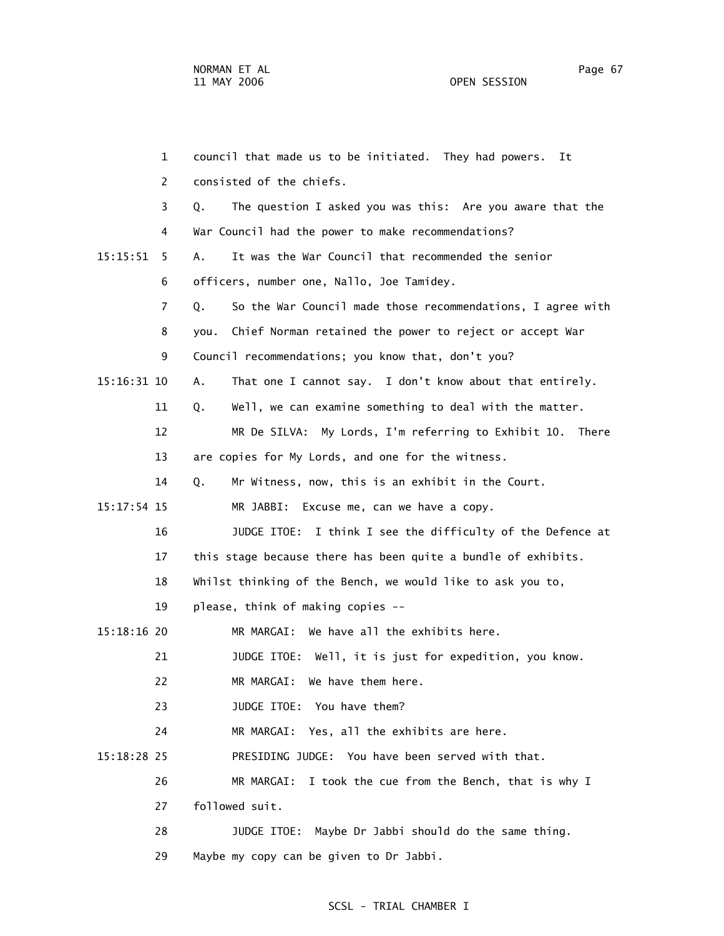| $\mathbf{1}$   | council that made us to be initiated. They had powers.<br>Ιt      |
|----------------|-------------------------------------------------------------------|
| 2              | consisted of the chiefs.                                          |
| 3              | The question I asked you was this: Are you aware that the<br>Q.   |
| 4              | War Council had the power to make recommendations?                |
| 15:15:51<br>5. | It was the War Council that recommended the senior<br>Α.          |
| 6              | officers, number one, Nallo, Joe Tamidey.                         |
| 7              | So the War Council made those recommendations, I agree with<br>Q. |
| 8              | Chief Norman retained the power to reject or accept War<br>you.   |
| 9              | Council recommendations; you know that, don't you?                |
| 15:16:31 10    | That one I cannot say. I don't know about that entirely.<br>Α.    |
| 11             | Well, we can examine something to deal with the matter.<br>Q.     |
| 12             | MR De SILVA: My Lords, I'm referring to Exhibit 10. There         |
| 13             | are copies for My Lords, and one for the witness.                 |
| 14             | Mr Witness, now, this is an exhibit in the Court.<br>Q.           |
| $15:17:54$ 15  | MR JABBI: Excuse me, can we have a copy.                          |
| 16             | JUDGE ITOE: I think I see the difficulty of the Defence at        |
| 17             | this stage because there has been quite a bundle of exhibits.     |
| 18             | Whilst thinking of the Bench, we would like to ask you to,        |
| 19             | please, think of making copies --                                 |
| 15:18:16 20    | MR MARGAI: We have all the exhibits here.                         |
| 21             | JUDGE ITOE: Well, it is just for expedition, you know.            |
| 22             | MR MARGAI:<br>We have them here.                                  |
| 23             | JUDGE ITOE: You have them?                                        |
| 24             | MR MARGAI: Yes, all the exhibits are here.                        |
| 15:18:28 25    | PRESIDING JUDGE: You have been served with that.                  |
| 26             | MR MARGAI:<br>I took the cue from the Bench, that is why I        |
| 27             | followed suit.                                                    |
| 28             | Maybe Dr Jabbi should do the same thing.<br>JUDGE ITOE:           |
| 29             | Maybe my copy can be given to Dr Jabbi.                           |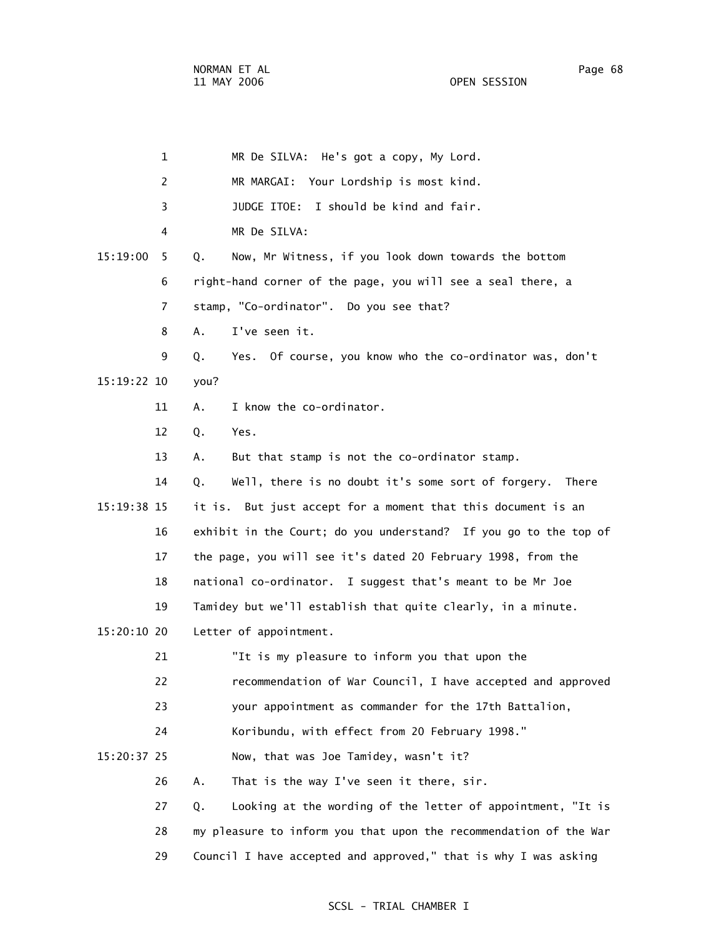|             | $\mathbf 1$ | MR De SILVA: He's got a copy, My Lord.                            |
|-------------|-------------|-------------------------------------------------------------------|
|             | 2           | MR MARGAI: Your Lordship is most kind.                            |
|             | 3           | JUDGE ITOE: I should be kind and fair.                            |
|             | 4           | MR De SILVA:                                                      |
| 15:19:00    | 5           | Q.<br>Now, Mr Witness, if you look down towards the bottom        |
|             | 6           | right-hand corner of the page, you will see a seal there, a       |
|             | 7           | stamp, "Co-ordinator". Do you see that?                           |
|             | 8           | I've seen it.<br>A.                                               |
|             | 9           | Yes. Of course, you know who the co-ordinator was, don't<br>Q.    |
| 15:19:22 10 |             | you?                                                              |
|             | 11          | I know the co-ordinator.<br>Α.                                    |
|             | 12          | Q.<br>Yes.                                                        |
|             | 13          | But that stamp is not the co-ordinator stamp.<br>Α.               |
|             | 14          | Well, there is no doubt it's some sort of forgery.<br>Q.<br>There |
| 15:19:38 15 |             | it is. But just accept for a moment that this document is an      |
|             | 16          | exhibit in the Court; do you understand? If you go to the top of  |
|             | 17          | the page, you will see it's dated 20 February 1998, from the      |
|             | 18          | national co-ordinator. I suggest that's meant to be Mr Joe        |
|             | 19          | Tamidey but we'll establish that quite clearly, in a minute.      |
| 15:20:10 20 |             | Letter of appointment.                                            |
|             | 21          | "It is my pleasure to inform you that upon the                    |
|             | 22          | recommendation of War Council, I have accepted and approved       |
|             | 23          | your appointment as commander for the 17th Battalion,             |
|             | 24          | Koribundu, with effect from 20 February 1998."                    |
| 15:20:37 25 |             | Now, that was Joe Tamidey, wasn't it?                             |
|             | 26          | That is the way I've seen it there, sir.<br>Α.                    |
|             | 27          | Looking at the wording of the letter of appointment, "It is<br>Q. |
|             | 28          | my pleasure to inform you that upon the recommendation of the War |
|             | 29          | Council I have accepted and approved," that is why I was asking   |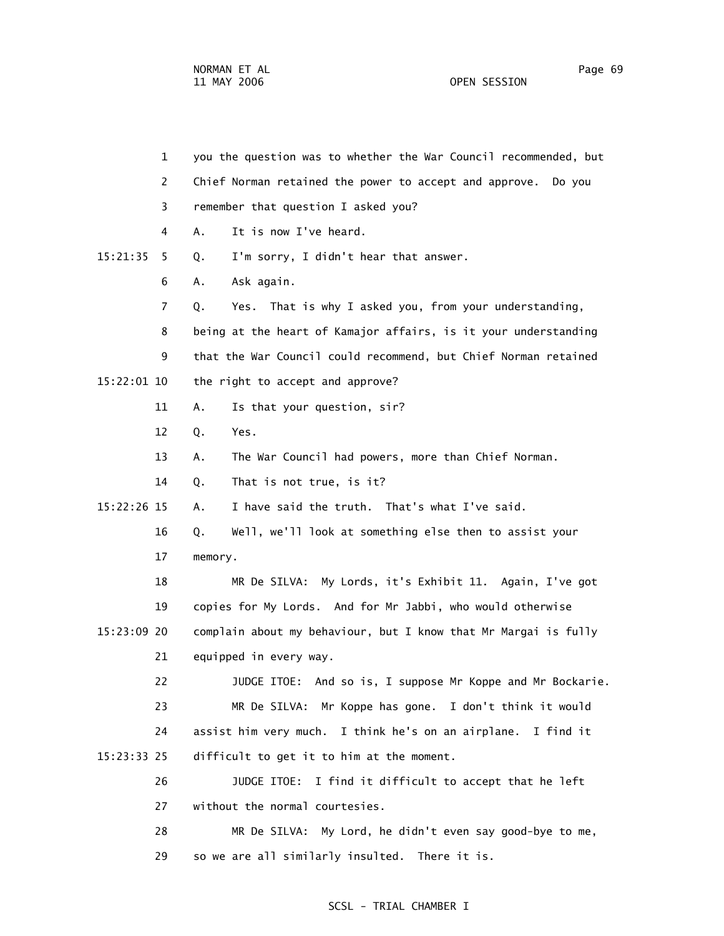1 you the question was to whether the War Council recommended, but 2 Chief Norman retained the power to accept and approve. Do you 3 remember that question I asked you? 4 A. It is now I've heard. 15:21:35 5 Q. I'm sorry, I didn't hear that answer. 6 A. Ask again. 7 Q. Yes. That is why I asked you, from your understanding, 8 being at the heart of Kamajor affairs, is it your understanding 9 that the War Council could recommend, but Chief Norman retained 15:22:01 10 the right to accept and approve? 11 A. Is that your question, sir? 12 Q. Yes. 13 A. The War Council had powers, more than Chief Norman. 14 Q. That is not true, is it? 15:22:26 15 A. I have said the truth. That's what I've said. 16 Q. Well, we'll look at something else then to assist your 17 memory. 18 MR De SILVA: My Lords, it's Exhibit 11. Again, I've got 19 copies for My Lords. And for Mr Jabbi, who would otherwise 15:23:09 20 complain about my behaviour, but I know that Mr Margai is fully 21 equipped in every way. 22 JUDGE ITOE: And so is, I suppose Mr Koppe and Mr Bockarie. 23 MR De SILVA: Mr Koppe has gone. I don't think it would 24 assist him very much. I think he's on an airplane. I find it 15:23:33 25 difficult to get it to him at the moment. 26 JUDGE ITOE: I find it difficult to accept that he left 27 without the normal courtesies. 28 MR De SILVA: My Lord, he didn't even say good-bye to me,

29 so we are all similarly insulted. There it is.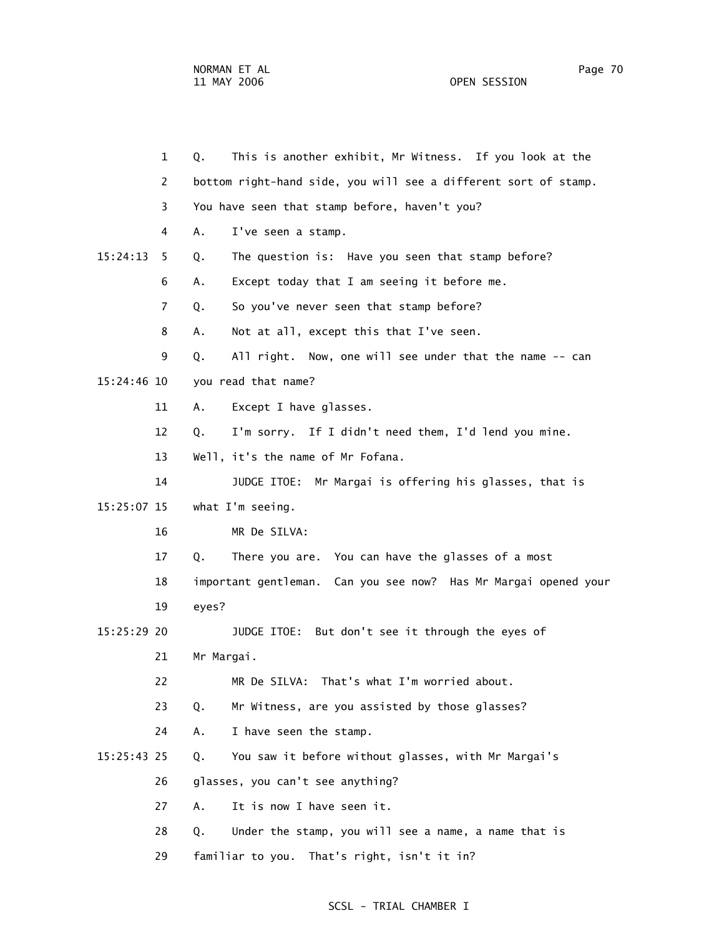|               | $\mathbf{1}$   | This is another exhibit, Mr Witness. If you look at the<br>Q.   |
|---------------|----------------|-----------------------------------------------------------------|
|               | 2              | bottom right-hand side, you will see a different sort of stamp. |
|               | 3              | You have seen that stamp before, haven't you?                   |
|               | 4              | Α.<br>I've seen a stamp.                                        |
| 15:24:13      | 5              | The question is: Have you seen that stamp before?<br>Q.         |
|               | 6              | Except today that I am seeing it before me.<br>Α.               |
|               | $\overline{7}$ | So you've never seen that stamp before?<br>Q.                   |
|               | 8              | Not at all, except this that I've seen.<br>А.                   |
|               | 9              | All right. Now, one will see under that the name -- can<br>Q.   |
| 15:24:46 10   |                | you read that name?                                             |
|               | 11             | Except I have glasses.<br>Α.                                    |
|               | 12             | I'm sorry. If I didn't need them, I'd lend you mine.<br>Q.      |
|               | 13             | Well, it's the name of Mr Fofana.                               |
|               | 14             | JUDGE ITOE: Mr Margai is offering his glasses, that is          |
| 15:25:07 15   |                | what I'm seeing.                                                |
|               | 16             | MR De SILVA:                                                    |
|               | 17             | There you are. You can have the glasses of a most<br>Q.         |
|               | 18             | important gentleman. Can you see now? Has Mr Margai opened your |
|               | 19             | eyes?                                                           |
| 15:25:29 20   |                | JUDGE ITOE:<br>But don't see it through the eyes of             |
|               | 21             | Mr Margai.                                                      |
|               | 22             | MR De SILVA: That's what I'm worried about.                     |
|               | 23             | Mr Witness, are you assisted by those glasses?<br>Q.            |
|               | 24             | I have seen the stamp.<br>Α.                                    |
| $15:25:43$ 25 |                | You saw it before without glasses, with Mr Margai's<br>Q.       |
|               | 26             | glasses, you can't see anything?                                |
|               | 27             | It is now I have seen it.<br>A.                                 |
|               | 28             | Under the stamp, you will see a name, a name that is<br>Q.      |
|               | 29             | familiar to you. That's right, isn't it in?                     |
|               |                |                                                                 |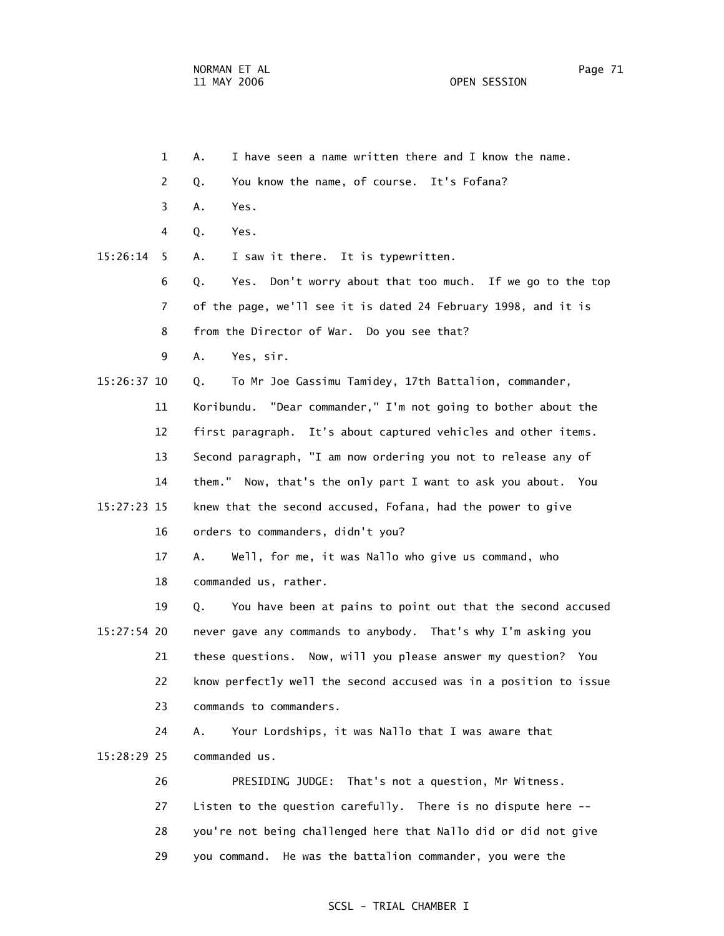- 1 A. I have seen a name written there and I know the name.
- 2 Q. You know the name, of course. It's Fofana?
- 3 A. Yes.
- 4 Q. Yes.
- 15:26:14 5 A. I saw it there. It is typewritten.
	- 6 Q. Yes. Don't worry about that too much. If we go to the top 7 of the page, we'll see it is dated 24 February 1998, and it is
	- 8 from the Director of War. Do you see that?
	- 9 A. Yes, sir.
- 15:26:37 10 Q. To Mr Joe Gassimu Tamidey, 17th Battalion, commander,
	- 11 Koribundu. "Dear commander," I'm not going to bother about the 12 first paragraph. It's about captured vehicles and other items. 13 Second paragraph, "I am now ordering you not to release any of 14 them." Now, that's the only part I want to ask you about. You
- 15:27:23 15 knew that the second accused, Fofana, had the power to give 16 orders to commanders, didn't you?
	- 17 A. Well, for me, it was Nallo who give us command, who 18 commanded us, rather.
- 19 Q. You have been at pains to point out that the second accused 15:27:54 20 never gave any commands to anybody. That's why I'm asking you 21 these questions. Now, will you please answer my question? You 22 know perfectly well the second accused was in a position to issue 23 commands to commanders.
- 24 A. Your Lordships, it was Nallo that I was aware that 15:28:29 25 commanded us.
	- 26 PRESIDING JUDGE: That's not a question, Mr Witness. 27 Listen to the question carefully. There is no dispute here -- 28 you're not being challenged here that Nallo did or did not give 29 you command. He was the battalion commander, you were the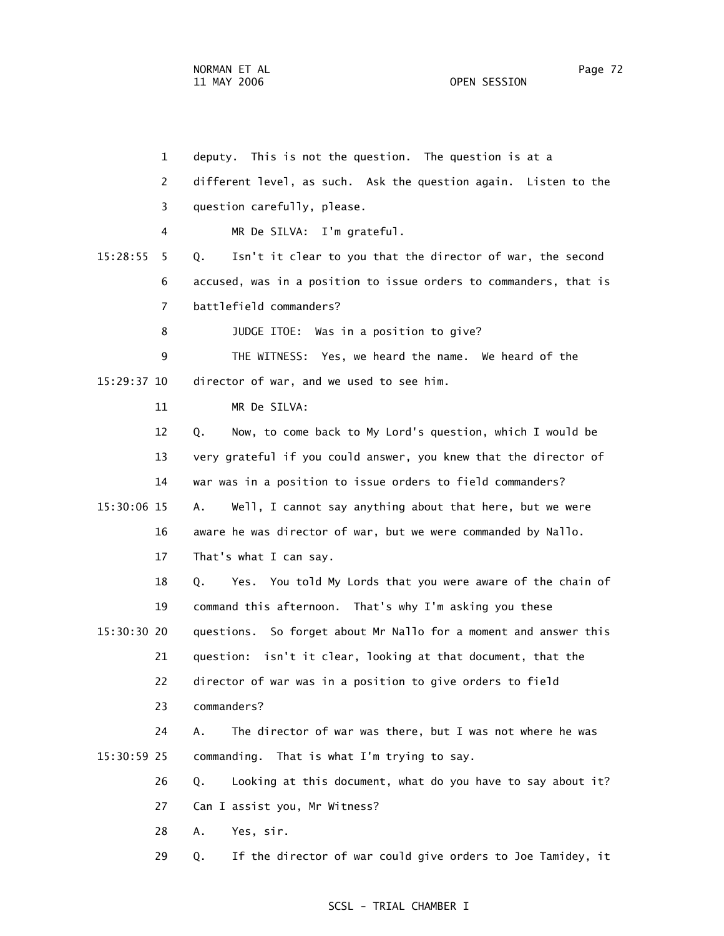1 deputy. This is not the question. The question is at a 2 different level, as such. Ask the question again. Listen to the 3 question carefully, please. 4 MR De SILVA: I'm grateful. 15:28:55 5 Q. Isn't it clear to you that the director of war, the second 6 accused, was in a position to issue orders to commanders, that is 7 battlefield commanders? 8 JUDGE ITOE: Was in a position to give? 9 THE WITNESS: Yes, we heard the name. We heard of the 15:29:37 10 director of war, and we used to see him. 11 MR De SILVA: 12 Q. Now, to come back to My Lord's question, which I would be 13 very grateful if you could answer, you knew that the director of 14 war was in a position to issue orders to field commanders? 15:30:06 15 A. Well, I cannot say anything about that here, but we were 16 aware he was director of war, but we were commanded by Nallo. 17 That's what I can say. 18 Q. Yes. You told My Lords that you were aware of the chain of 19 command this afternoon. That's why I'm asking you these 15:30:30 20 questions. So forget about Mr Nallo for a moment and answer this 21 question: isn't it clear, looking at that document, that the 22 director of war was in a position to give orders to field 23 commanders? 24 A. The director of war was there, but I was not where he was 15:30:59 25 commanding. That is what I'm trying to say. 26 Q. Looking at this document, what do you have to say about it? 27 Can I assist you, Mr Witness? 28 A. Yes, sir. 29 Q. If the director of war could give orders to Joe Tamidey, it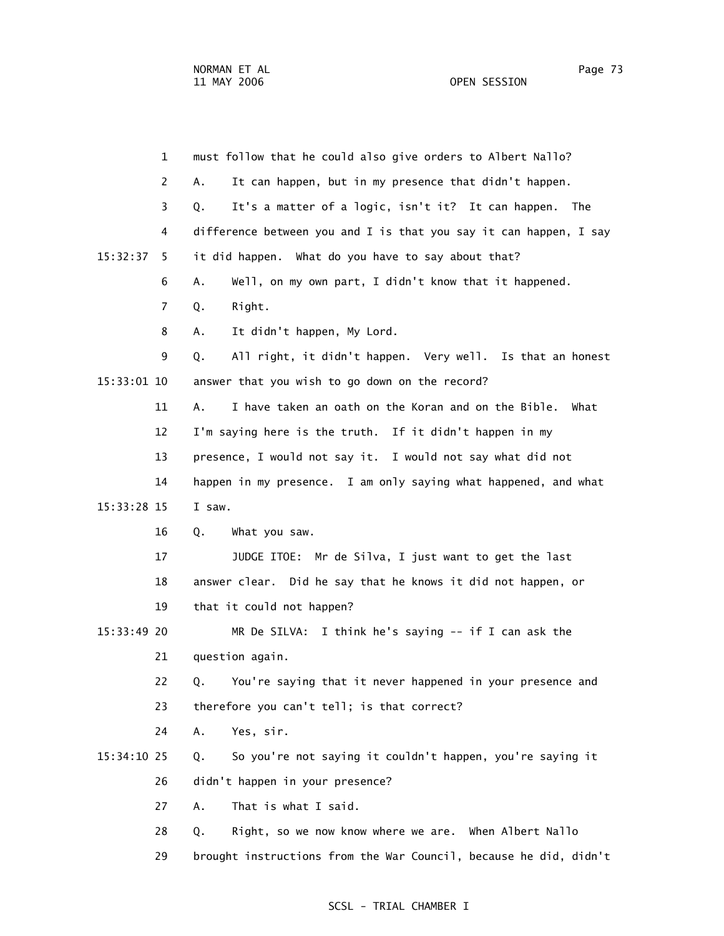|               | $\mathbf 1$    | must follow that he could also give orders to Albert Nallo?       |
|---------------|----------------|-------------------------------------------------------------------|
|               | 2              | It can happen, but in my presence that didn't happen.<br>Α.       |
|               | 3              | It's a matter of a logic, isn't it? It can happen. The<br>Q.      |
|               | 4              | difference between you and I is that you say it can happen, I say |
| 15:32:37      | 5.             | it did happen. What do you have to say about that?                |
|               | 6              | Well, on my own part, I didn't know that it happened.<br>Α.       |
|               | $\overline{7}$ | Q.<br>Right.                                                      |
|               | 8              | It didn't happen, My Lord.<br>Α.                                  |
|               | 9              | All right, it didn't happen. Very well. Is that an honest<br>Q.   |
| 15:33:01 10   |                | answer that you wish to go down on the record?                    |
|               | 11             | I have taken an oath on the Koran and on the Bible.<br>А.<br>What |
|               | 12             | I'm saying here is the truth. If it didn't happen in my           |
|               | 13             | presence, I would not say it. I would not say what did not        |
|               | 14             | happen in my presence. I am only saying what happened, and what   |
| 15:33:28 15   |                | I saw.                                                            |
|               | 16             | Q.<br>What you saw.                                               |
|               | 17             | JUDGE ITOE: Mr de Silva, I just want to get the last              |
|               | 18             | answer clear. Did he say that he knows it did not happen, or      |
|               | 19             | that it could not happen?                                         |
| $15:33:49$ 20 |                | I think he's saying -- if I can ask the<br>MR De SILVA:           |
|               | 21             | question again.                                                   |
|               | 22             | You're saying that it never happened in your presence and<br>Q.   |
|               | 23             | therefore you can't tell; is that correct?                        |
|               | 24             | Yes, sir.<br>Α.                                                   |
| 15:34:10 25   |                | So you're not saying it couldn't happen, you're saying it<br>Q.   |
|               | 26             | didn't happen in your presence?                                   |
|               | 27             | That is what I said.<br>Α.                                        |
|               | 28             | Right, so we now know where we are. When Albert Nallo<br>Q.       |
|               | 29             | brought instructions from the War Council, because he did, didn't |
|               |                |                                                                   |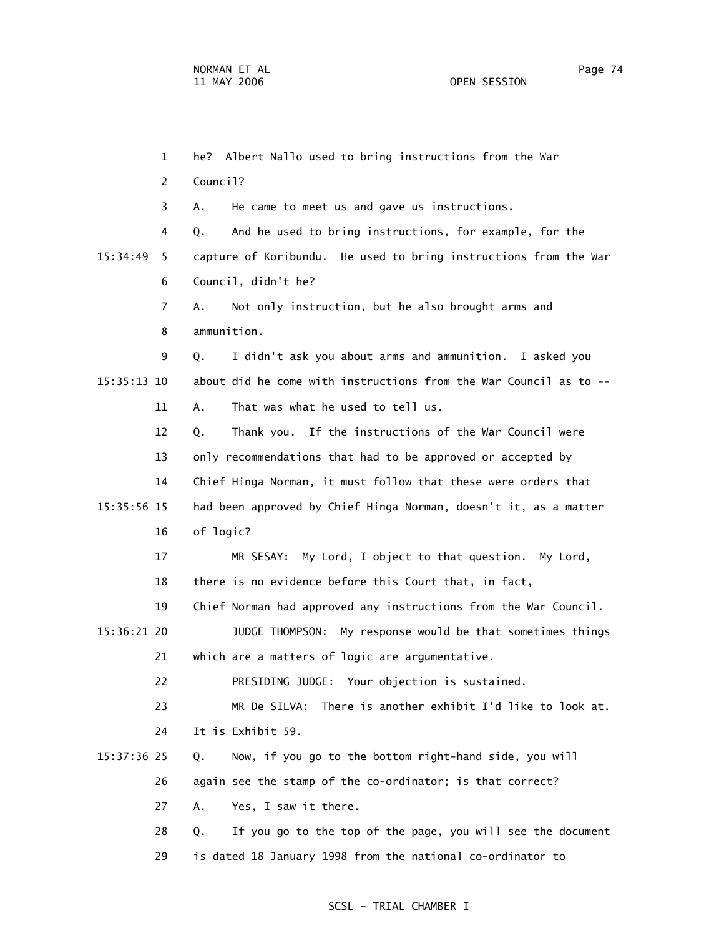1 he? Albert Nallo used to bring instructions from the War 2 Council? 3 A. He came to meet us and gave us instructions. 4 Q. And he used to bring instructions, for example, for the 15:34:49 5 capture of Koribundu. He used to bring instructions from the War 6 Council, didn't he? 7 A. Not only instruction, but he also brought arms and 8 ammunition. 9 Q. I didn't ask you about arms and ammunition. I asked you 15:35:13 10 about did he come with instructions from the War Council as to -- 11 A. That was what he used to tell us. 12 Q. Thank you. If the instructions of the War Council were 13 only recommendations that had to be approved or accepted by 14 Chief Hinga Norman, it must follow that these were orders that 15:35:56 15 had been approved by Chief Hinga Norman, doesn't it, as a matter 16 of logic? 17 MR SESAY: My Lord, I object to that question. My Lord, 18 there is no evidence before this Court that, in fact, 19 Chief Norman had approved any instructions from the War Council. 15:36:21 20 JUDGE THOMPSON: My response would be that sometimes things 21 which are a matters of logic are argumentative. 22 PRESIDING JUDGE: Your objection is sustained. 23 MR De SILVA: There is another exhibit I'd like to look at. 24 It is Exhibit 59. 15:37:36 25 Q. Now, if you go to the bottom right-hand side, you will 26 again see the stamp of the co-ordinator; is that correct? 27 A. Yes, I saw it there. 28 Q. If you go to the top of the page, you will see the document 29 is dated 18 January 1998 from the national co-ordinator to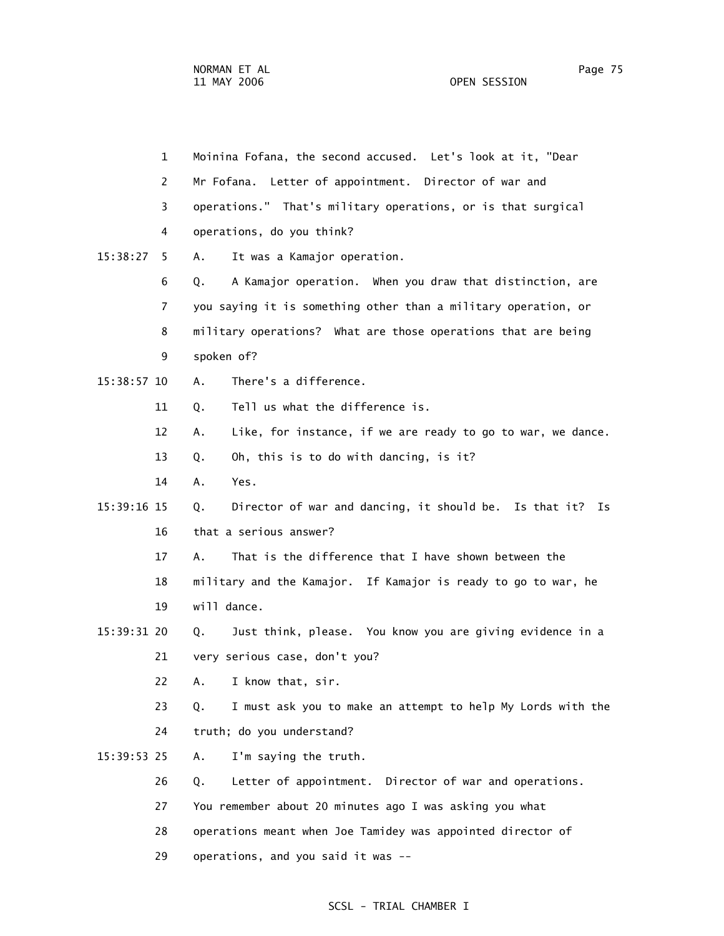1 Moinina Fofana, the second accused. Let's look at it, "Dear 2 Mr Fofana. Letter of appointment. Director of war and 3 operations." That's military operations, or is that surgical 4 operations, do you think? 15:38:27 5 A. It was a Kamajor operation. 6 Q. A Kamajor operation. When you draw that distinction, are 7 you saying it is something other than a military operation, or 8 military operations? What are those operations that are being 9 spoken of? 15:38:57 10 A. There's a difference. 11 0. Tell us what the difference is. 12 A. Like, for instance, if we are ready to go to war, we dance. 13 Q. Oh, this is to do with dancing, is it? 14 A. Yes. 15:39:16 15 Q. Director of war and dancing, it should be. Is that it? Is 16 that a serious answer? 17 A. That is the difference that I have shown between the 18 military and the Kamajor. If Kamajor is ready to go to war, he 19 will dance. 15:39:31 20 Q. Just think, please. You know you are giving evidence in a 21 very serious case, don't you? 22 A. I know that, sir. 23 Q. I must ask you to make an attempt to help My Lords with the 24 truth; do you understand? 15:39:53 25 A. I'm saying the truth. 26 Q. Letter of appointment. Director of war and operations. 27 You remember about 20 minutes ago I was asking you what 28 operations meant when Joe Tamidey was appointed director of 29 operations, and you said it was --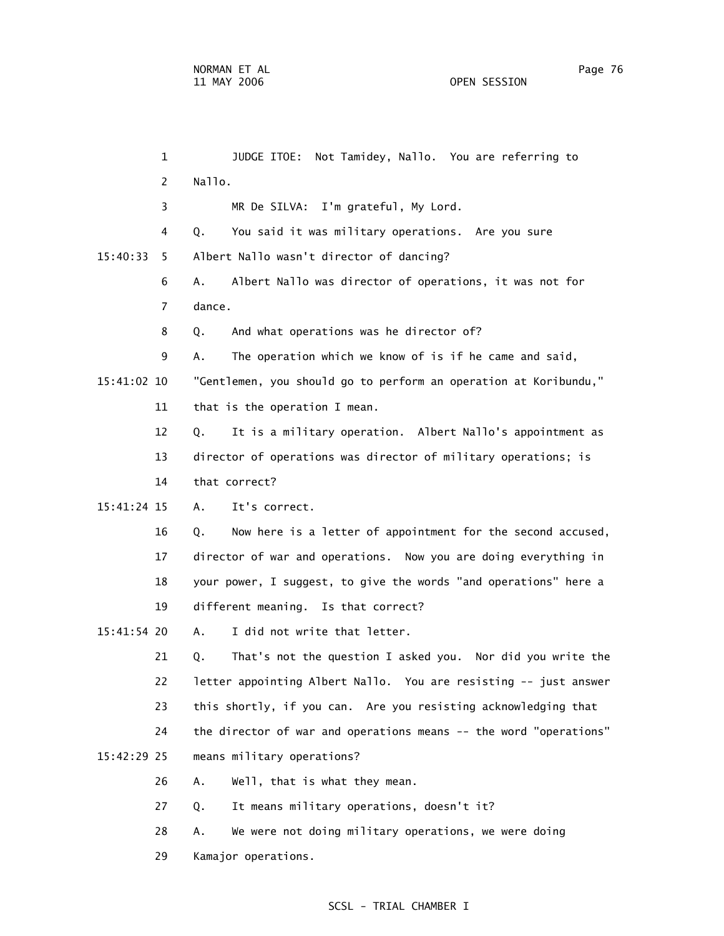1 JUDGE ITOE: Not Tamidey, Nallo. You are referring to 2 Nallo. 3 MR De SILVA: I'm grateful, My Lord. 4 Q. You said it was military operations. Are you sure 15:40:33 5 Albert Nallo wasn't director of dancing? 6 A. Albert Nallo was director of operations, it was not for 7 dance. 8 Q. And what operations was he director of? 9 A. The operation which we know of is if he came and said, 15:41:02 10 "Gentlemen, you should go to perform an operation at Koribundu," 11 that is the operation I mean. 12 Q. It is a military operation. Albert Nallo's appointment as 13 director of operations was director of military operations; is 14 that correct? 15:41:24 15 A. It's correct. 16 Q. Now here is a letter of appointment for the second accused, 17 director of war and operations. Now you are doing everything in 18 your power, I suggest, to give the words "and operations" here a 19 different meaning. Is that correct? 15:41:54 20 A. I did not write that letter. 21 Q. That's not the question I asked you. Nor did you write the 22 letter appointing Albert Nallo. You are resisting -- just answer 23 this shortly, if you can. Are you resisting acknowledging that 24 the director of war and operations means -- the word "operations" 15:42:29 25 means military operations? 26 A. Well, that is what they mean. 27 Q. It means military operations, doesn't it? 28 A. We were not doing military operations, we were doing 29 Kamajor operations.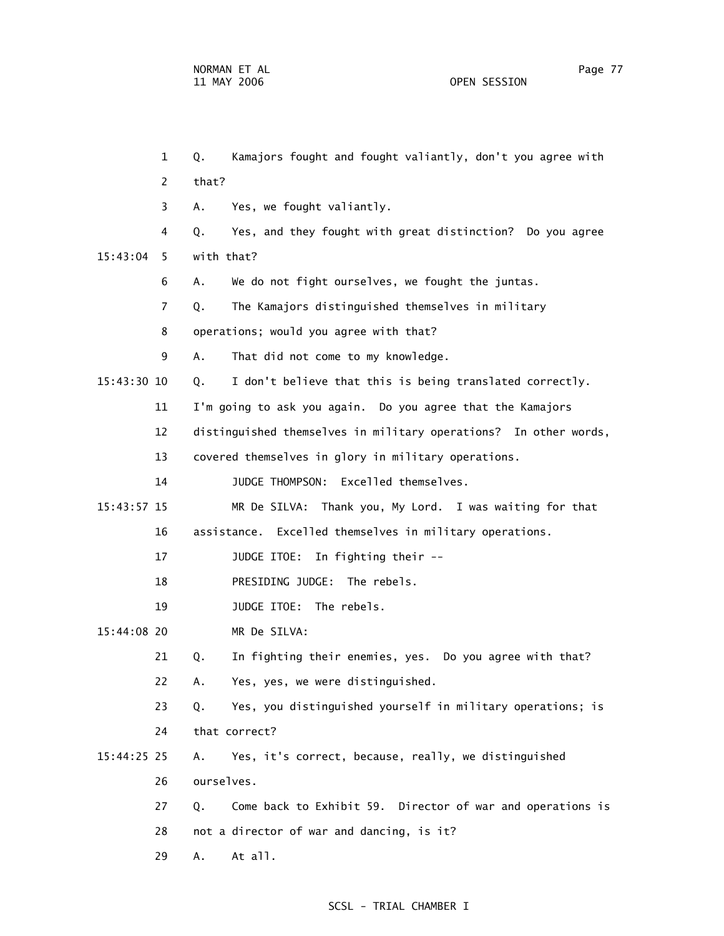1 Q. Kamajors fought and fought valiantly, don't you agree with 2 that? 3 A. Yes, we fought valiantly. 4 Q. Yes, and they fought with great distinction? Do you agree 15:43:04 5 with that? 6 A. We do not fight ourselves, we fought the juntas. 7 Q. The Kamajors distinguished themselves in military 8 operations; would you agree with that? 9 A. That did not come to my knowledge. 15:43:30 10 Q. I don't believe that this is being translated correctly. 11 I'm going to ask you again. Do you agree that the Kamajors 12 distinguished themselves in military operations? In other words, 13 covered themselves in glory in military operations. 14 JUDGE THOMPSON: Excelled themselves. 15:43:57 15 MR De SILVA: Thank you, My Lord. I was waiting for that 16 assistance. Excelled themselves in military operations. 17 JUDGE ITOE: In fighting their -- 18 PRESIDING JUDGE: The rebels. 19 JUDGE ITOE: The rebels. 15:44:08 20 MR De SILVA: 21 Q. In fighting their enemies, yes. Do you agree with that? 22 A. Yes, yes, we were distinguished. 23 Q. Yes, you distinguished yourself in military operations; is 24 that correct? 15:44:25 25 A. Yes, it's correct, because, really, we distinguished 26 ourselves. 27 Q. Come back to Exhibit 59. Director of war and operations is 28 not a director of war and dancing, is it? 29 A. At all.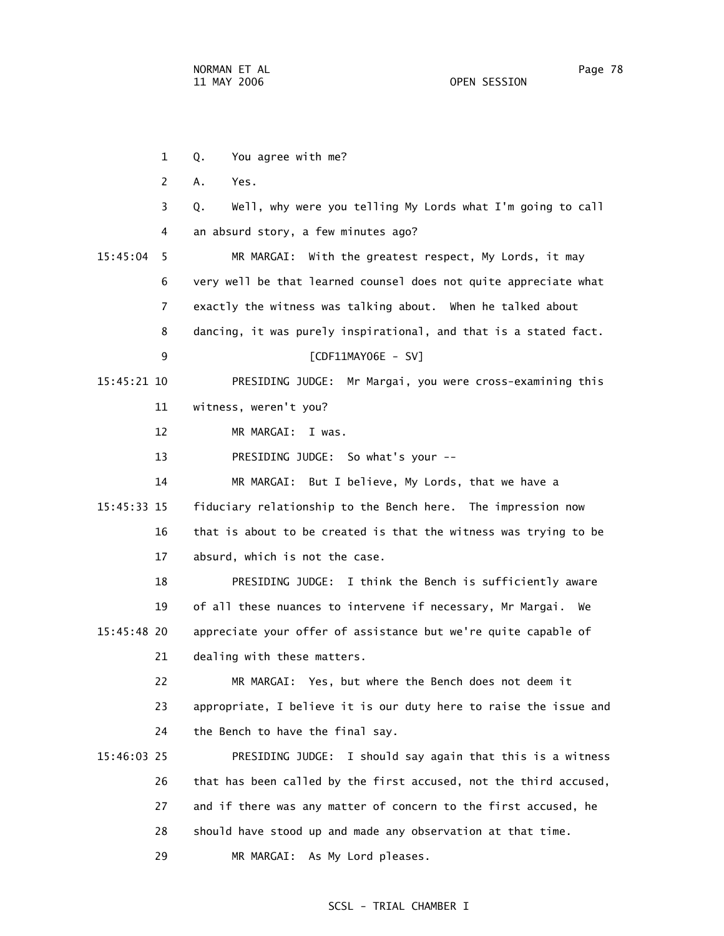1 Q. You agree with me? 2 A. Yes. 3 Q. Well, why were you telling My Lords what I'm going to call 4 an absurd story, a few minutes ago? 15:45:04 5 MR MARGAI: With the greatest respect, My Lords, it may 6 very well be that learned counsel does not quite appreciate what 7 exactly the witness was talking about. When he talked about 8 dancing, it was purely inspirational, and that is a stated fact. 9 [CDF11MAY06E - SV] 15:45:21 10 PRESIDING JUDGE: Mr Margai, you were cross-examining this 11 witness, weren't you? 12 MR MARGAI: I was. 13 PRESIDING JUDGE: So what's your -- 14 MR MARGAI: But I believe, My Lords, that we have a 15:45:33 15 fiduciary relationship to the Bench here. The impression now 16 that is about to be created is that the witness was trying to be 17 absurd, which is not the case. 18 PRESIDING JUDGE: I think the Bench is sufficiently aware 19 of all these nuances to intervene if necessary, Mr Margai. We 15:45:48 20 appreciate your offer of assistance but we're quite capable of 21 dealing with these matters. 22 MR MARGAI: Yes, but where the Bench does not deem it 23 appropriate, I believe it is our duty here to raise the issue and 24 the Bench to have the final say. 15:46:03 25 PRESIDING JUDGE: I should say again that this is a witness 26 that has been called by the first accused, not the third accused, 27 and if there was any matter of concern to the first accused, he 28 should have stood up and made any observation at that time.

29 MR MARGAI: As My Lord pleases.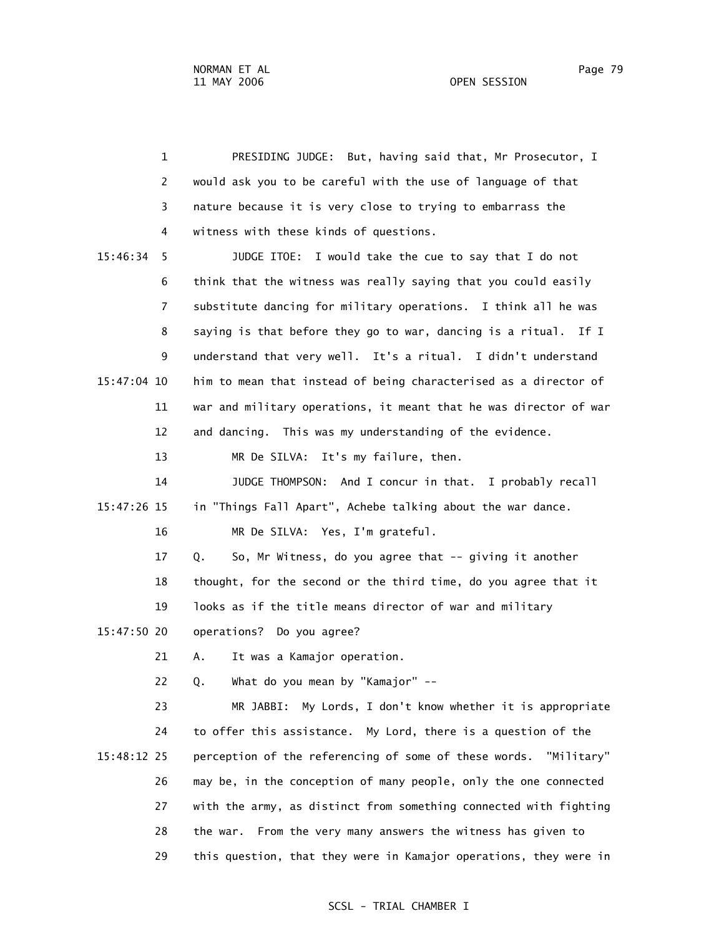1 PRESIDING JUDGE: But, having said that, Mr Prosecutor, I 2 would ask you to be careful with the use of language of that 3 nature because it is very close to trying to embarrass the 4 witness with these kinds of questions. 15:46:34 5 JUDGE ITOE: I would take the cue to say that I do not 6 think that the witness was really saying that you could easily 7 substitute dancing for military operations. I think all he was 8 saying is that before they go to war, dancing is a ritual. If I 9 understand that very well. It's a ritual. I didn't understand 15:47:04 10 him to mean that instead of being characterised as a director of 11 war and military operations, it meant that he was director of war 12 and dancing. This was my understanding of the evidence. 13 MR De SILVA: It's my failure, then. 14 JUDGE THOMPSON: And I concur in that. I probably recall 15:47:26 15 in "Things Fall Apart", Achebe talking about the war dance. 16 MR De SILVA: Yes, I'm grateful. 17 Q. So, Mr Witness, do you agree that -- giving it another 18 thought, for the second or the third time, do you agree that it 19 looks as if the title means director of war and military 15:47:50 20 operations? Do you agree? 21 A. It was a Kamajor operation. 22 Q. What do you mean by "Kamajor" -- 23 MR JABBI: My Lords, I don't know whether it is appropriate 24 to offer this assistance. My Lord, there is a question of the 15:48:12 25 perception of the referencing of some of these words. "Military" 26 may be, in the conception of many people, only the one connected 27 with the army, as distinct from something connected with fighting 28 the war. From the very many answers the witness has given to 29 this question, that they were in Kamajor operations, they were in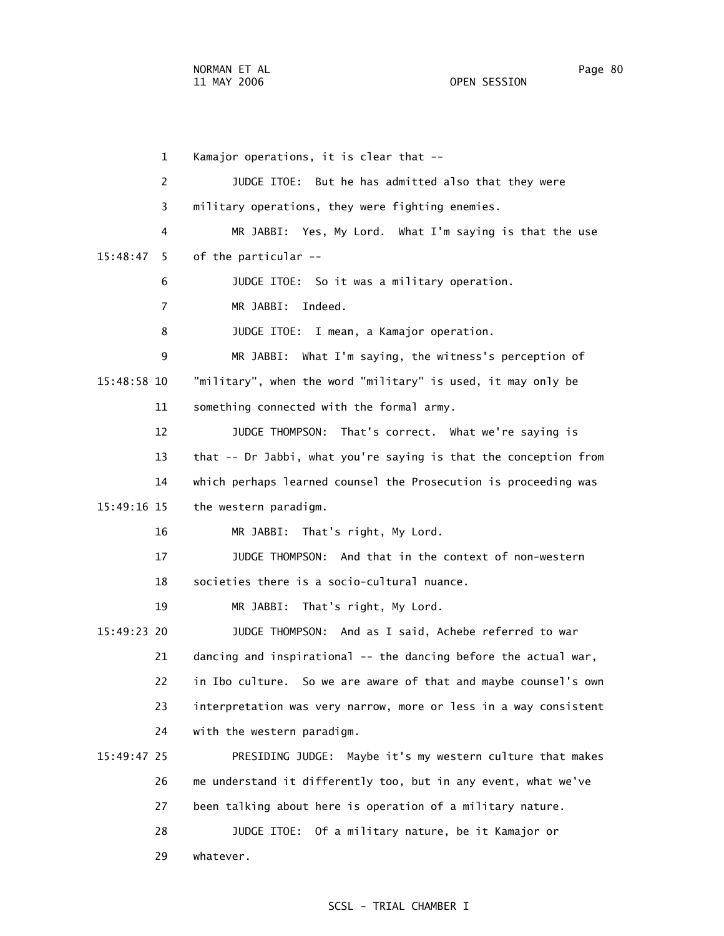1 Kamajor operations, it is clear that -- 2 JUDGE ITOE: But he has admitted also that they were 3 military operations, they were fighting enemies. 4 MR JABBI: Yes, My Lord. What I'm saying is that the use 15:48:47 5 of the particular -- 6 JUDGE ITOE: So it was a military operation. 7 MR JABBI: Indeed. 8 JUDGE ITOE: I mean, a Kamajor operation. 9 MR JABBI: What I'm saying, the witness's perception of 15:48:58 10 "military", when the word "military" is used, it may only be 11 something connected with the formal army. 12 JUDGE THOMPSON: That's correct. What we're saying is 13 that -- Dr Jabbi, what you're saying is that the conception from 14 which perhaps learned counsel the Prosecution is proceeding was 15:49:16 15 the western paradigm. 16 MR JABBI: That's right, My Lord. 17 JUDGE THOMPSON: And that in the context of non-western 18 societies there is a socio-cultural nuance. 19 MR JABBI: That's right, My Lord. 15:49:23 20 JUDGE THOMPSON: And as I said, Achebe referred to war 21 dancing and inspirational -- the dancing before the actual war, 22 in Ibo culture. So we are aware of that and maybe counsel's own 23 interpretation was very narrow, more or less in a way consistent 24 with the western paradigm. 15:49:47 25 PRESIDING JUDGE: Maybe it's my western culture that makes 26 me understand it differently too, but in any event, what we've 27 been talking about here is operation of a military nature. 28 JUDGE ITOE: Of a military nature, be it Kamajor or 29 whatever.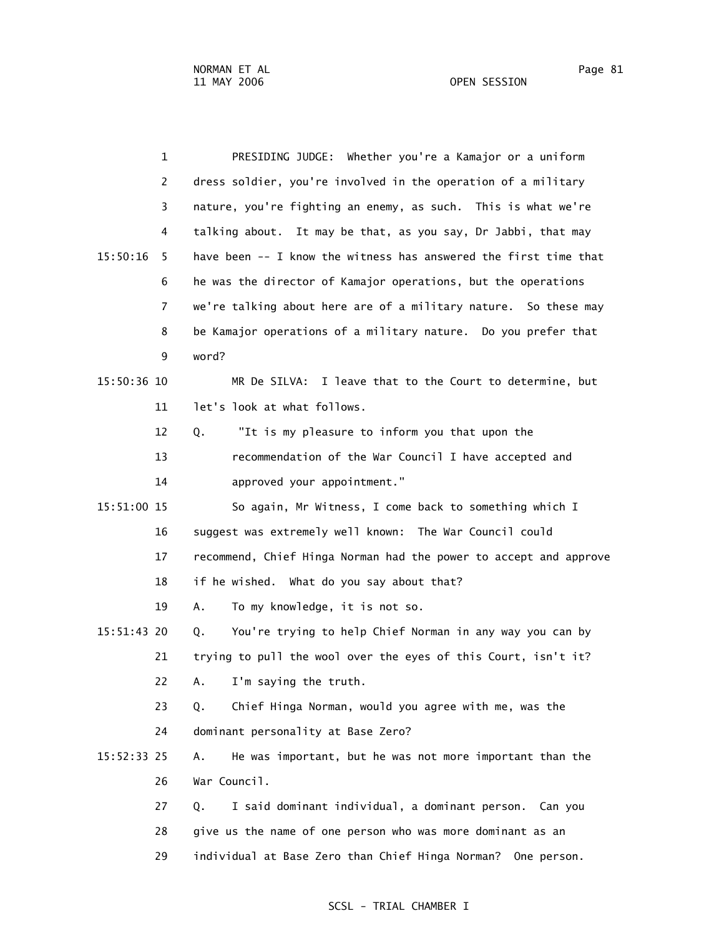1 PRESIDING JUDGE: Whether you're a Kamajor or a uniform 2 dress soldier, you're involved in the operation of a military 3 nature, you're fighting an enemy, as such. This is what we're 4 talking about. It may be that, as you say, Dr Jabbi, that may 15:50:16 5 have been -- I know the witness has answered the first time that 6 he was the director of Kamajor operations, but the operations 7 we're talking about here are of a military nature. So these may 8 be Kamajor operations of a military nature. Do you prefer that 9 word? 15:50:36 10 MR De SILVA: I leave that to the Court to determine, but 11 let's look at what follows. 12 Q. "It is my pleasure to inform you that upon the 13 recommendation of the War Council I have accepted and 14 approved your appointment." 15:51:00 15 So again, Mr Witness, I come back to something which I 16 suggest was extremely well known: The War Council could 17 recommend, Chief Hinga Norman had the power to accept and approve 18 if he wished. What do you say about that? 19 A. To my knowledge, it is not so. 15:51:43 20 Q. You're trying to help Chief Norman in any way you can by 21 trying to pull the wool over the eyes of this Court, isn't it? 22 A. I'm saying the truth. 23 Q. Chief Hinga Norman, would you agree with me, was the 24 dominant personality at Base Zero? 15:52:33 25 A. He was important, but he was not more important than the 26 War Council. 27 Q. I said dominant individual, a dominant person. Can you 28 give us the name of one person who was more dominant as an 29 individual at Base Zero than Chief Hinga Norman? One person.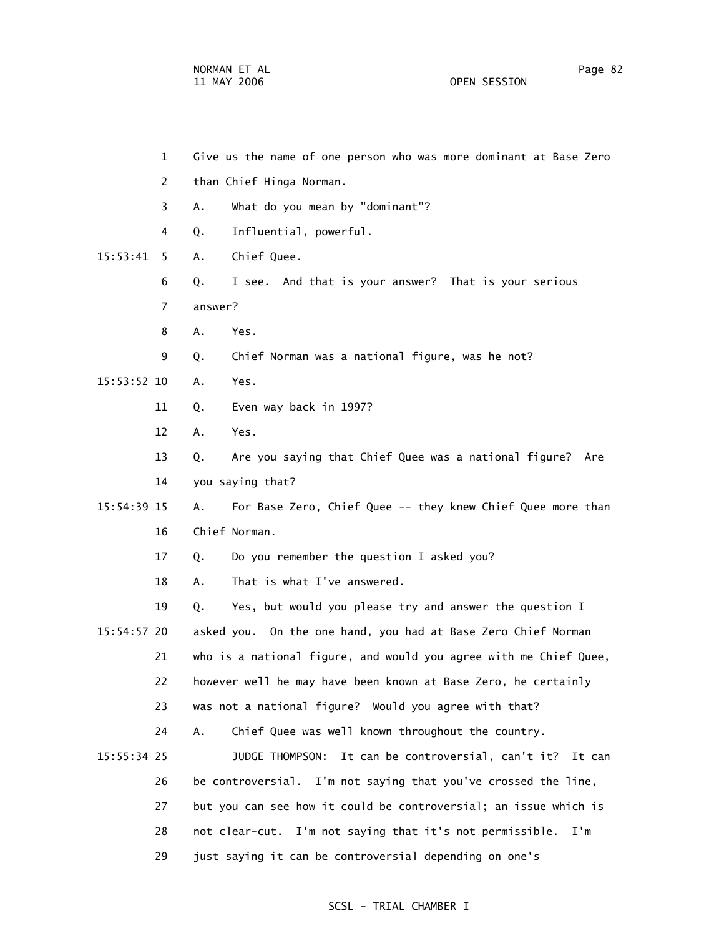1 Give us the name of one person who was more dominant at Base Zero 2 than Chief Hinga Norman. 3 A. What do you mean by "dominant"? 4 Q. Influential, powerful. 15:53:41 5 A. Chief Quee. 6 Q. I see. And that is your answer? That is your serious 7 answer? 8 A. Yes. 9 Q. Chief Norman was a national figure, was he not? 15:53:52 10 A. Yes. 11 Q. Even way back in 1997? 12 A. Yes. 13 Q. Are you saying that Chief Quee was a national figure? Are 14 you saying that? 15:54:39 15 A. For Base Zero, Chief Quee -- they knew Chief Quee more than 16 Chief Norman. 17 Q. Do you remember the question I asked you? 18 A. That is what I've answered. 19 Q. Yes, but would you please try and answer the question I 15:54:57 20 asked you. On the one hand, you had at Base Zero Chief Norman 21 who is a national figure, and would you agree with me Chief Quee, 22 however well he may have been known at Base Zero, he certainly 23 was not a national figure? Would you agree with that? 24 A. Chief Quee was well known throughout the country. 15:55:34 25 JUDGE THOMPSON: It can be controversial, can't it? It can 26 be controversial. I'm not saying that you've crossed the line, 27 but you can see how it could be controversial; an issue which is 28 not clear-cut. I'm not saying that it's not permissible. I'm

# SCSL - TRIAL CHAMBER I

29 just saying it can be controversial depending on one's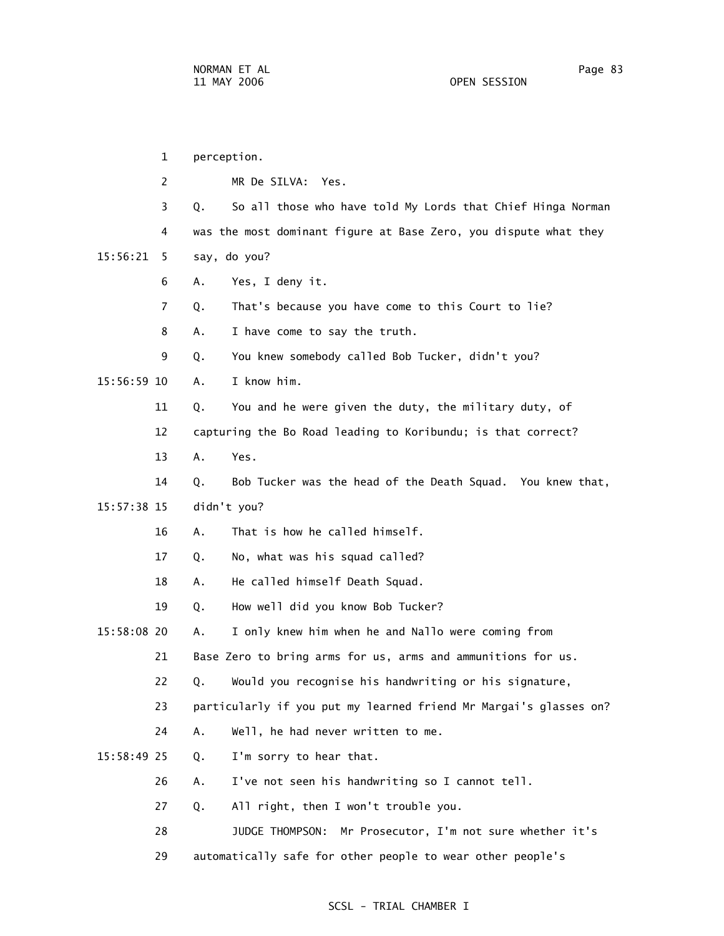1 perception. 2 MR De SILVA: Yes. 3 Q. So all those who have told My Lords that Chief Hinga Norman 4 was the most dominant figure at Base Zero, you dispute what they 15:56:21 5 say, do you? 6 A. Yes, I deny it. 7 Q. That's because you have come to this Court to lie? 8 A. I have come to say the truth. 9 Q. You knew somebody called Bob Tucker, didn't you? 15:56:59 10 A. I know him. 11 Q. You and he were given the duty, the military duty, of 12 capturing the Bo Road leading to Koribundu; is that correct? 13 A. Yes. 14 Q. Bob Tucker was the head of the Death Squad. You knew that, 15:57:38 15 didn't you? 16 A. That is how he called himself. 17 Q. No, what was his squad called? 18 A. He called himself Death Squad. 19 Q. How well did you know Bob Tucker? 15:58:08 20 A. I only knew him when he and Nallo were coming from 21 Base Zero to bring arms for us, arms and ammunitions for us. 22 Q. Would you recognise his handwriting or his signature, 23 particularly if you put my learned friend Mr Margai's glasses on? 24 A. Well, he had never written to me. 15:58:49 25 Q. I'm sorry to hear that. 26 A. I've not seen his handwriting so I cannot tell. 27 Q. All right, then I won't trouble you. 28 JUDGE THOMPSON: Mr Prosecutor, I'm not sure whether it's 29 automatically safe for other people to wear other people's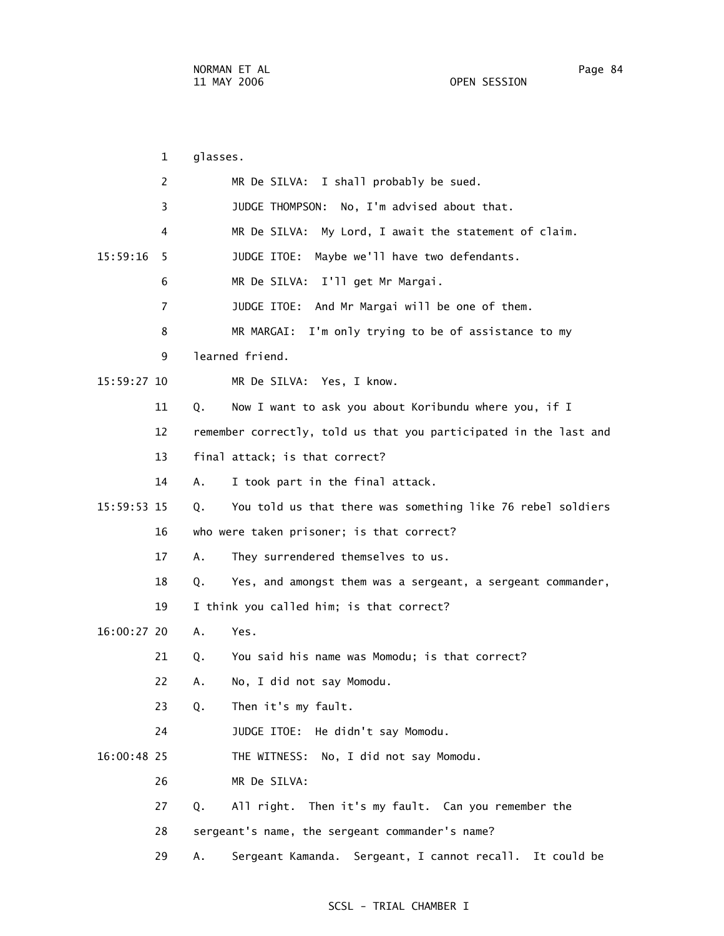1 glasses. 2 MR De SILVA: I shall probably be sued. 3 JUDGE THOMPSON: No, I'm advised about that. 4 MR De SILVA: My Lord, I await the statement of claim. 15:59:16 5 JUDGE ITOE: Maybe we'll have two defendants. 6 MR De SILVA: I'll get Mr Margai. 7 JUDGE ITOE: And Mr Margai will be one of them. 8 MR MARGAI: I'm only trying to be of assistance to my 9 learned friend. 15:59:27 10 MR De SILVA: Yes, I know. 11 Q. Now I want to ask you about Koribundu where you, if I 12 remember correctly, told us that you participated in the last and 13 final attack; is that correct? 14 A. I took part in the final attack. 15:59:53 15 Q. You told us that there was something like 76 rebel soldiers 16 who were taken prisoner; is that correct? 17 A. They surrendered themselves to us. 18 Q. Yes, and amongst them was a sergeant, a sergeant commander, 19 I think you called him; is that correct? 16:00:27 20 A. Yes. 21 Q. You said his name was Momodu; is that correct? 22 A. No, I did not say Momodu. 23 Q. Then it's my fault. 24 JUDGE ITOE: He didn't say Momodu. 16:00:48 25 THE WITNESS: No, I did not say Momodu. 26 MR De SILVA: 27 Q. All right. Then it's my fault. Can you remember the 28 sergeant's name, the sergeant commander's name? 29 A. Sergeant Kamanda. Sergeant, I cannot recall. It could be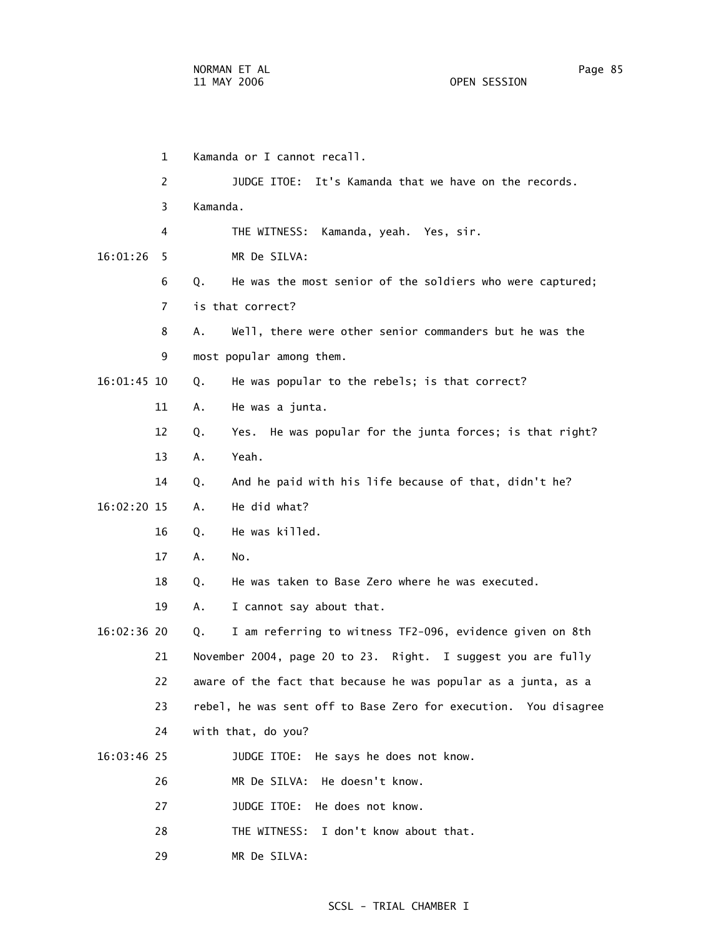| 1             | Kamanda or I cannot recall.                                     |
|---------------|-----------------------------------------------------------------|
| 2             | JUDGE ITOE: It's Kamanda that we have on the records.           |
| 3             | Kamanda.                                                        |
| 4             | THE WITNESS:<br>Kamanda, yeah. Yes, sir.                        |
| 16:01:26<br>5 | MR De SILVA:                                                    |
| 6             | He was the most senior of the soldiers who were captured;<br>Q. |
| 7             | is that correct?                                                |
| 8             | Well, there were other senior commanders but he was the<br>Α.   |
| 9             | most popular among them.                                        |
| 16:01:45 10   | He was popular to the rebels; is that correct?<br>Q.            |
| 11            | He was a junta.<br>Α.                                           |
| 12            | Yes. He was popular for the junta forces; is that right?<br>Q.  |
| 13            | Yeah.<br>Α.                                                     |
| 14            | And he paid with his life because of that, didn't he?<br>Q.     |
| 16:02:20 15   | He did what?<br>Α.                                              |
| 16            | He was killed.<br>Q.                                            |
| 17            | No.<br>Α.                                                       |
| 18            | He was taken to Base Zero where he was executed.<br>Q.          |
| 19            | I cannot say about that.<br>Α.                                  |
| 16:02:36 20   | I am referring to witness TF2-096, evidence given on 8th<br>Q.  |
| 21            | November 2004, page 20 to 23. Right. I suggest you are fully    |
| 22            | aware of the fact that because he was popular as a junta, as a  |
| 23            | rebel, he was sent off to Base Zero for execution. You disagree |
| 24            | with that, do you?                                              |
| $16:03:46$ 25 | JUDGE ITOE: He says he does not know.                           |
| 26            | MR De SILVA: He doesn't know.                                   |
| 27            | JUDGE ITOE: He does not know.                                   |
| 28            | I don't know about that.<br>THE WITNESS:                        |
| 29            | MR De SILVA:                                                    |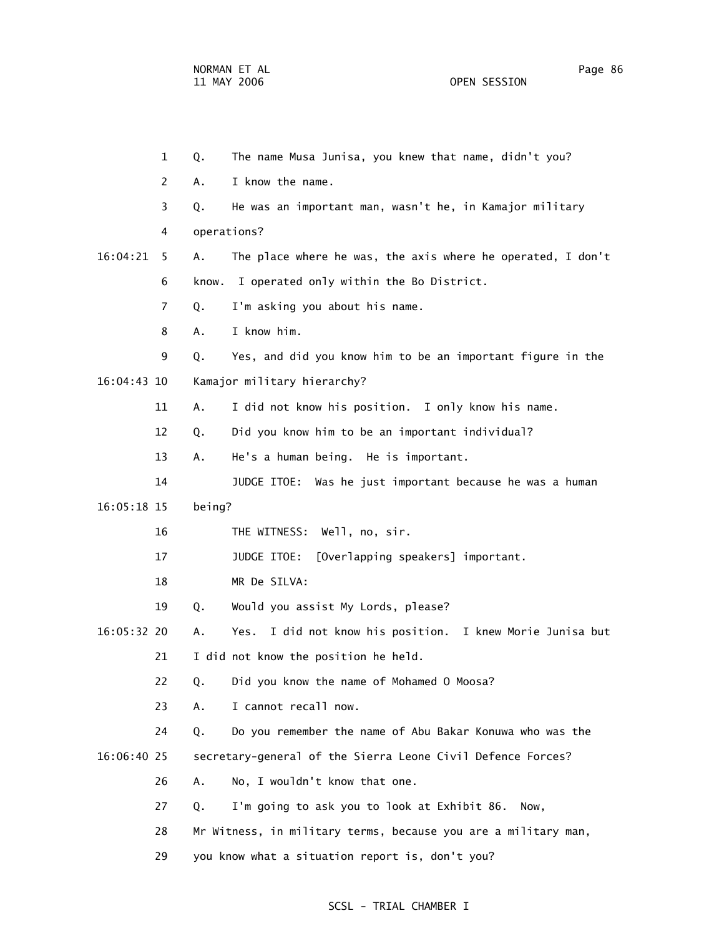1 Q. The name Musa Junisa, you knew that name, didn't you? 2 A. I know the name. 3 Q. He was an important man, wasn't he, in Kamajor military 4 operations? 16:04:21 5 A. The place where he was, the axis where he operated, I don't 6 know. I operated only within the Bo District. 7 Q. I'm asking you about his name. 8 A. I know him. 9 Q. Yes, and did you know him to be an important figure in the 16:04:43 10 Kamajor military hierarchy? 11 A. I did not know his position. I only know his name. 12 Q. Did you know him to be an important individual? 13 A. He's a human being. He is important. 14 JUDGE ITOE: Was he just important because he was a human 16:05:18 15 being? 16 THE WITNESS: Well, no, sir. 17 JUDGE ITOE: [Overlapping speakers] important. 18 MR De SILVA: 19 Q. Would you assist My Lords, please? 16:05:32 20 A. Yes. I did not know his position. I knew Morie Junisa but 21 I did not know the position he held. 22 Q. Did you know the name of Mohamed O Moosa? 23 A. I cannot recall now. 24 Q. Do you remember the name of Abu Bakar Konuwa who was the 16:06:40 25 secretary-general of the Sierra Leone Civil Defence Forces? 26 A. No, I wouldn't know that one. 27 Q. I'm going to ask you to look at Exhibit 86. Now, 28 Mr Witness, in military terms, because you are a military man,

29 you know what a situation report is, don't you?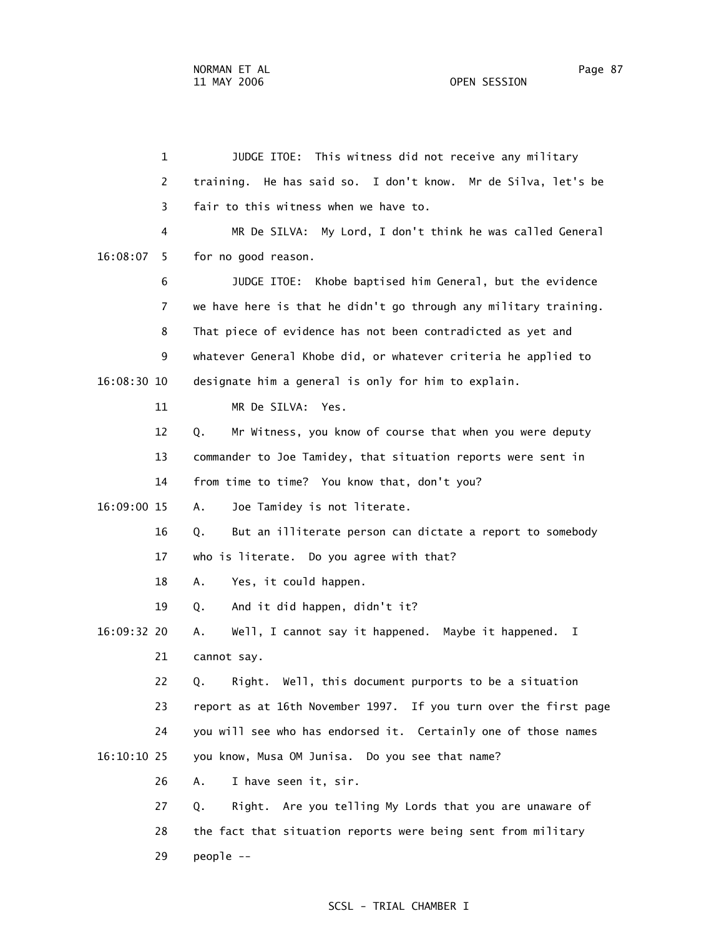1 JUDGE ITOE: This witness did not receive any military 2 training. He has said so. I don't know. Mr de Silva, let's be 3 fair to this witness when we have to. 4 MR De SILVA: My Lord, I don't think he was called General 16:08:07 5 for no good reason. 6 JUDGE ITOE: Khobe baptised him General, but the evidence 7 we have here is that he didn't go through any military training. 8 That piece of evidence has not been contradicted as yet and 9 whatever General Khobe did, or whatever criteria he applied to 16:08:30 10 designate him a general is only for him to explain. 11 MR De SILVA: Yes. 12 Q. Mr Witness, you know of course that when you were deputy 13 commander to Joe Tamidey, that situation reports were sent in 14 from time to time? You know that, don't you? 16:09:00 15 A. Joe Tamidey is not literate. 16 Q. But an illiterate person can dictate a report to somebody 17 who is literate. Do you agree with that? 18 A. Yes, it could happen. 19 Q. And it did happen, didn't it? 16:09:32 20 A. Well, I cannot say it happened. Maybe it happened. I 21 cannot say. 22 Q. Right. Well, this document purports to be a situation 23 report as at 16th November 1997. If you turn over the first page 24 you will see who has endorsed it. Certainly one of those names 16:10:10 25 you know, Musa OM Junisa. Do you see that name? 26 A. I have seen it, sir. 27 Q. Right. Are you telling My Lords that you are unaware of 28 the fact that situation reports were being sent from military

29 people --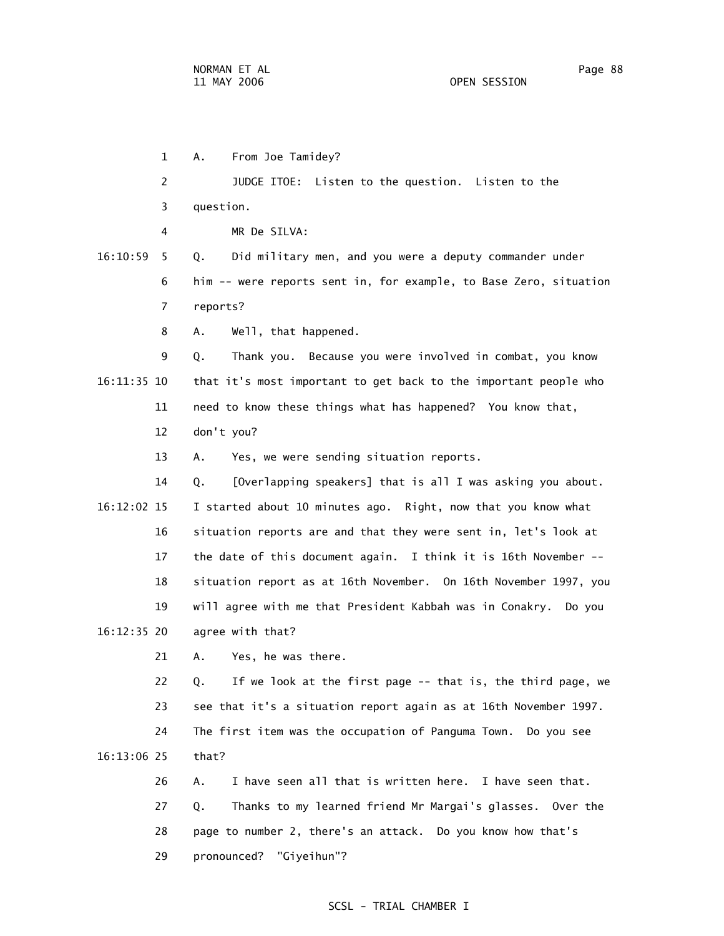1 A. From Joe Tamidey? 2 JUDGE ITOE: Listen to the question. Listen to the 3 question. 4 MR De SILVA: 16:10:59 5 Q. Did military men, and you were a deputy commander under 6 him -- were reports sent in, for example, to Base Zero, situation 7 reports? 8 A. Well, that happened. 9 Q. Thank you. Because you were involved in combat, you know 16:11:35 10 that it's most important to get back to the important people who 11 need to know these things what has happened? You know that, 12 don't you? 13 A. Yes, we were sending situation reports. 14 Q. [Overlapping speakers] that is all I was asking you about. 16:12:02 15 I started about 10 minutes ago. Right, now that you know what 16 situation reports are and that they were sent in, let's look at 17 the date of this document again. I think it is 16th November -- 18 situation report as at 16th November. On 16th November 1997, you 19 will agree with me that President Kabbah was in Conakry. Do you 16:12:35 20 agree with that? 21 A. Yes, he was there. 22 Q. If we look at the first page -- that is, the third page, we 23 see that it's a situation report again as at 16th November 1997. 24 The first item was the occupation of Panguma Town. Do you see 16:13:06 25 that? 26 A. I have seen all that is written here. I have seen that. 27 Q. Thanks to my learned friend Mr Margai's glasses. Over the 28 page to number 2, there's an attack. Do you know how that's 29 pronounced? "Giyeihun"?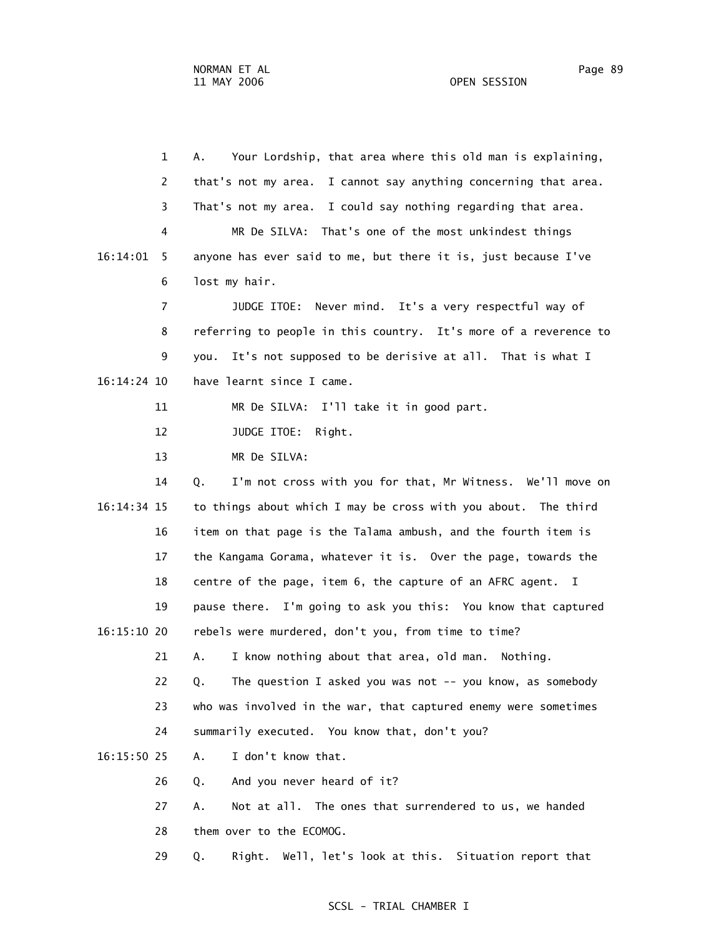1 A. Your Lordship, that area where this old man is explaining, 2 that's not my area. I cannot say anything concerning that area. 3 That's not my area. I could say nothing regarding that area. 4 MR De SILVA: That's one of the most unkindest things 16:14:01 5 anyone has ever said to me, but there it is, just because I've 6 lost my hair. 7 JUDGE ITOE: Never mind. It's a very respectful way of 8 referring to people in this country. It's more of a reverence to 9 you. It's not supposed to be derisive at all. That is what I 16:14:24 10 have learnt since I came. 11 MR De SILVA: I'll take it in good part. 12 JUDGE ITOE: Right. 13 MR De SILVA: 14 Q. I'm not cross with you for that, Mr Witness. We'll move on 16:14:34 15 to things about which I may be cross with you about. The third 16 item on that page is the Talama ambush, and the fourth item is 17 the Kangama Gorama, whatever it is. Over the page, towards the 18 centre of the page, item 6, the capture of an AFRC agent. I 19 pause there. I'm going to ask you this: You know that captured 16:15:10 20 rebels were murdered, don't you, from time to time? 21 A. I know nothing about that area, old man. Nothing. 22 Q. The question I asked you was not -- you know, as somebody 23 who was involved in the war, that captured enemy were sometimes 24 summarily executed. You know that, don't you? 16:15:50 25 A. I don't know that. 26 Q. And you never heard of it? 27 A. Not at all. The ones that surrendered to us, we handed 28 them over to the ECOMOG.

### SCSL - TRIAL CHAMBER I

29 Q. Right. Well, let's look at this. Situation report that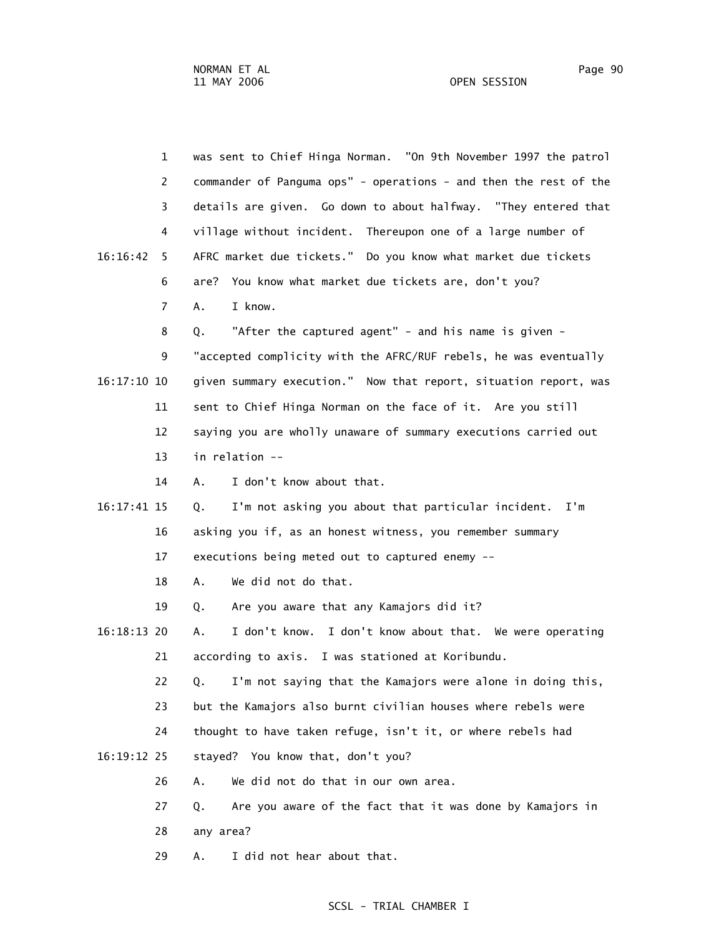|               | $\mathbf{1}$   | was sent to Chief Hinga Norman. "On 9th November 1997 the patrol  |
|---------------|----------------|-------------------------------------------------------------------|
|               | 2              | commander of Panguma ops" - operations - and then the rest of the |
|               | 3              | details are given. Go down to about halfway. "They entered that   |
|               | 4              | village without incident. Thereupon one of a large number of      |
| 16:16:42      | 5.             | AFRC market due tickets." Do you know what market due tickets     |
|               | 6              | You know what market due tickets are, don't you?<br>are?          |
|               | $\overline{7}$ | I know.<br>A.                                                     |
|               | 8              | "After the captured agent" - and his name is given -<br>Q.        |
|               | 9              | "accepted complicity with the AFRC/RUF rebels, he was eventually  |
| $16:17:10$ 10 |                | given summary execution." Now that report, situation report, was  |
|               | 11             | sent to Chief Hinga Norman on the face of it. Are you still       |
|               | 12             | saying you are wholly unaware of summary executions carried out   |
|               | 13             | in relation --                                                    |
|               | 14             | I don't know about that.<br>A.                                    |
| 16:17:41 15   |                | I'm not asking you about that particular incident.<br>I'm<br>Q.   |
|               | 16             | asking you if, as an honest witness, you remember summary         |
|               | 17             | executions being meted out to captured enemy --                   |
|               | 18             | We did not do that.<br>Α.                                         |
|               | 19             | Are you aware that any Kamajors did it?<br>Q.                     |
| $16:18:13$ 20 |                | I don't know. I don't know about that. We were operating<br>Α.    |
|               | 21             | according to axis. I was stationed at Koribundu.                  |
|               | 22             | I'm not saying that the Kamajors were alone in doing this,<br>Q.  |
|               | 23             | but the Kamajors also burnt civilian houses where rebels were     |
|               | 24             | thought to have taken refuge, isn't it, or where rebels had       |
| 16:19:12 25   |                | stayed? You know that, don't you?                                 |
|               | 26             | We did not do that in our own area.<br>Α.                         |
|               | 27             | Are you aware of the fact that it was done by Kamajors in<br>Q.   |
|               | 28             | any area?                                                         |
|               |                |                                                                   |

29 A. I did not hear about that.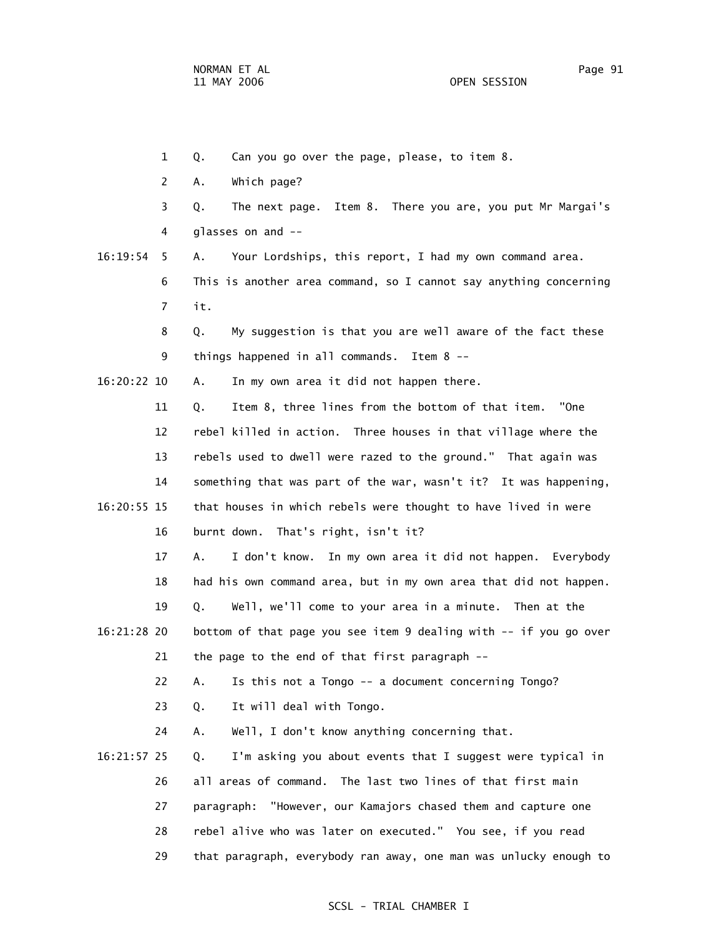- 1 Q. Can you go over the page, please, to item 8.
- 2 A. Which page?
- 3 Q. The next page. Item 8. There you are, you put Mr Margai's 4 glasses on and --
- 16:19:54 5 A. Your Lordships, this report, I had my own command area. 6 This is another area command, so I cannot say anything concerning 7 it.
	- 8 Q. My suggestion is that you are well aware of the fact these 9 things happened in all commands. Item 8 --
- 16:20:22 10 A. In my own area it did not happen there.
- 11 Q. Item 8, three lines from the bottom of that item. "One 12 rebel killed in action. Three houses in that village where the 13 rebels used to dwell were razed to the ground." That again was 14 something that was part of the war, wasn't it? It was happening, 16:20:55 15 that houses in which rebels were thought to have lived in were 16 burnt down. That's right, isn't it?
	- 17 A. I don't know. In my own area it did not happen. Everybody 18 had his own command area, but in my own area that did not happen.
	- 19 Q. Well, we'll come to your area in a minute. Then at the
- 16:21:28 20 bottom of that page you see item 9 dealing with -- if you go over 21 the page to the end of that first paragraph --
	- 22 A. Is this not a Tongo -- a document concerning Tongo?
	- 23 Q. It will deal with Tongo.
	- 24 A. Well, I don't know anything concerning that.
- 16:21:57 25 Q. I'm asking you about events that I suggest were typical in 26 all areas of command. The last two lines of that first main 27 paragraph: "However, our Kamajors chased them and capture one 28 rebel alive who was later on executed." You see, if you read 29 that paragraph, everybody ran away, one man was unlucky enough to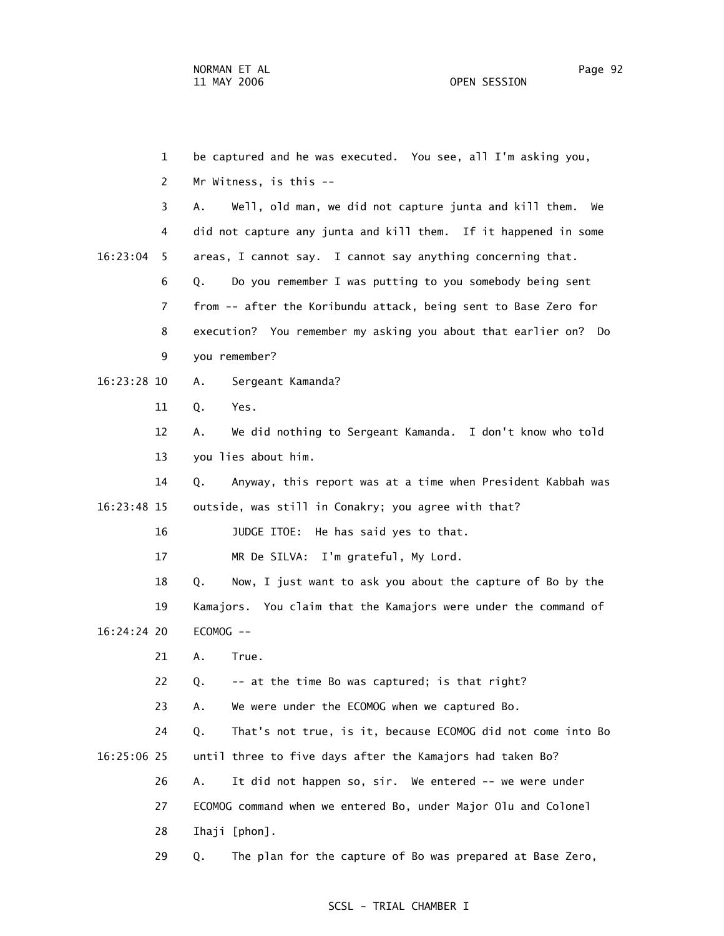1 be captured and he was executed. You see, all I'm asking you, 2 Mr Witness, is this -- 3 A. Well, old man, we did not capture junta and kill them. We 4 did not capture any junta and kill them. If it happened in some 16:23:04 5 areas, I cannot say. I cannot say anything concerning that. 6 Q. Do you remember I was putting to you somebody being sent 7 from -- after the Koribundu attack, being sent to Base Zero for 8 execution? You remember my asking you about that earlier on? Do 9 you remember? 16:23:28 10 A. Sergeant Kamanda? 11 Q. Yes. 12 A. We did nothing to Sergeant Kamanda. I don't know who told 13 you lies about him. 14 Q. Anyway, this report was at a time when President Kabbah was 16:23:48 15 outside, was still in Conakry; you agree with that? 16 JUDGE ITOE: He has said yes to that. 17 MR De SILVA: I'm grateful, My Lord. 18 Q. Now, I just want to ask you about the capture of Bo by the 19 Kamajors. You claim that the Kamajors were under the command of 16:24:24 20 ECOMOG -- 21 A. True. 22 Q. -- at the time Bo was captured; is that right? 23 A. We were under the ECOMOG when we captured Bo. 24 Q. That's not true, is it, because ECOMOG did not come into Bo 16:25:06 25 until three to five days after the Kamajors had taken Bo? 26 A. It did not happen so, sir. We entered -- we were under 27 ECOMOG command when we entered Bo, under Major Olu and Colonel 28 Ihaji [phon]. 29 Q. The plan for the capture of Bo was prepared at Base Zero,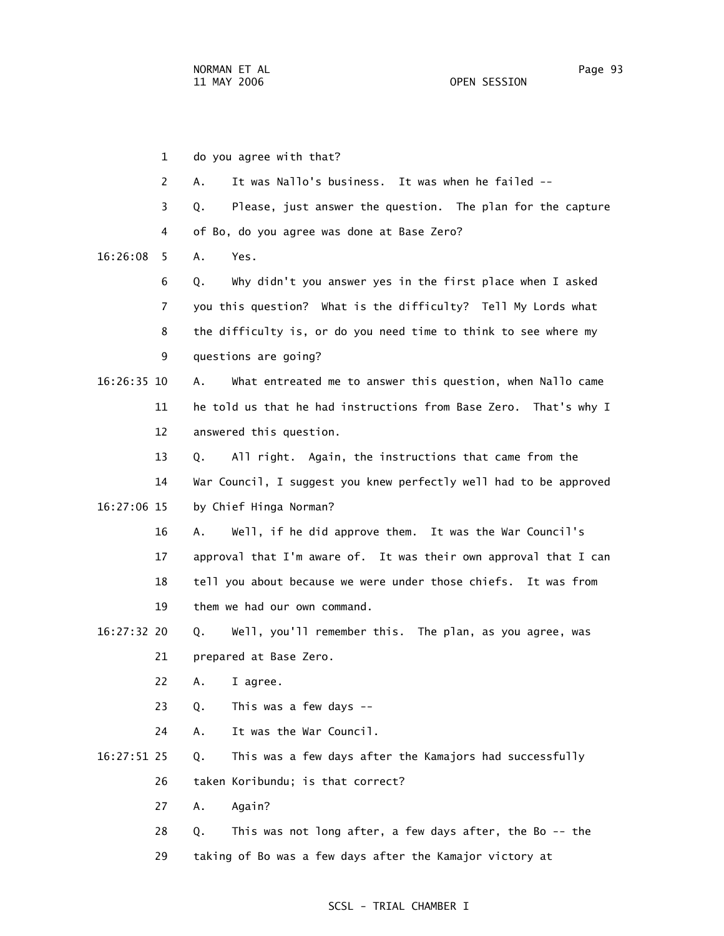1 do you agree with that? 2 A. It was Nallo's business. It was when he failed -- 3 Q. Please, just answer the question. The plan for the capture 4 of Bo, do you agree was done at Base Zero? 16:26:08 5 A. Yes. 6 Q. Why didn't you answer yes in the first place when I asked 7 you this question? What is the difficulty? Tell My Lords what 8 the difficulty is, or do you need time to think to see where my 9 questions are going? 16:26:35 10 A. What entreated me to answer this question, when Nallo came 11 he told us that he had instructions from Base Zero. That's why I 12 answered this question. 13 Q. All right. Again, the instructions that came from the 14 War Council, I suggest you knew perfectly well had to be approved 16:27:06 15 by Chief Hinga Norman? 16 A. Well, if he did approve them. It was the War Council's 17 approval that I'm aware of. It was their own approval that I can 18 tell you about because we were under those chiefs. It was from 19 them we had our own command. 16:27:32 20 Q. Well, you'll remember this. The plan, as you agree, was 21 prepared at Base Zero. 22 A. I agree. 23 Q. This was a few days -- 24 A. It was the War Council. 16:27:51 25 Q. This was a few days after the Kamajors had successfully 26 taken Koribundu; is that correct? 27 A. Again? 28 Q. This was not long after, a few days after, the Bo -- the 29 taking of Bo was a few days after the Kamajor victory at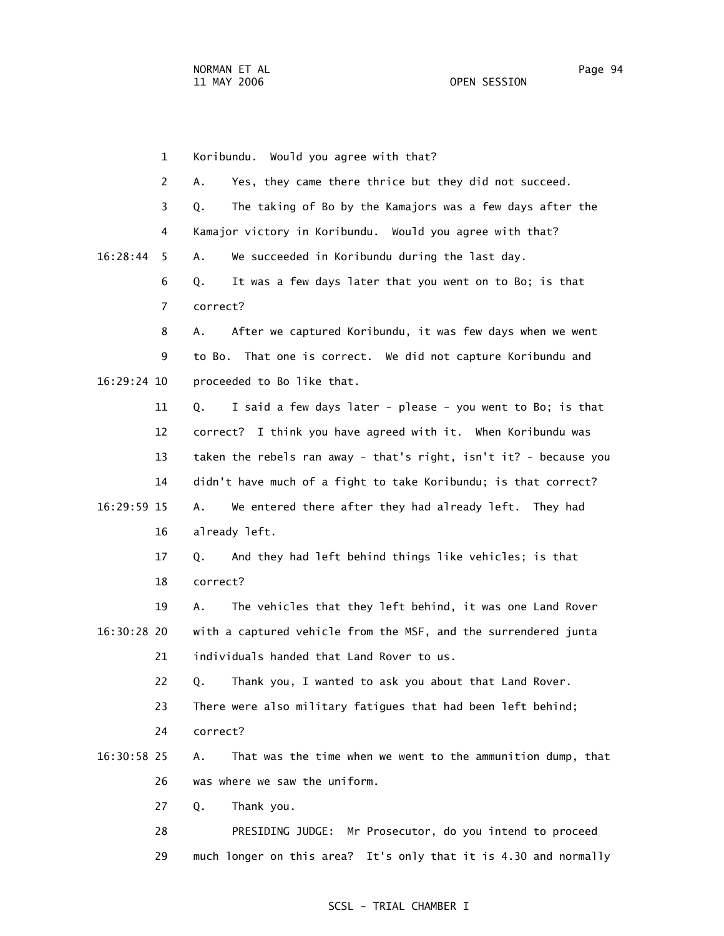1 Koribundu. Would you agree with that? 2 A. Yes, they came there thrice but they did not succeed. 3 Q. The taking of Bo by the Kamajors was a few days after the 4 Kamajor victory in Koribundu. Would you agree with that? 16:28:44 5 A. We succeeded in Koribundu during the last day. 6 Q. It was a few days later that you went on to Bo; is that 7 correct? 8 A. After we captured Koribundu, it was few days when we went 9 to Bo. That one is correct. We did not capture Koribundu and 16:29:24 10 proceeded to Bo like that. 11 Q. I said a few days later - please - you went to Bo; is that 12 correct? I think you have agreed with it. When Koribundu was 13 taken the rebels ran away - that's right, isn't it? - because you 14 didn't have much of a fight to take Koribundu; is that correct? 16:29:59 15 A. We entered there after they had already left. They had 16 already left. 17 Q. And they had left behind things like vehicles; is that 18 correct? 19 A. The vehicles that they left behind, it was one Land Rover 16:30:28 20 with a captured vehicle from the MSF, and the surrendered junta 21 individuals handed that Land Rover to us. 22 Q. Thank you, I wanted to ask you about that Land Rover. 23 There were also military fatigues that had been left behind; 24 correct? 16:30:58 25 A. That was the time when we went to the ammunition dump, that 26 was where we saw the uniform. 27 Q. Thank you. 28 PRESIDING JUDGE: Mr Prosecutor, do you intend to proceed 29 much longer on this area? It's only that it is 4.30 and normally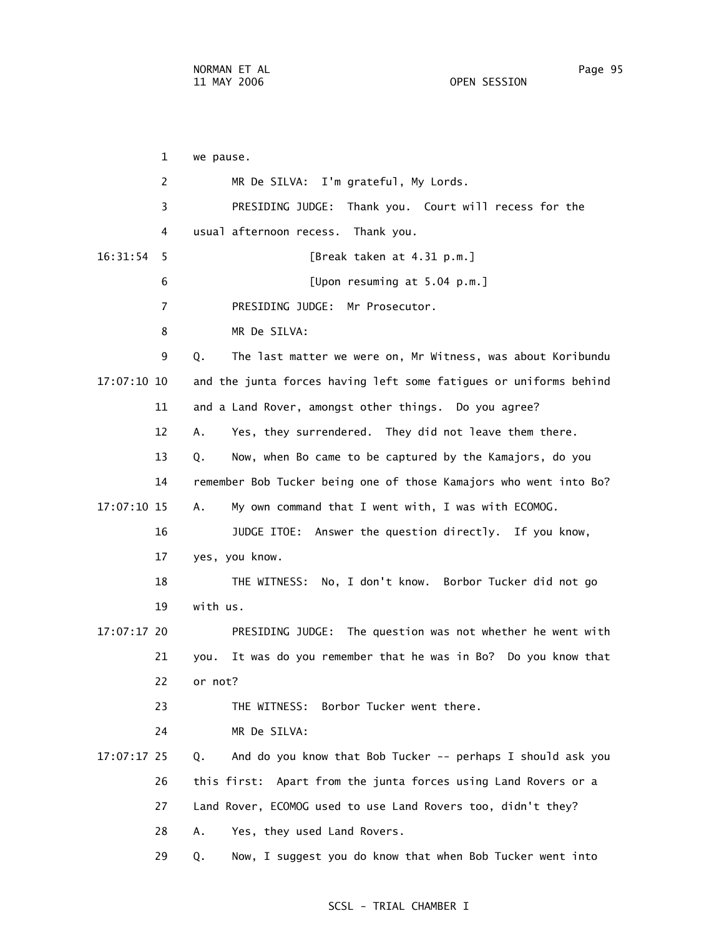1 we pause. 2 MR De SILVA: I'm grateful, My Lords. 3 PRESIDING JUDGE: Thank you. Court will recess for the 4 usual afternoon recess. Thank you. 16:31:54 5 [Break taken at 4.31 p.m.] 6 [Upon resuming at 5.04 p.m.] 7 PRESIDING JUDGE: Mr Prosecutor. 8 MR De SILVA: 9 Q. The last matter we were on, Mr Witness, was about Koribundu 17:07:10 10 and the junta forces having left some fatigues or uniforms behind 11 and a Land Rover, amongst other things. Do you agree? 12 A. Yes, they surrendered. They did not leave them there. 13 Q. Now, when Bo came to be captured by the Kamajors, do you 14 remember Bob Tucker being one of those Kamajors who went into Bo? 17:07:10 15 A. My own command that I went with, I was with ECOMOG. 16 JUDGE ITOE: Answer the question directly. If you know, 17 yes, you know. 18 THE WITNESS: No, I don't know. Borbor Tucker did not go 19 with us. 17:07:17 20 PRESIDING JUDGE: The question was not whether he went with 21 you. It was do you remember that he was in Bo? Do you know that 22 or not? 23 THE WITNESS: Borbor Tucker went there. 24 MR De SILVA: 17:07:17 25 Q. And do you know that Bob Tucker -- perhaps I should ask you 26 this first: Apart from the junta forces using Land Rovers or a 27 Land Rover, ECOMOG used to use Land Rovers too, didn't they? 28 A. Yes, they used Land Rovers. 29 Q. Now, I suggest you do know that when Bob Tucker went into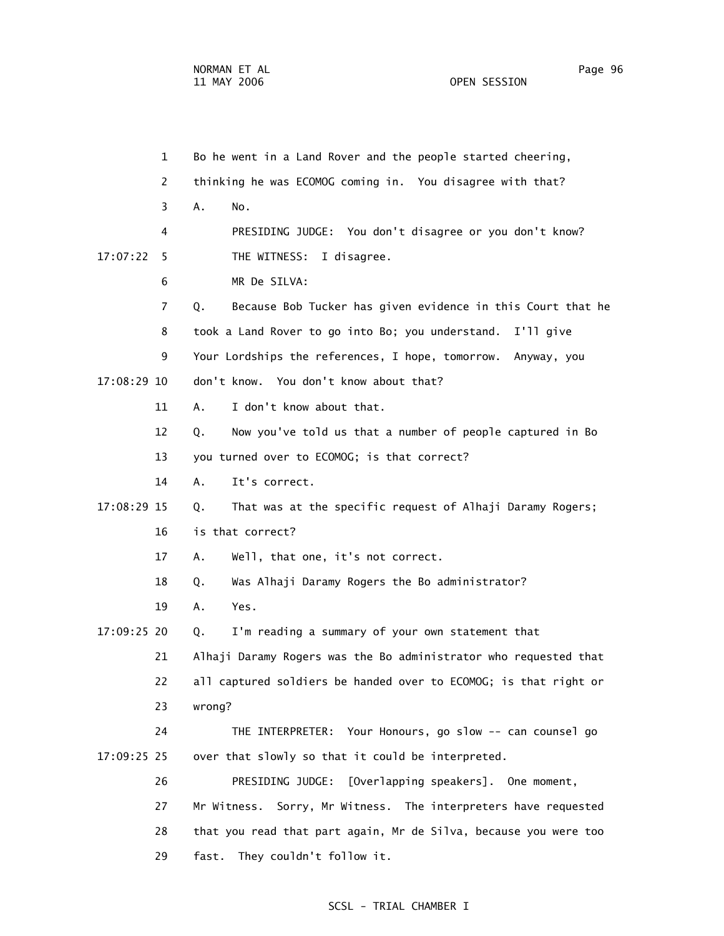1 Bo he went in a Land Rover and the people started cheering, 2 thinking he was ECOMOG coming in. You disagree with that? 3 A. No. 4 PRESIDING JUDGE: You don't disagree or you don't know? 17:07:22 5 THE WITNESS: I disagree. 6 MR De SILVA: 7 Q. Because Bob Tucker has given evidence in this Court that he 8 took a Land Rover to go into Bo; you understand. I'll give 9 Your Lordships the references, I hope, tomorrow. Anyway, you 17:08:29 10 don't know. You don't know about that? 11 A. I don't know about that. 12 Q. Now you've told us that a number of people captured in Bo 13 you turned over to ECOMOG; is that correct? 14 A. It's correct. 17:08:29 15 Q. That was at the specific request of Alhaji Daramy Rogers; 16 is that correct? 17 A. Well, that one, it's not correct. 18 Q. Was Alhaji Daramy Rogers the Bo administrator? 19 A. Yes. 17:09:25 20 Q. I'm reading a summary of your own statement that 21 Alhaji Daramy Rogers was the Bo administrator who requested that 22 all captured soldiers be handed over to ECOMOG; is that right or 23 wrong? 24 THE INTERPRETER: Your Honours, go slow -- can counsel go 17:09:25 25 over that slowly so that it could be interpreted. 26 PRESIDING JUDGE: [Overlapping speakers]. One moment, 27 Mr Witness. Sorry, Mr Witness. The interpreters have requested 28 that you read that part again, Mr de Silva, because you were too 29 fast. They couldn't follow it.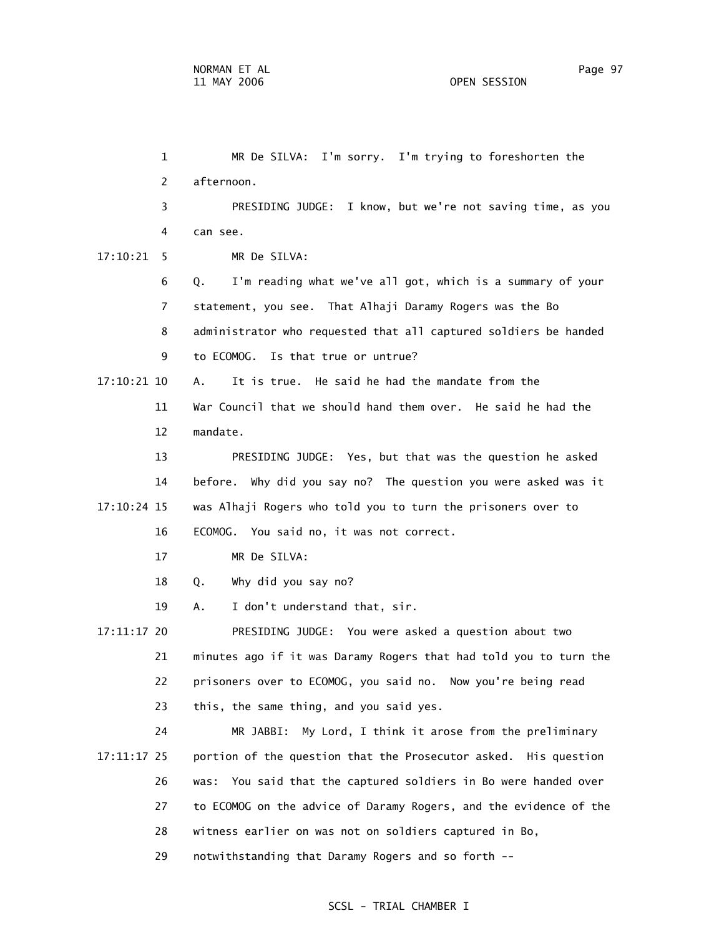1 MR De SILVA: I'm sorry. I'm trying to foreshorten the 2 afternoon. 3 PRESIDING JUDGE: I know, but we're not saving time, as you 4 can see. 17:10:21 5 MR De SILVA: 6 Q. I'm reading what we've all got, which is a summary of your 7 statement, you see. That Alhaji Daramy Rogers was the Bo 8 administrator who requested that all captured soldiers be handed 9 to ECOMOG. Is that true or untrue? 17:10:21 10 A. It is true. He said he had the mandate from the 11 War Council that we should hand them over. He said he had the 12 mandate. 13 PRESIDING JUDGE: Yes, but that was the question he asked 14 before. Why did you say no? The question you were asked was it 17:10:24 15 was Alhaji Rogers who told you to turn the prisoners over to 16 ECOMOG. You said no, it was not correct. 17 MR De SILVA: 18 Q. Why did you say no? 19 A. I don't understand that, sir. 17:11:17 20 PRESIDING JUDGE: You were asked a question about two 21 minutes ago if it was Daramy Rogers that had told you to turn the 22 prisoners over to ECOMOG, you said no. Now you're being read 23 this, the same thing, and you said yes. 24 MR JABBI: My Lord, I think it arose from the preliminary 17:11:17 25 portion of the question that the Prosecutor asked. His question 26 was: You said that the captured soldiers in Bo were handed over 27 to ECOMOG on the advice of Daramy Rogers, and the evidence of the 28 witness earlier on was not on soldiers captured in Bo,

29 notwithstanding that Daramy Rogers and so forth --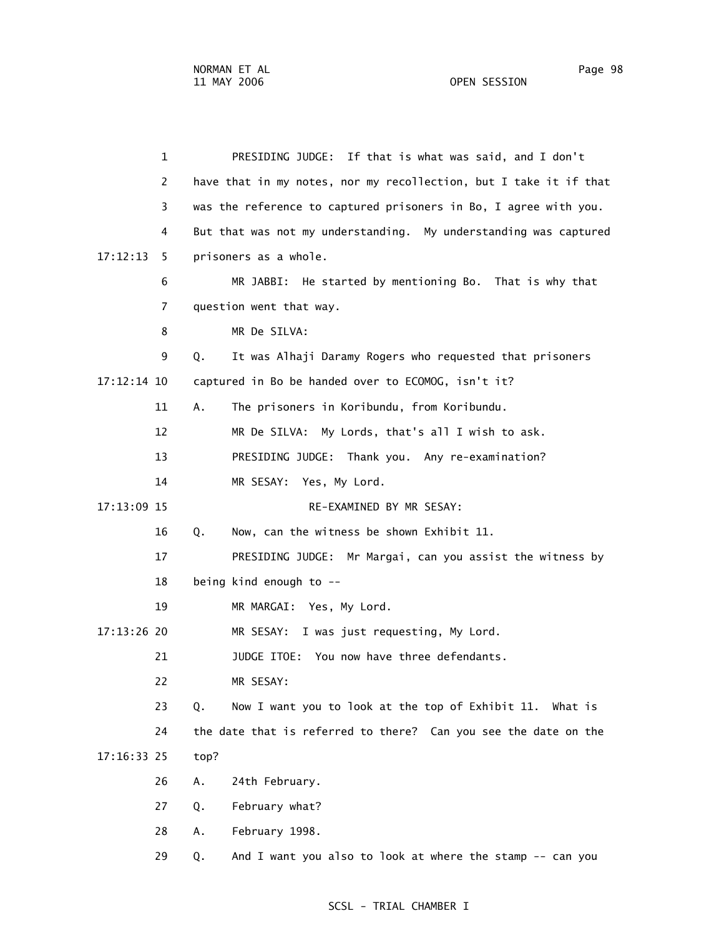1 PRESIDING JUDGE: If that is what was said, and I don't 2 have that in my notes, nor my recollection, but I take it if that 3 was the reference to captured prisoners in Bo, I agree with you. 4 But that was not my understanding. My understanding was captured  $17:12:13$  5 prisoners as a whole. 6 MR JABBI: He started by mentioning Bo. That is why that 7 question went that way. 8 MR De SILVA: 9 Q. It was Alhaji Daramy Rogers who requested that prisoners 17:12:14 10 captured in Bo be handed over to ECOMOG, isn't it? 11 A. The prisoners in Koribundu, from Koribundu. 12 MR De SILVA: My Lords, that's all I wish to ask. 13 PRESIDING JUDGE: Thank you. Any re-examination? 14 MR SESAY: Yes, My Lord. 17:13:09 15 RE-EXAMINED BY MR SESAY: 16 Q. Now, can the witness be shown Exhibit 11. 17 PRESIDING JUDGE: Mr Margai, can you assist the witness by 18 being kind enough to -- 19 MR MARGAI: Yes, My Lord. 17:13:26 20 MR SESAY: I was just requesting, My Lord. 21 JUDGE ITOE: You now have three defendants. 22 MR SESAY: 23 Q. Now I want you to look at the top of Exhibit 11. What is 24 the date that is referred to there? Can you see the date on the 17:16:33 25 top? 26 A. 24th February. 27 Q. February what? 28 A. February 1998. 29 Q. And I want you also to look at where the stamp -- can you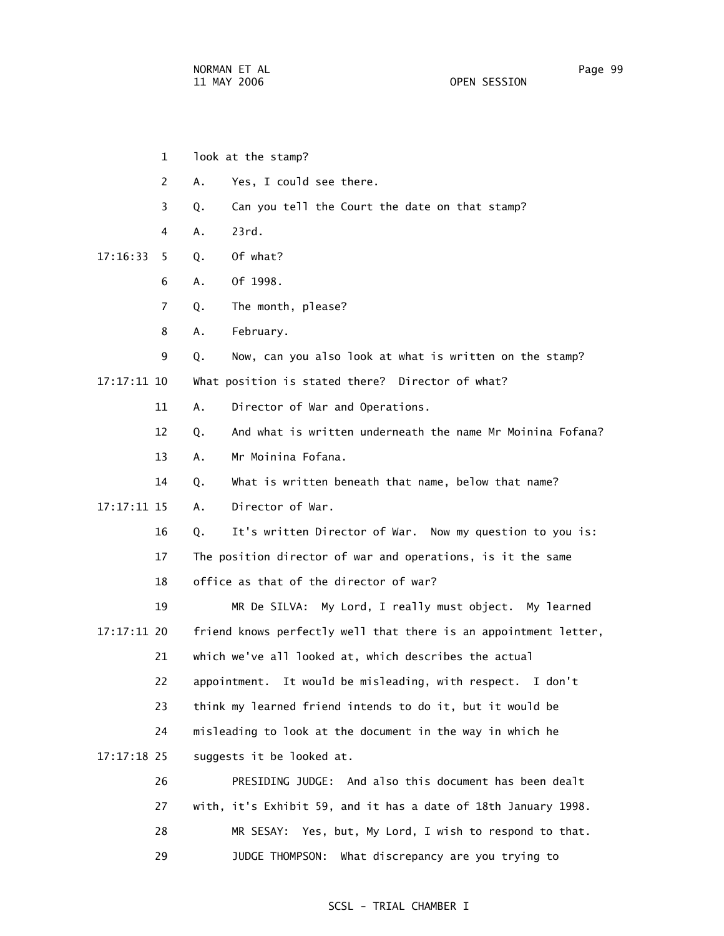- 1 look at the stamp?
- 2 A. Yes, I could see there.
- 3 Q. Can you tell the Court the date on that stamp?
- 4 A. 23rd.
- 17:16:33 5 Q. Of what?
	- 6 A. Of 1998.
	- 7 Q. The month, please?
	- 8 A. February.
	- 9 Q. Now, can you also look at what is written on the stamp?
- 17:17:11 10 What position is stated there? Director of what?
	- 11 A. Director of War and Operations.
	- 12 Q. And what is written underneath the name Mr Moinina Fofana?
	- 13 A. Mr Moinina Fofana.
	- 14 Q. What is written beneath that name, below that name?
- 17:17:11 15 A. Director of War.
	- 16 Q. It's written Director of War. Now my question to you is:
	- 17 The position director of war and operations, is it the same
	- 18 office as that of the director of war?

 19 MR De SILVA: My Lord, I really must object. My learned 17:17:11 20 friend knows perfectly well that there is an appointment letter, 21 which we've all looked at, which describes the actual 22 appointment. It would be misleading, with respect. I don't 23 think my learned friend intends to do it, but it would be 24 misleading to look at the document in the way in which he 17:17:18 25 suggests it be looked at. 26 PRESIDING JUDGE: And also this document has been dealt

 27 with, it's Exhibit 59, and it has a date of 18th January 1998. 28 MR SESAY: Yes, but, My Lord, I wish to respond to that. 29 JUDGE THOMPSON: What discrepancy are you trying to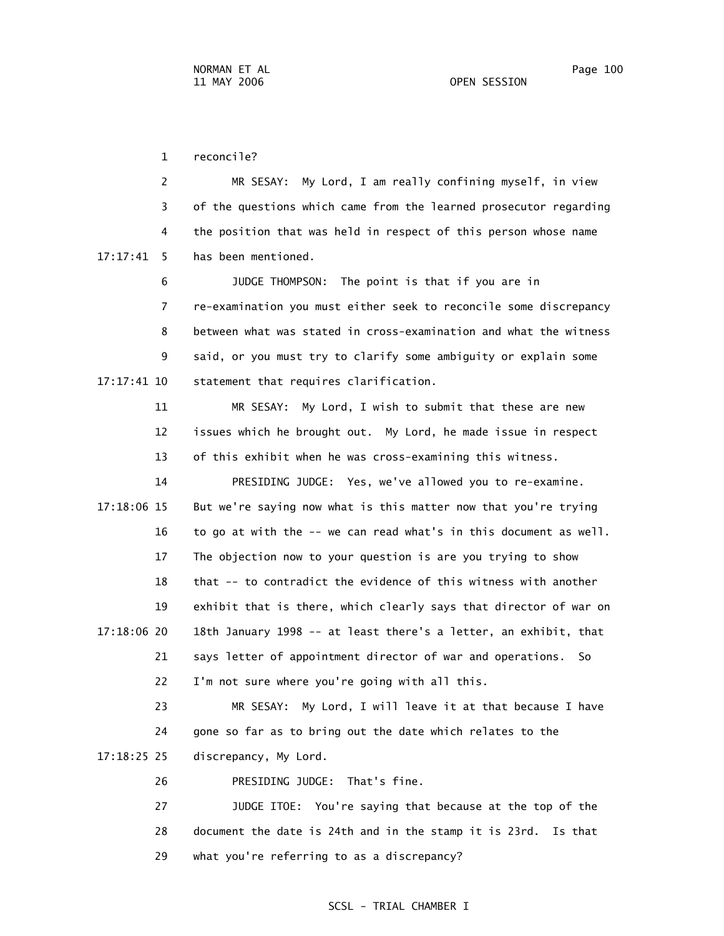1 reconcile?

 2 MR SESAY: My Lord, I am really confining myself, in view 3 of the questions which came from the learned prosecutor regarding 4 the position that was held in respect of this person whose name 17:17:41 5 has been mentioned.

 6 JUDGE THOMPSON: The point is that if you are in 7 re-examination you must either seek to reconcile some discrepancy 8 between what was stated in cross-examination and what the witness 9 said, or you must try to clarify some ambiguity or explain some 17:17:41 10 statement that requires clarification.

> 11 MR SESAY: My Lord, I wish to submit that these are new 12 issues which he brought out. My Lord, he made issue in respect 13 of this exhibit when he was cross-examining this witness.

 14 PRESIDING JUDGE: Yes, we've allowed you to re-examine. 17:18:06 15 But we're saying now what is this matter now that you're trying 16 to go at with the -- we can read what's in this document as well. 17 The objection now to your question is are you trying to show 18 that -- to contradict the evidence of this witness with another 19 exhibit that is there, which clearly says that director of war on 17:18:06 20 18th January 1998 -- at least there's a letter, an exhibit, that 21 says letter of appointment director of war and operations. So 22 I'm not sure where you're going with all this.

 23 MR SESAY: My Lord, I will leave it at that because I have 24 gone so far as to bring out the date which relates to the 17:18:25 25 discrepancy, My Lord.

26 PRESIDING JUDGE: That's fine.

 27 JUDGE ITOE: You're saying that because at the top of the 28 document the date is 24th and in the stamp it is 23rd. Is that 29 what you're referring to as a discrepancy?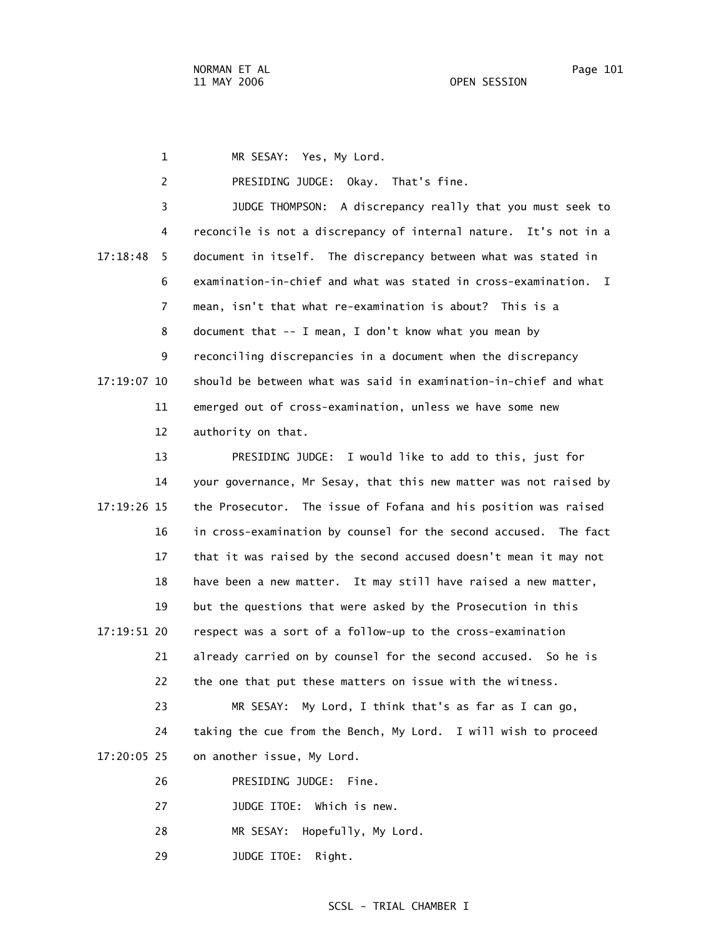1 MR SESAY: Yes, My Lord. 2 PRESIDING JUDGE: Okay. That's fine. 3 JUDGE THOMPSON: A discrepancy really that you must seek to 4 reconcile is not a discrepancy of internal nature. It's not in a 17:18:48 5 document in itself. The discrepancy between what was stated in 6 examination-in-chief and what was stated in cross-examination. I 7 mean, isn't that what re-examination is about? This is a 8 document that -- I mean, I don't know what you mean by 9 reconciling discrepancies in a document when the discrepancy 17:19:07 10 should be between what was said in examination-in-chief and what 11 emerged out of cross-examination, unless we have some new 12 authority on that. 13 PRESIDING JUDGE: I would like to add to this, just for 14 your governance, Mr Sesay, that this new matter was not raised by 17:19:26 15 the Prosecutor. The issue of Fofana and his position was raised 16 in cross-examination by counsel for the second accused. The fact 17 that it was raised by the second accused doesn't mean it may not 18 have been a new matter. It may still have raised a new matter, 19 but the questions that were asked by the Prosecution in this 17:19:51 20 respect was a sort of a follow-up to the cross-examination 21 already carried on by counsel for the second accused. So he is

22 the one that put these matters on issue with the witness.

 23 MR SESAY: My Lord, I think that's as far as I can go, 24 taking the cue from the Bench, My Lord. I will wish to proceed 17:20:05 25 on another issue, My Lord.

- 26 PRESIDING JUDGE: Fine.
- 27 JUDGE ITOE: Which is new.
- 28 MR SESAY: Hopefully, My Lord.
- 29 JUDGE ITOE: Right.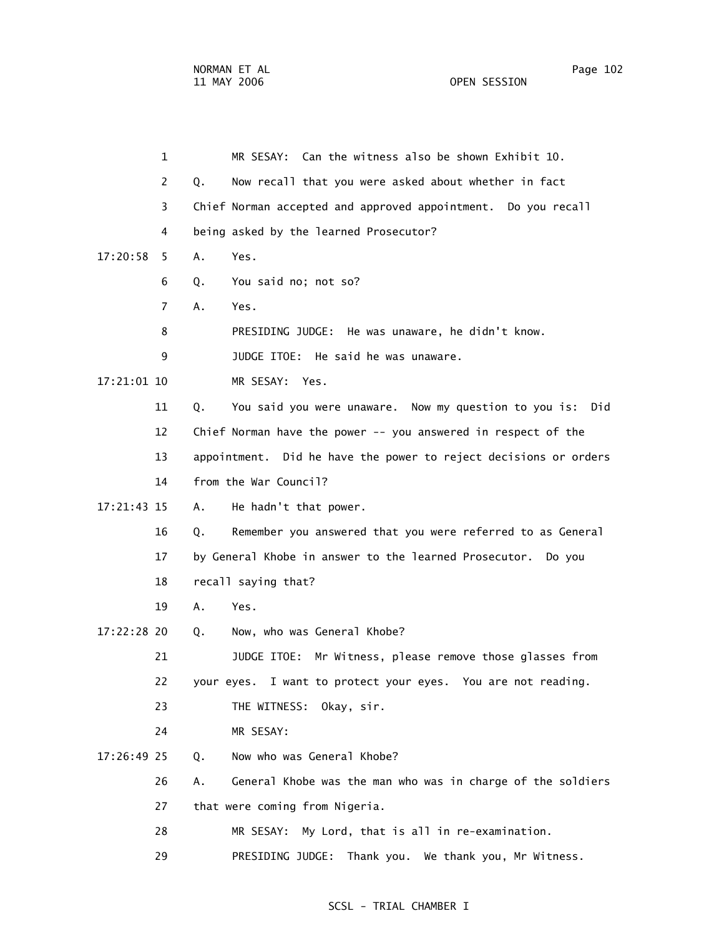1 MR SESAY: Can the witness also be shown Exhibit 10. 2 Q. Now recall that you were asked about whether in fact 3 Chief Norman accepted and approved appointment. Do you recall 4 being asked by the learned Prosecutor? 17:20:58 5 A. Yes. 6 Q. You said no; not so? 7 A. Yes. 8 PRESIDING JUDGE: He was unaware, he didn't know. 9 JUDGE ITOE: He said he was unaware. 17:21:01 10 MR SESAY: Yes. 11 Q. You said you were unaware. Now my question to you is: Did 12 Chief Norman have the power -- you answered in respect of the 13 appointment. Did he have the power to reject decisions or orders 14 from the War Council? 17:21:43 15 A. He hadn't that power. 16 Q. Remember you answered that you were referred to as General 17 by General Khobe in answer to the learned Prosecutor. Do you 18 recall saying that? 19 A. Yes. 17:22:28 20 Q. Now, who was General Khobe? 21 JUDGE ITOE: Mr Witness, please remove those glasses from 22 your eyes. I want to protect your eyes. You are not reading. 23 THE WITNESS: Okay, sir. 24 MR SESAY: 17:26:49 25 Q. Now who was General Khobe? 26 A. General Khobe was the man who was in charge of the soldiers 27 that were coming from Nigeria. 28 MR SESAY: My Lord, that is all in re-examination. 29 PRESIDING JUDGE: Thank you. We thank you, Mr Witness.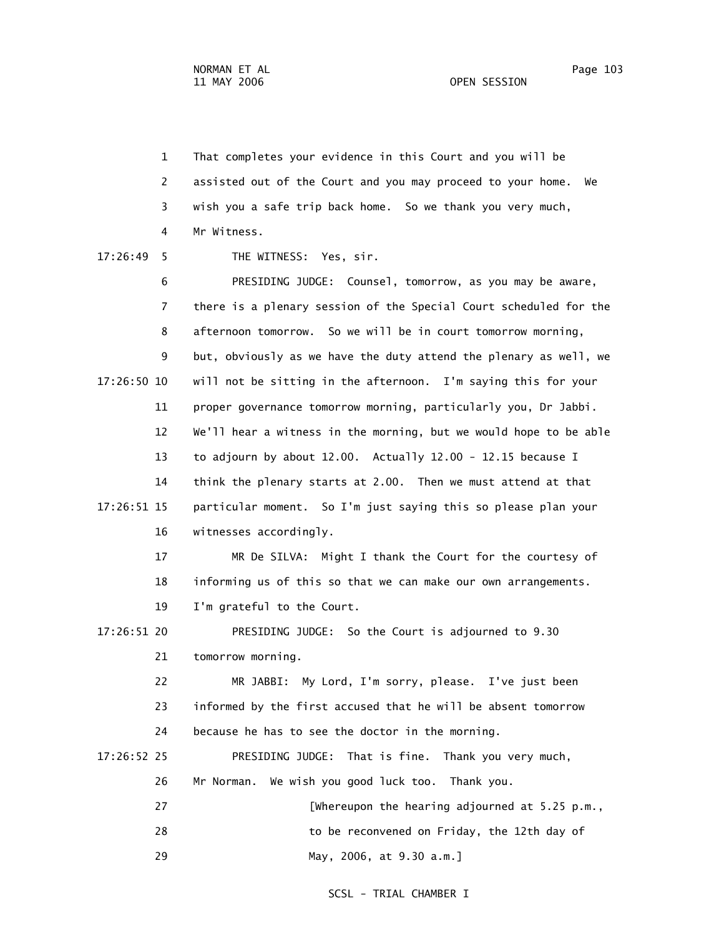1 That completes your evidence in this Court and you will be 2 assisted out of the Court and you may proceed to your home. We 3 wish you a safe trip back home. So we thank you very much, 4 Mr Witness. 17:26:49 5 THE WITNESS: Yes, sir. 6 PRESIDING JUDGE: Counsel, tomorrow, as you may be aware,

 7 there is a plenary session of the Special Court scheduled for the 8 afternoon tomorrow. So we will be in court tomorrow morning, 9 but, obviously as we have the duty attend the plenary as well, we 17:26:50 10 will not be sitting in the afternoon. I'm saying this for your 11 proper governance tomorrow morning, particularly you, Dr Jabbi. 12 We'll hear a witness in the morning, but we would hope to be able 13 to adjourn by about 12.00. Actually 12.00 - 12.15 because I 14 think the plenary starts at 2.00. Then we must attend at that 17:26:51 15 particular moment. So I'm just saying this so please plan your 16 witnesses accordingly.

> 17 MR De SILVA: Might I thank the Court for the courtesy of 18 informing us of this so that we can make our own arrangements. 19 I'm grateful to the Court.

 17:26:51 20 PRESIDING JUDGE: So the Court is adjourned to 9.30 21 tomorrow morning.

> 22 MR JABBI: My Lord, I'm sorry, please. I've just been 23 informed by the first accused that he will be absent tomorrow 24 because he has to see the doctor in the morning.

- 17:26:52 25 PRESIDING JUDGE: That is fine. Thank you very much, 26 Mr Norman. We wish you good luck too. Thank you.
	- 27 [Whereupon the hearing adjourned at 5.25 p.m., 28 to be reconvened on Friday, the 12th day of
	- 29 May, 2006, at 9.30 a.m.]